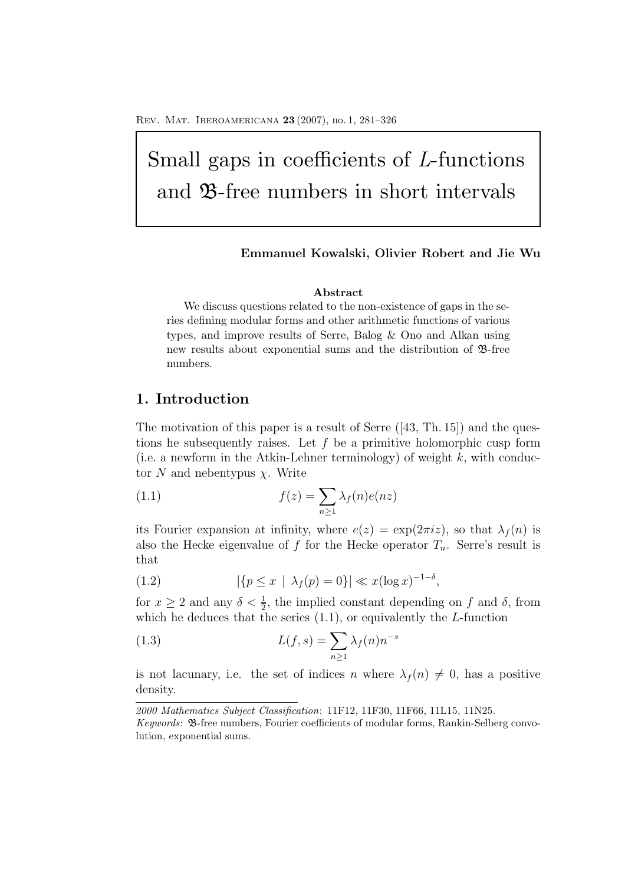# Small gaps in coefficients of L-functions and B-free numbers in short intervals

## **Emmanuel Kowalski, Olivier Robert and Jie Wu**

## **Abstract**

We discuss questions related to the non-existence of gaps in the series defining modular forms and other arithmetic functions of various types, and improve results of Serre, Balog & Ono and Alkan using new results about exponential sums and the distribution of B-free numbers.

## **1. Introduction**

The motivation of this paper is a result of Serre  $(43, Th. 15)$  and the questions he subsequently raises. Let  $f$  be a primitive holomorphic cusp form (i.e. a newform in the Atkin-Lehner terminology) of weight  $k$ , with conductor N and nebentypus  $\chi$ . Write

(1.1) 
$$
f(z) = \sum_{n\geq 1} \lambda_f(n)e(nz)
$$

its Fourier expansion at infinity, where  $e(z) = \exp(2\pi i z)$ , so that  $\lambda_f(n)$  is also the Hecke eigenvalue of f for the Hecke operator  $T_n$ . Serre's result is that

(1.2) 
$$
|\{p \le x \mid \lambda_f(p) = 0\}| \ll x(\log x)^{-1-\delta},
$$

for  $x \ge 2$  and any  $\delta < \frac{1}{2}$ , the implied constant depending on f and  $\delta$ , from<br>which he deduces that the series (1.1) or equivalently the L-function which he deduces that the series  $(1.1)$ , or equivalently the L-function

(1.3) 
$$
L(f,s) = \sum_{n\geq 1} \lambda_f(n) n^{-s}
$$

is not lacunary, i.e. the set of indices n where  $\lambda_f(n) \neq 0$ , has a positive density.

*<sup>2000</sup> Mathematics Subject Classification*: 11F12, 11F30, 11F66, 11L15, 11N25.

*Keywords*: B-free numbers, Fourier coefficients of modular forms, Rankin-Selberg convolution, exponential sums.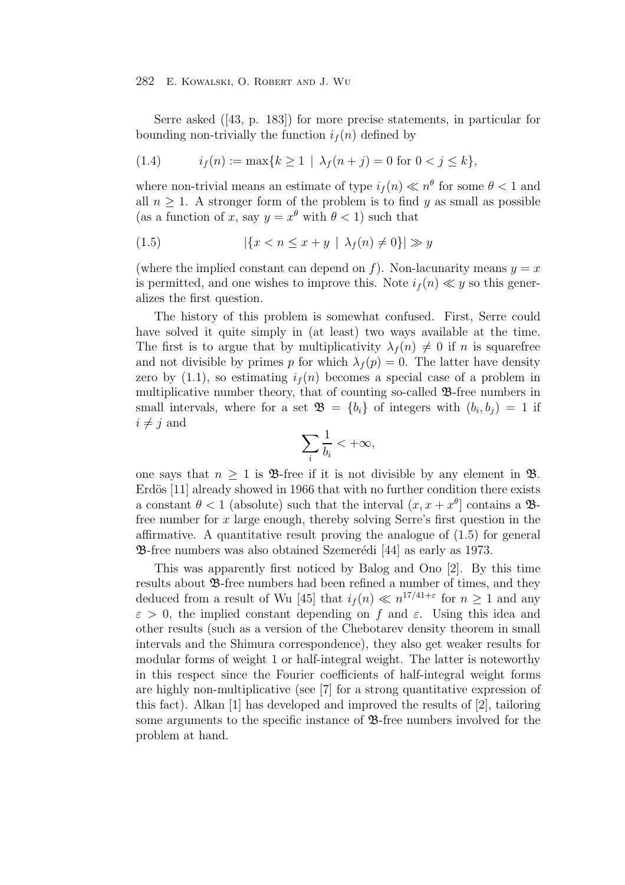Serre asked ([43, p. 183]) for more precise statements, in particular for bounding non-trivially the function  $i_f(n)$  defined by

(1.4) 
$$
i_f(n) := \max\{k \ge 1 \mid \lambda_f(n+j) = 0 \text{ for } 0 < j \le k\},
$$

where non-trivial means an estimate of type  $i_f(n) \ll n^{\theta}$  for some  $\theta < 1$  and all  $n \geq 1$ . A stronger form of the problem is to find y as small as possible (as a function of x, say  $y = x^{\theta}$  with  $\theta < 1$ ) such that

$$
(1.5) \qquad \qquad |\{x < n \le x + y \mid \lambda_f(n) \ne 0\}| \gg y
$$

(where the implied constant can depend on f). Non-lacunarity means  $y = x$ is permitted, and one wishes to improve this. Note  $i_f(n) \ll y$  so this generalizes the first question.

The history of this problem is somewhat confused. First, Serre could have solved it quite simply in (at least) two ways available at the time. The first is to argue that by multiplicativity  $\lambda_f(n) \neq 0$  if n is squarefree and not divisible by primes p for which  $\lambda_f(p) = 0$ . The latter have density zero by  $(1.1)$ , so estimating  $i<sub>f</sub>(n)$  becomes a special case of a problem in multiplicative number theory, that of counting so-called  $\mathcal{B}$ -free numbers in small intervals, where for a set  $\mathfrak{B} = \{b_i\}$  of integers with  $(b_i, b_j) = 1$  if  $i \neq j$  and

$$
\sum_i \frac{1}{b_i} < +\infty,
$$

one says that  $n \geq 1$  is **B**-free if it is not divisible by any element in **B**. Erdös [11] already showed in 1966 that with no further condition there exists a constant  $\theta < 1$  (absolute) such that the interval  $(x, x + x^{\theta})$  contains a  $\mathcal{B}$ free number for  $x$  large enough, thereby solving Serre's first question in the affirmative. A quantitative result proving the analogue of  $(1.5)$  for general **23**-free numbers was also obtained Szemerédi [44] as early as 1973.

This was apparently first noticed by Balog and Ono [2]. By this time results about B-free numbers had been refined a number of times, and they deduced from a result of Wu [45] that  $i_f(n) \ll n^{17/41+\epsilon}$  for  $n \geq 1$  and any  $\varepsilon > 0$ , the implied constant depending on f and  $\varepsilon$ . Using this idea and other results (such as a version of the Chebotarev density theorem in small intervals and the Shimura correspondence), they also get weaker results for modular forms of weight 1 or half-integral weight. The latter is noteworthy in this respect since the Fourier coefficients of half-integral weight forms are highly non-multiplicative (see [7] for a strong quantitative expression of this fact). Alkan [1] has developed and improved the results of [2], tailoring some arguments to the specific instance of  $\mathfrak{B}$ -free numbers involved for the problem at hand.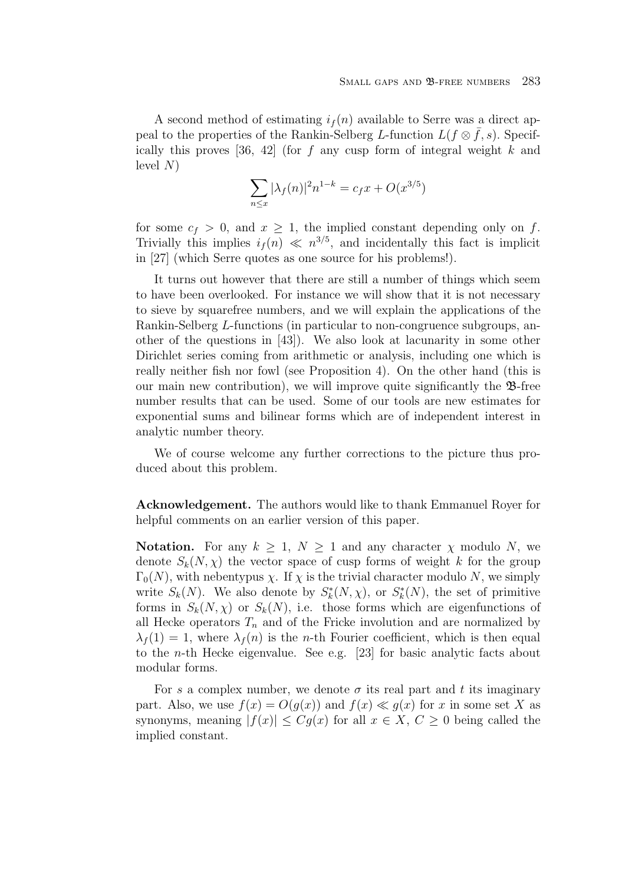A second method of estimating  $i_f(n)$  available to Serre was a direct appeal to the properties of the Rankin-Selberg L-function  $L(f \otimes \overline{f}, s)$ . Specifically this proves [36, 42] (for f any cusp form of integral weight k and level  $N$ )

$$
\sum_{n \le x} |\lambda_f(n)|^2 n^{1-k} = c_f x + O(x^{3/5})
$$

for some  $c_f > 0$ , and  $x \geq 1$ , the implied constant depending only on f. Trivially this implies  $i_f(n) \ll n^{3/5}$ , and incidentally this fact is implicit in [27] (which Serre quotes as one source for his problems!).

It turns out however that there are still a number of things which seem to have been overlooked. For instance we will show that it is not necessary to sieve by squarefree numbers, and we will explain the applications of the Rankin-Selberg L-functions (in particular to non-congruence subgroups, another of the questions in [43]). We also look at lacunarity in some other Dirichlet series coming from arithmetic or analysis, including one which is really neither fish nor fowl (see Proposition 4). On the other hand (this is our main new contribution), we will improve quite significantly the  $\mathcal{B}$ -free number results that can be used. Some of our tools are new estimates for exponential sums and bilinear forms which are of independent interest in analytic number theory.

We of course welcome any further corrections to the picture thus produced about this problem.

**Acknowledgement.** The authors would like to thank Emmanuel Royer for helpful comments on an earlier version of this paper.

**Notation.** For any  $k \geq 1$ ,  $N \geq 1$  and any character  $\chi$  modulo N, we denote  $S_k(N,\chi)$  the vector space of cusp forms of weight k for the group  $\Gamma_0(N)$ , with nebentypus  $\chi$ . If  $\chi$  is the trivial character modulo N, we simply write  $S_k(N)$ . We also denote by  $S_k^*(N, \chi)$ , or  $S_k^*(N)$ , the set of primitive forms in  $S_k(N,\chi)$  or  $S_k(N)$ , i.e. those forms which are eigenfunctions of all Hecke operators  $T_n$  and of the Fricke involution and are normalized by  $\lambda_f(1) = 1$ , where  $\lambda_f(n)$  is the *n*-th Fourier coefficient, which is then equal to the n-th Hecke eigenvalue. See e.g. [23] for basic analytic facts about modular forms.

For s a complex number, we denote  $\sigma$  its real part and t its imaginary part. Also, we use  $f(x) = O(g(x))$  and  $f(x) \ll g(x)$  for x in some set X as synonyms, meaning  $|f(x)| \leq Cg(x)$  for all  $x \in X, C \geq 0$  being called the implied constant.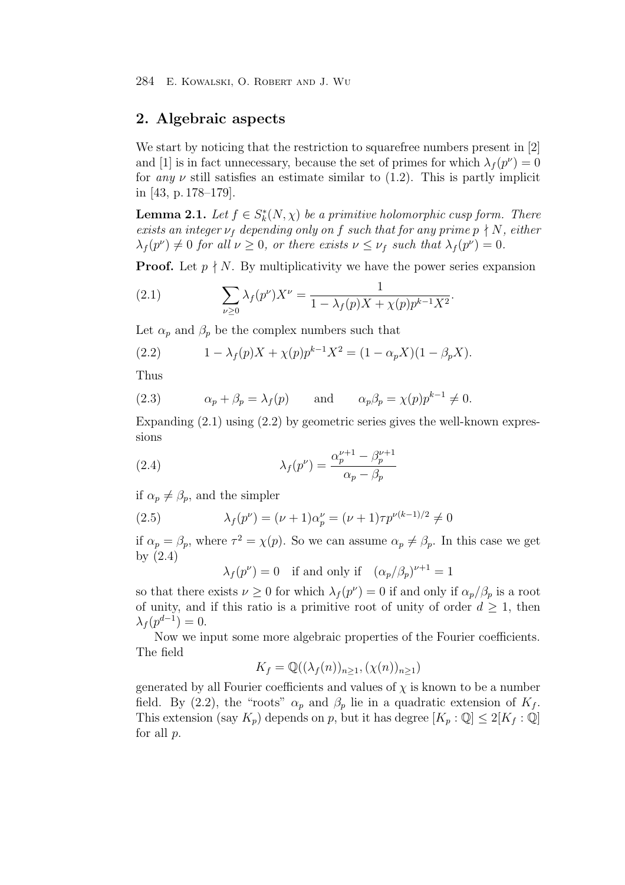## **2. Algebraic aspects**

We start by noticing that the restriction to squarefree numbers present in [2] and [1] is in fact unnecessary, because the set of primes for which  $\lambda_f(p^{\nu})=0$ for any  $\nu$  still satisfies an estimate similar to (1.2). This is partly implicit in [43, p. 178–179].

**Lemma 2.1.** Let  $f \in S_k^*(N, \chi)$  be a primitive holomorphic cusp form. There exists an integer  $\nu_f$  depending only on f such that for any prime  $p \nmid N$ , either  $\lambda_f(p^{\nu}) \neq 0$  for all  $\nu \geq 0$ , or there exists  $\nu \leq \nu_f$  such that  $\lambda_f(p^{\nu})=0$ .

**Proof.** Let  $p \nmid N$ . By multiplicativity we have the power series expansion

(2.1) 
$$
\sum_{\nu \ge 0} \lambda_f(p^{\nu}) X^{\nu} = \frac{1}{1 - \lambda_f(p)X + \chi(p)p^{k-1}X^2}.
$$

Let  $\alpha_p$  and  $\beta_p$  be the complex numbers such that

(2.2) 
$$
1 - \lambda_f(p)X + \chi(p)p^{k-1}X^2 = (1 - \alpha_p X)(1 - \beta_p X).
$$

Thus

(2.3) 
$$
\alpha_p + \beta_p = \lambda_f(p)
$$
 and  $\alpha_p \beta_p = \chi(p) p^{k-1} \neq 0$ .

Expanding  $(2.1)$  using  $(2.2)$  by geometric series gives the well-known expressions

(2.4) 
$$
\lambda_f(p^{\nu}) = \frac{\alpha_p^{\nu+1} - \beta_p^{\nu+1}}{\alpha_p - \beta_p}
$$

if  $\alpha_p \neq \beta_p$ , and the simpler

(2.5) 
$$
\lambda_f(p^{\nu}) = (\nu + 1)\alpha_p^{\nu} = (\nu + 1)\tau p^{\nu(k-1)/2} \neq 0
$$

if  $\alpha_p = \beta_p$ , where  $\tau^2 = \chi(p)$ . So we can assume  $\alpha_p \neq \beta_p$ . In this case we get by (2.4)

 $\lambda_f(p^{\nu}) = 0$  if and only if  $(\alpha_p/\beta_p)^{\nu+1} = 1$ 

so that there exists  $\nu \geq 0$  for which  $\lambda_f(p^{\nu}) = 0$  if and only if  $\alpha_p/\beta_p$  is a root of unity, and if this ratio is a primitive root of unity of order  $d \geq 1$ , then  $\lambda_f(p^{d-1})=0.$ 

Now we input some more algebraic properties of the Fourier coefficients. The field

$$
K_f = \mathbb{Q}((\lambda_f(n))_{n \ge 1}, (\chi(n))_{n \ge 1})
$$

generated by all Fourier coefficients and values of  $\chi$  is known to be a number field. By (2.2), the "roots"  $\alpha_p$  and  $\beta_p$  lie in a quadratic extension of  $K_f$ . This extension (say  $K_p$ ) depends on p, but it has degree  $[K_p : \mathbb{Q}] \leq 2[K_f : \mathbb{Q}]$ for all p.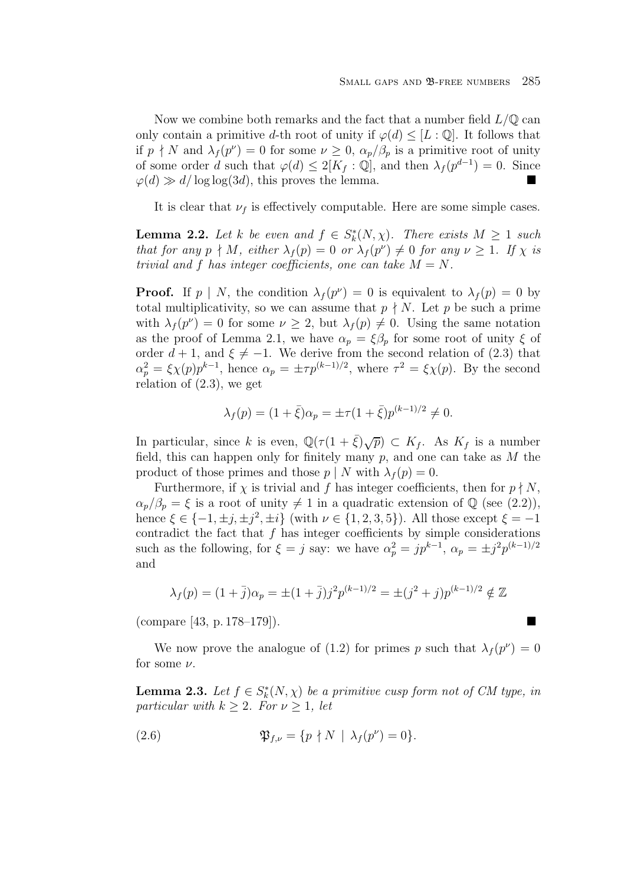Now we combine both remarks and the fact that a number field  $L/\mathbb{Q}$  can only contain a primitive d-th root of unity if  $\varphi(d) \leq [L:\mathbb{Q}]$ . It follows that if  $p \nmid N$  and  $\lambda_f(p^{\nu}) = 0$  for some  $\nu \geq 0$ ,  $\alpha_p/\beta_p$  is a primitive root of unity of some order d such that  $\varphi(d) \leq 2[K_f : \mathbb{Q}]$ , and then  $\lambda_f(p^{d-1}) = 0$ . Since  $\varphi(d) \gg d/\log \log(3d)$ , this proves the lemma.

It is clear that  $\nu_f$  is effectively computable. Here are some simple cases.

**Lemma 2.2.** Let k be even and  $f \in S_k^*(N, \chi)$ . There exists  $M \geq 1$  such that for any  $p \nmid M$ , either  $\lambda_f(p)=0$  or  $\lambda_f(p^{\nu}) \neq 0$  for any  $\nu \geq 1$ . If  $\chi$  is trivial and f has integer coefficients, one can take  $M = N$ .

**Proof.** If  $p \mid N$ , the condition  $\lambda_f(p^{\nu}) = 0$  is equivalent to  $\lambda_f(p) = 0$  by total multiplicativity, so we can assume that  $p \nmid N$ . Let p be such a prime with  $\lambda_f(p^{\nu}) = 0$  for some  $\nu \geq 2$ , but  $\lambda_f(p) \neq 0$ . Using the same notation as the proof of Lemma 2.1, we have  $\alpha_p = \xi \beta_p$  for some root of unity  $\xi$  of order  $d + 1$ , and  $\xi \neq -1$ . We derive from the second relation of (2.3) that  $\alpha_p^2 = \xi \chi(p) p^{k-1}$ , hence  $\alpha_p = \pm \tau p^{(k-1)/2}$ , where  $\tau^2 = \xi \chi(p)$ . By the second relation of  $(2.3)$ , we get

$$
\lambda_f(p) = (1 + \bar{\xi})\alpha_p = \pm \tau (1 + \bar{\xi}) p^{(k-1)/2} \neq 0.
$$

In particular, since k is even,  $\mathbb{Q}(\tau(1+\bar{\xi})\sqrt{p}) \subset K_f$ . As  $K_f$  is a number field, this can happen only for finitely many  $p$ , and one can take as  $M$  the product of those primes and those  $p \mid N$  with  $\lambda_f(p) = 0$ .

Furthermore, if  $\chi$  is trivial and f has integer coefficients, then for  $p \nmid N$ ,  $\alpha_p/\beta_p = \xi$  is a root of unity  $\neq 1$  in a quadratic extension of  $\mathbb{Q}$  (see (2.2)), hence  $\xi \in \{-1, \pm j, \pm j^2, \pm i\}$  (with  $\nu \in \{1, 2, 3, 5\}$ ). All those except  $\xi = -1$ contradict the fact that  $f$  has integer coefficients by simple considerations such as the following, for  $\xi = j$  say: we have  $\alpha_p^2 = j p^{k-1}$ ,  $\alpha_p = \pm j^2 p^{(k-1)/2}$ and

$$
\lambda_f(p) = (1 + \bar{j})\alpha_p = \pm (1 + \bar{j})j^2 p^{(k-1)/2} = \pm (j^2 + j)p^{(k-1)/2} \notin \mathbb{Z}
$$

 $\text{(compare [43, p. 178–179])}.$ 

We now prove the analogue of (1.2) for primes p such that  $\lambda_f (p^{\nu})=0$ for some  $\nu$ .

**Lemma 2.3.** Let  $f \in S_k^*(N, \chi)$  be a primitive cusp form not of CM type, in particular with  $k \geq 2$ . For  $\nu \geq 1$ , let

(2.6) 
$$
\mathfrak{P}_{f,\nu} = \{ p \nmid N \mid \lambda_f(p^{\nu}) = 0 \}.
$$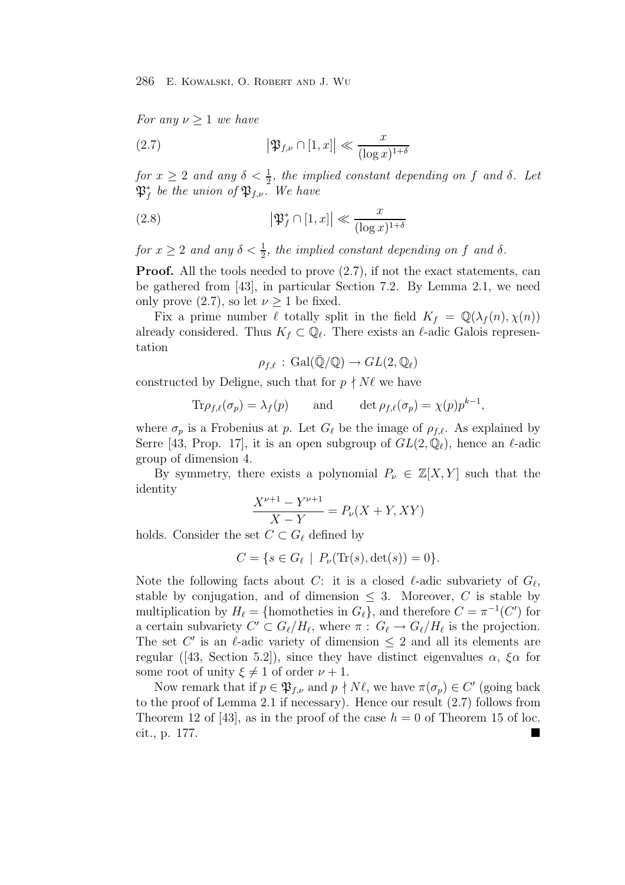For any  $\nu \geq 1$  we have

(2.7) 
$$
\left|\mathfrak{P}_{f,\nu} \cap [1,x]\right| \ll \frac{x}{(\log x)^{1+\delta}}
$$

for  $x \geq 2$  and any  $\delta < \frac{1}{2}$ , the implied constant depending on f and  $\delta$ . Let  $\mathbb{R}^*$  be the union of  $\mathfrak{R}_i$ .  $\mathfrak{P}^*_{f}$  be the union of  $\mathfrak{P}_{f,\nu}$ . We have

(2.8) 
$$
\left|\mathfrak{P}_f^*\cap[1,x]\right|\ll \frac{x}{(\log x)^{1+\delta}}
$$

for  $x \geq 2$  and any  $\delta < \frac{1}{2}$ , the implied constant depending on f and  $\delta$ .

**Proof.** All the tools needed to prove  $(2.7)$ , if not the exact statements, can be gathered from [43], in particular Section 7.2. By Lemma 2.1, we need only prove  $(2.7)$ , so let  $\nu \geq 1$  be fixed.

Fix a prime number  $\ell$  totally split in the field  $K_f = \mathbb{Q}(\lambda_f(n), \chi(n))$ already considered. Thus  $K_f \subset \mathbb{Q}_\ell$ . There exists an  $\ell$ -adic Galois representation

$$
\rho_{f,\ell}\,:\,\mathrm{Gal}(\bar{\mathbb{Q}}/\mathbb{Q})\rightarrow GL(2,\mathbb{Q}_{\ell})
$$

constructed by Deligne, such that for  $p \nmid N\ell$  we have

$$
\text{Tr}\rho_{f,\ell}(\sigma_p) = \lambda_f(p) \quad \text{and} \quad \det \rho_{f,\ell}(\sigma_p) = \chi(p)p^{k-1},
$$

where  $\sigma_p$  is a Frobenius at p. Let  $G_\ell$  be the image of  $\rho_{f,\ell}$ . As explained by Serre [43, Prop. 17], it is an open subgroup of  $GL(2,\mathbb{Q}_\ell)$ , hence an  $\ell$ -adic group of dimension 4.

By symmetry, there exists a polynomial  $P_{\nu} \in \mathbb{Z}[X, Y]$  such that the identity

$$
\frac{X^{\nu+1} - Y^{\nu+1}}{X - Y} = P_{\nu}(X + Y, XY)
$$

holds. Consider the set  $C \subset G_{\ell}$  defined by

$$
C = \{ s \in G_{\ell} \mid P_{\nu}(\text{Tr}(s), \det(s)) = 0 \}.
$$

Note the following facts about C: it is a closed  $\ell$ -adic subvariety of  $G_{\ell}$ , stable by conjugation, and of dimension  $\leq$  3. Moreover, C is stable by multiplication by  $H_{\ell} = \{\text{homotheties in } G_{\ell}\}\$ , and therefore  $C = \pi^{-1}(C')$  for a certain subvariety  $C' \subset G_{\ell}/H_{\ell}$ , where  $\pi : G_{\ell} \to G_{\ell}/H_{\ell}$  is the projection. The set C' is an  $\ell$ -adic variety of dimension  $\leq 2$  and all its elements are regular ([43, Section 5.2]), since they have distinct eigenvalues  $\alpha$ ,  $\xi \alpha$  for some root of unity  $\xi \neq 1$  of order  $\nu + 1$ .

Now remark that if  $p \in \mathfrak{P}_{f,\nu}$  and  $p \nmid N\ell$ , we have  $\pi(\sigma_p) \in C'$  (going back to the proof of Lemma 2.1 if necessary). Hence our result (2.7) follows from Theorem 12 of [43], as in the proof of the case  $h = 0$  of Theorem 15 of loc. cit., p. 177.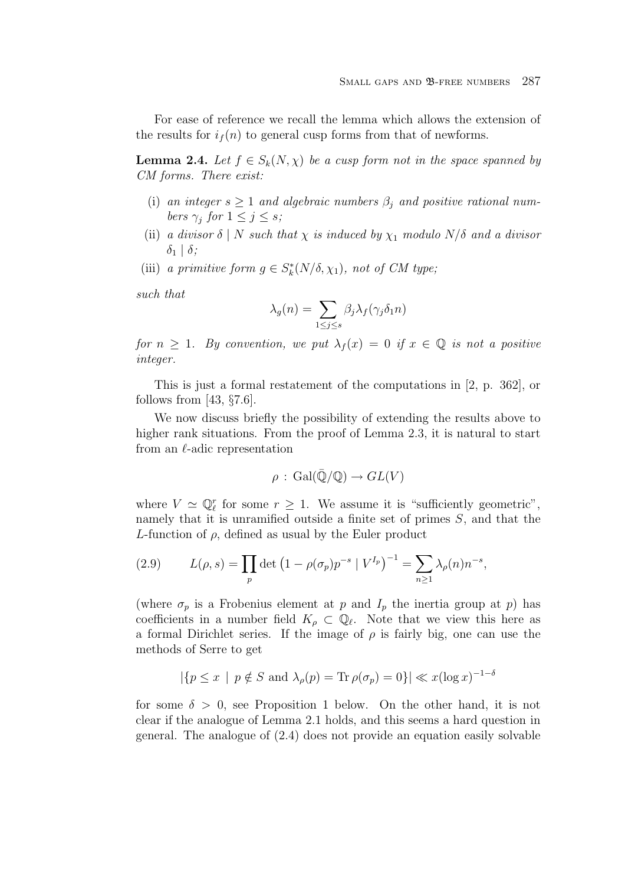For ease of reference we recall the lemma which allows the extension of the results for  $i_f(n)$  to general cusp forms from that of newforms.

**Lemma 2.4.** Let  $f \in S_k(N, \chi)$  be a cusp form not in the space spanned by CM forms. There exist:

- (i) an integer  $s \geq 1$  and algebraic numbers  $\beta_i$  and positive rational numbers  $\gamma_i$  for  $1 \leq j \leq s$ ;
- (ii) a divisor  $\delta \mid N$  such that  $\chi$  is induced by  $\chi_1$  modulo  $N/\delta$  and a divisor  $\delta_1$  |  $\delta$ ;
- (iii) a primitive form  $g \in S_k^*(N/\delta, \chi_1)$ , not of CM type;

such that

$$
\lambda_g(n) = \sum_{1 \le j \le s} \beta_j \lambda_f(\gamma_j \delta_1 n)
$$

for  $n \geq 1$ . By convention, we put  $\lambda_f(x)=0$  if  $x \in \mathbb{Q}$  is not a positive integer.

This is just a formal restatement of the computations in [2, p. 362], or follows from [43,  $\S 7.6$ ].

We now discuss briefly the possibility of extending the results above to higher rank situations. From the proof of Lemma 2.3, it is natural to start from an  $\ell$ -adic representation

$$
\rho : \text{Gal}(\bar{\mathbb{Q}}/\mathbb{Q}) \to GL(V)
$$

where  $V \simeq \mathbb{Q}_{\ell}^{r}$  for some  $r \geq 1$ . We assume it is "sufficiently geometric", namely that it is unramified outside a finite set of primes S, and that the L-function of  $\rho$ , defined as usual by the Euler product

(2.9) 
$$
L(\rho, s) = \prod_{p} \det \left( 1 - \rho(\sigma_p) p^{-s} \mid V^{I_p} \right)^{-1} = \sum_{n \ge 1} \lambda_\rho(n) n^{-s},
$$

(where  $\sigma_p$  is a Frobenius element at p and  $I_p$  the inertia group at p) has coefficients in a number field  $K_{\rho} \subset \mathbb{Q}_{\ell}$ . Note that we view this here as a formal Dirichlet series. If the image of  $\rho$  is fairly big, one can use the methods of Serre to get

$$
|\{p \le x \mid p \notin S \text{ and } \lambda_{\rho}(p) = \text{Tr}\,\rho(\sigma_p) = 0\}| \ll x(\log x)^{-1-\delta}
$$

for some  $\delta > 0$ , see Proposition 1 below. On the other hand, it is not clear if the analogue of Lemma 2.1 holds, and this seems a hard question in general. The analogue of (2.4) does not provide an equation easily solvable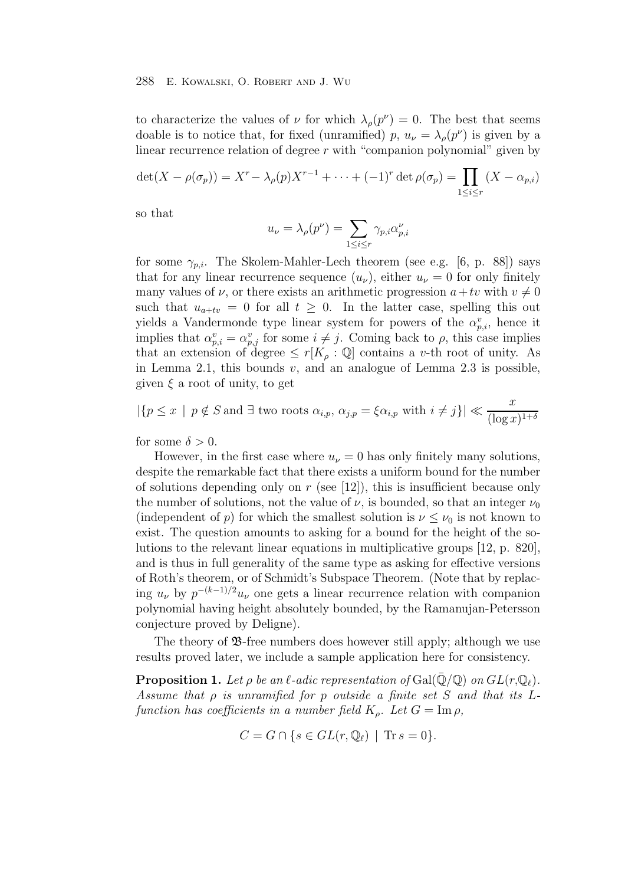to characterize the values of  $\nu$  for which  $\lambda_{\rho}(p^{\nu}) = 0$ . The best that seems doable is to notice that, for fixed (unramified) p,  $u_{\nu} = \lambda_{\rho}(p^{\nu})$  is given by a linear recurrence relation of degree  $r$  with "companion polynomial" given by

$$
\det(X - \rho(\sigma_p)) = X^r - \lambda_\rho(p)X^{r-1} + \dots + (-1)^r \det \rho(\sigma_p) = \prod_{1 \le i \le r} (X - \alpha_{p,i})
$$

so that

$$
u_{\nu} = \lambda_{\rho}(p^{\nu}) = \sum_{1 \leq i \leq r} \gamma_{p,i} \alpha_{p,i}^{\nu}
$$

for some  $\gamma_{p,i}$ . The Skolem-Mahler-Lech theorem (see e.g. [6, p. 88]) says that for any linear recurrence sequence  $(u_{\nu})$ , either  $u_{\nu} = 0$  for only finitely many values of  $\nu$ , or there exists an arithmetic progression  $a+tv$  with  $v \neq 0$ such that  $u_{a+tv} = 0$  for all  $t \geq 0$ . In the latter case, spelling this out yields a Vandermonde type linear system for powers of the  $\alpha_{p,i}^v$ , hence it implies that  $\alpha_{p,i}^v = \alpha_{p,j}^v$  for some  $i \neq j$ . Coming back to  $\rho$ , this case implies that an extension of degree  $\leq r[K_{\rho}:\mathbb{Q}]$  contains a v-th root of unity. As in Lemma 2.1, this bounds  $v$ , and an analogue of Lemma 2.3 is possible, given  $\xi$  a root of unity, to get

$$
|\{p \le x \mid p \notin S \text{ and } \exists \text{ two roots } \alpha_{i,p}, \alpha_{j,p} = \xi \alpha_{i,p} \text{ with } i \ne j\}| \ll \frac{x}{(\log x)^{1+\delta}}
$$

for some  $\delta > 0$ .

However, in the first case where  $u_{\nu} = 0$  has only finitely many solutions, despite the remarkable fact that there exists a uniform bound for the number of solutions depending only on  $r$  (see [12]), this is insufficient because only the number of solutions, not the value of  $\nu$ , is bounded, so that an integer  $\nu_0$ (independent of p) for which the smallest solution is  $\nu \leq \nu_0$  is not known to exist. The question amounts to asking for a bound for the height of the solutions to the relevant linear equations in multiplicative groups [12, p. 820], and is thus in full generality of the same type as asking for effective versions of Roth's theorem, or of Schmidt's Subspace Theorem. (Note that by replacing  $u_{\nu}$  by  $p^{-(k-1)/2}u_{\nu}$  one gets a linear recurrence relation with companion polynomial having height absolutely bounded, by the Ramanujan-Petersson conjecture proved by Deligne).

The theory of  $\mathcal{B}$ -free numbers does however still apply; although we use results proved later, we include a sample application here for consistency.

**Proposition 1.** Let  $\rho$  be an  $\ell$ -adic representation of Gal( $\overline{Q}/Q$ ) on  $GL(r,\mathbb{Q}_{\ell})$ . Assume that  $\rho$  is unramified for  $p$  outside a finite set  $S$  and that its  $L$ function has coefficients in a number field  $K_o$ . Let  $G = \text{Im } \rho$ ,

$$
C = G \cap \{ s \in GL(r, \mathbb{Q}_\ell) \mid \text{Tr}\, s = 0 \}.
$$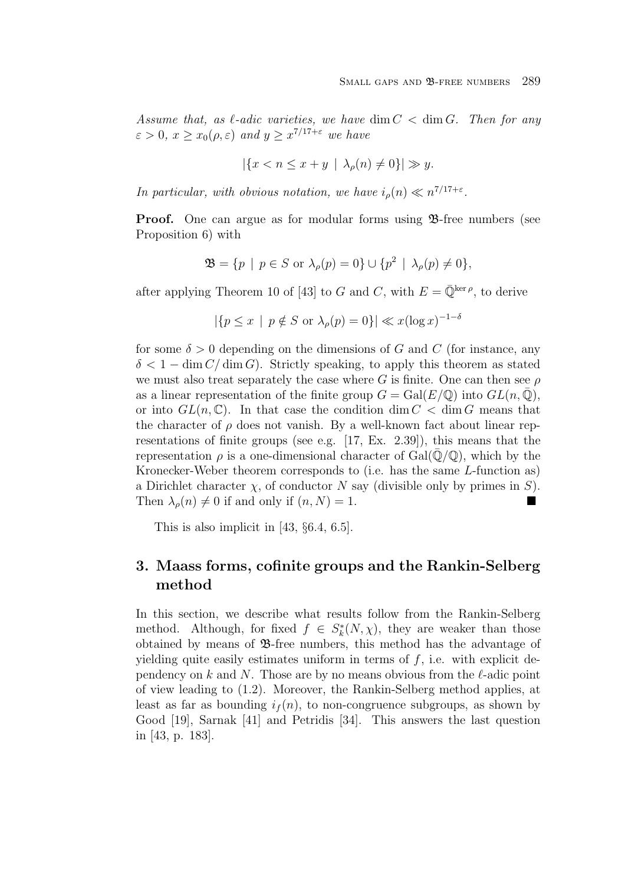Assume that, as  $\ell$ -adic varieties, we have dim  $C < \dim G$ . Then for any  $\varepsilon > 0$ ,  $x > x_0(\rho, \varepsilon)$  and  $y > x^{7/17+\varepsilon}$  we have

$$
|\{x < n \le x + y \mid \lambda_\rho(n) \ne 0\}| \gg y.
$$

In particular, with obvious notation, we have  $i_{\rho}(n) \ll n^{7/17+\epsilon}$ .

**Proof.** One can argue as for modular forms using  $\mathcal{B}$ -free numbers (see Proposition 6) with

$$
\mathfrak{B} = \{ p \mid p \in S \text{ or } \lambda_{\rho}(p) = 0 \} \cup \{ p^2 \mid \lambda_{\rho}(p) \neq 0 \},
$$

after applying Theorem 10 of [43] to G and C, with  $E = \overline{\mathbb{Q}}^{\text{ker }\rho}$ , to derive

$$
|\{p \le x \mid p \notin S \text{ or } \lambda_{\rho}(p) = 0\}| \ll x(\log x)^{-1-\delta}
$$

for some  $\delta > 0$  depending on the dimensions of G and C (for instance, any  $\delta < 1 - \dim C / \dim G$ . Strictly speaking, to apply this theorem as stated we must also treat separately the case where G is finite. One can then see  $\rho$ as a linear representation of the finite group  $G = \text{Gal}(E/\mathbb{Q})$  into  $GL(n, \mathbb{Q})$ , or into  $GL(n,\mathbb{C})$ . In that case the condition dim  $C < \dim G$  means that the character of  $\rho$  does not vanish. By a well-known fact about linear representations of finite groups (see e.g. [17, Ex. 2.39]), this means that the representation  $\rho$  is a one-dimensional character of Gal( $\mathbb{Q}/\mathbb{Q}$ ), which by the Kronecker-Weber theorem corresponds to (i.e. has the same L-function as) a Dirichlet character  $\chi$ , of conductor N say (divisible only by primes in S). Then  $\lambda_o(n) \neq 0$  if and only if  $(n, N) = 1$ .

This is also implicit in [43, §6.4, 6.5].

# **3. Maass forms, cofinite groups and the Rankin-Selberg method**

In this section, we describe what results follow from the Rankin-Selberg method. Although, for fixed  $f \in S_k^*(N, \chi)$ , they are weaker than those obtained by means of B-free numbers, this method has the advantage of yielding quite easily estimates uniform in terms of  $f$ , i.e. with explicit dependency on k and N. Those are by no means obvious from the  $\ell$ -adic point of view leading to (1.2). Moreover, the Rankin-Selberg method applies, at least as far as bounding  $i_f(n)$ , to non-congruence subgroups, as shown by Good [19], Sarnak [41] and Petridis [34]. This answers the last question in [43, p. 183].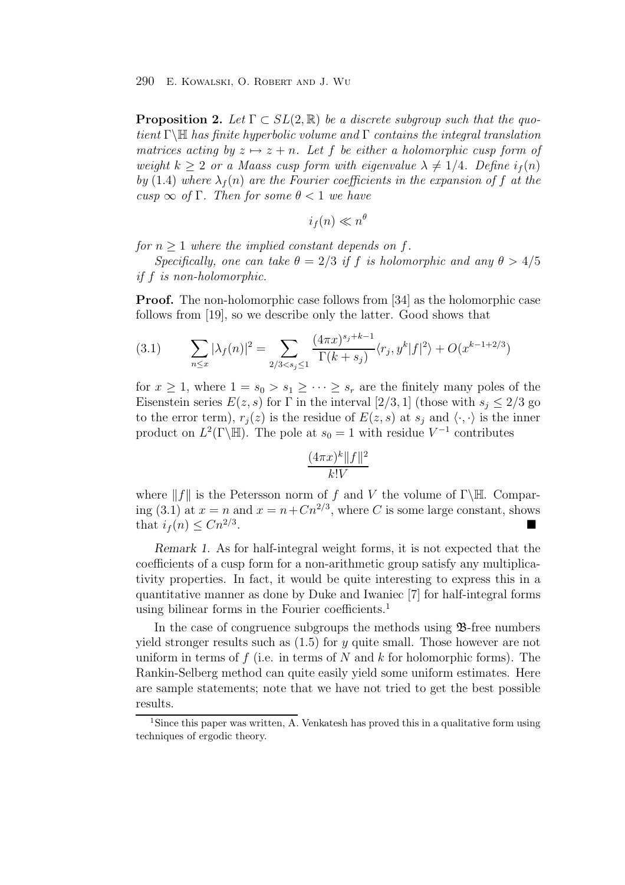**Proposition 2.** Let  $\Gamma \subset SL(2,\mathbb{R})$  be a discrete subgroup such that the quotient Γ $\mathbb{H}$  has finite hyperbolic volume and Γ contains the integral translation matrices acting by  $z \mapsto z + n$ . Let f be either a holomorphic cusp form of weight  $k \geq 2$  or a Maass cusp form with eigenvalue  $\lambda \neq 1/4$ . Define  $i_f(n)$ by (1.4) where  $\lambda_f(n)$  are the Fourier coefficients in the expansion of f at the cusp  $\infty$  of  $\Gamma$ . Then for some  $\theta < 1$  we have

$$
i_f(n) \ll n^{\theta}
$$

for  $n \geq 1$  where the implied constant depends on f.

Specifically, one can take  $\theta = 2/3$  if f is holomorphic and any  $\theta > 4/5$ if f is non-holomorphic.

**Proof.** The non-holomorphic case follows from [34] as the holomorphic case follows from [19], so we describe only the latter. Good shows that

(3.1) 
$$
\sum_{n \le x} |\lambda_f(n)|^2 = \sum_{2/3 < s_j \le 1} \frac{(4\pi x)^{s_j + k - 1}}{\Gamma(k + s_j)} \langle r_j, y^k | f |^2 \rangle + O(x^{k - 1 + 2/3})
$$

for  $x \geq 1$ , where  $1 = s_0 > s_1 \geq \cdots \geq s_r$  are the finitely many poles of the Eisenstein series  $E(z, s)$  for  $\Gamma$  in the interval  $[2/3, 1]$  (those with  $s_j \leq 2/3$  go to the error term),  $r_j(z)$  is the residue of  $E(z, s)$  at  $s_j$  and  $\langle \cdot, \cdot \rangle$  is the inner product on  $L^2(\Gamma \backslash \mathbb{H})$ . The pole at  $s_0 = 1$  with residue  $V^{-1}$  contributes

$$
\frac{(4\pi x)^k\|f\|^2}{k!V}
$$

where  $||f||$  is the Petersson norm of f and V the volume of Γ\H. Comparing (3.1) at  $x = n$  and  $x = n + Cn^{2/3}$ , where C is some large constant, shows that  $i_f(n) \leq C n^{2/3}$ .

*Remark 1.* As for half-integral weight forms, it is not expected that the coefficients of a cusp form for a non-arithmetic group satisfy any multiplicativity properties. In fact, it would be quite interesting to express this in a quantitative manner as done by Duke and Iwaniec [7] for half-integral forms using bilinear forms in the Fourier coefficients.<sup>1</sup>

In the case of congruence subgroups the methods using B-free numbers yield stronger results such as  $(1.5)$  for y quite small. Those however are not uniform in terms of f (i.e. in terms of N and k for holomorphic forms). The Rankin-Selberg method can quite easily yield some uniform estimates. Here are sample statements; note that we have not tried to get the best possible results.

<sup>&</sup>lt;sup>1</sup>Since this paper was written, A. Venkatesh has proved this in a qualitative form using techniques of ergodic theory.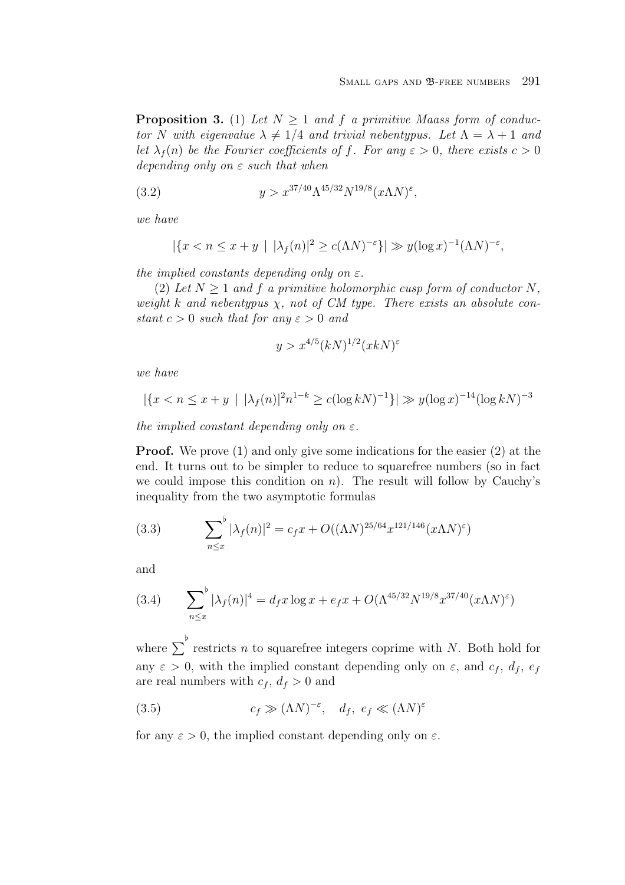**Proposition 3.** (1) Let  $N > 1$  and f a primitive Maass form of conductor N with eigenvalue  $\lambda \neq 1/4$  and trivial nebentypus. Let  $\Lambda = \lambda + 1$  and let  $\lambda_f(n)$  be the Fourier coefficients of f. For any  $\varepsilon > 0$ , there exists  $c > 0$ depending only on  $\varepsilon$  such that when

(3.2) 
$$
y > x^{37/40} \Lambda^{45/32} N^{19/8} (x \Lambda N)^{\epsilon},
$$

we have

$$
|\{x < n \le x + y \mid |\lambda_f(n)|^2 \ge c(\Lambda N)^{-\varepsilon}\}| \gg y(\log x)^{-1}(\Lambda N)^{-\varepsilon},
$$

the implied constants depending only on  $\varepsilon$ .

(2) Let  $N > 1$  and f a primitive holomorphic cusp form of conductor N, weight k and nebentypus  $\chi$ , not of CM type. There exists an absolute constant  $c > 0$  such that for any  $\varepsilon > 0$  and

$$
y > x^{4/5} (kN)^{1/2} (xkN)^{\varepsilon}
$$

we have

$$
|\{x < n \leq x + y \mid |\lambda_f(n)|^2 n^{1-k} \geq c(\log k N)^{-1}\}| \gg y(\log x)^{-14}(\log k N)^{-3}
$$

the implied constant depending only on  $\varepsilon$ .

**Proof.** We prove (1) and only give some indications for the easier (2) at the end. It turns out to be simpler to reduce to squarefree numbers (so in fact we could impose this condition on  $n$ ). The result will follow by Cauchy's inequality from the two asymptotic formulas

(3.3) 
$$
\sum_{n \le x}^{\flat} |\lambda_f(n)|^2 = c_f x + O((\Lambda N)^{25/64} x^{121/146} (x \Lambda N)^{\epsilon})
$$

and

(3.4) 
$$
\sum_{n \le x}^{\flat} |\lambda_f(n)|^4 = d_f x \log x + e_f x + O(\Lambda^{45/32} N^{19/8} x^{37/40} (x \Lambda N)^{\epsilon})
$$

where  $\sum_{n=1}^{\infty}$  restricts n to squarefree integers coprime with N. Both hold for any  $\varepsilon > 0$ , with the implied constant depending only on  $\varepsilon$ , and  $c_f$ ,  $d_f$ ,  $e_f$ are real numbers with  $c_f$ ,  $d_f > 0$  and

(3.5) 
$$
c_f \gg (\Lambda N)^{-\varepsilon}, d_f, e_f \ll (\Lambda N)^{\varepsilon}
$$

for any  $\varepsilon > 0$ , the implied constant depending only on  $\varepsilon$ .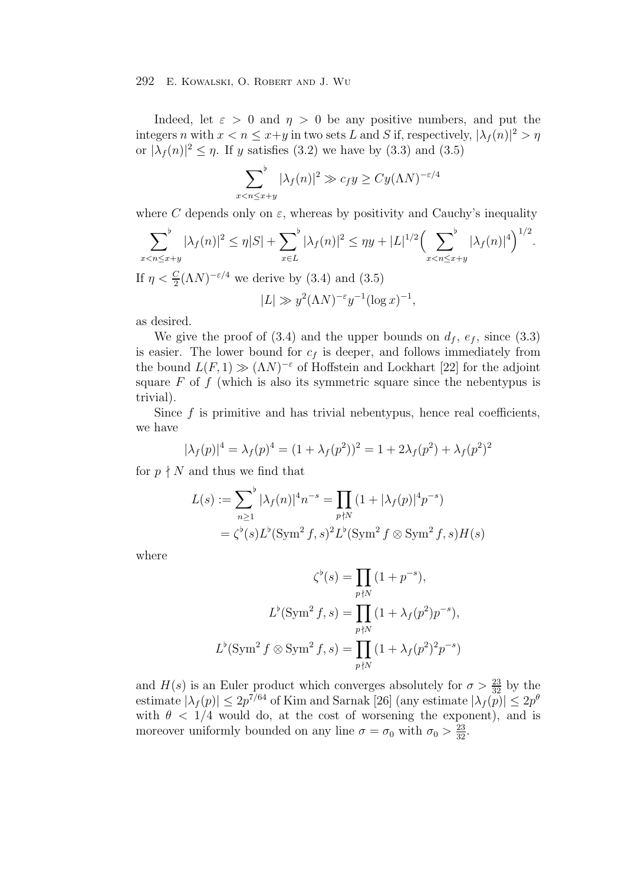Indeed, let  $\varepsilon > 0$  and  $\eta > 0$  be any positive numbers, and put the integers n with  $x < n \leq x+y$  in two sets L and S if, respectively,  $|\lambda_f(n)|^2 > \eta$ or  $|\lambda_f(n)|^2 \leq \eta$ . If y satisfies (3.2) we have by (3.3) and (3.5)

$$
\sum_{x < n \le x+y}^{\flat} |\lambda_f(n)|^2 \gg c_f y \ge C y (\Lambda N)^{-\varepsilon/4}
$$

where C depends only on  $\varepsilon$ , whereas by positivity and Cauchy's inequality

$$
\sum_{x < n \le x+y}^{b} |\lambda_f(n)|^2 \le \eta |S| + \sum_{x \in L}^{b} |\lambda_f(n)|^2 \le \eta y + |L|^{1/2} \Big(\sum_{x < n \le x+y}^{b} |\lambda_f(n)|^4\Big)^{1/2}.
$$
\nIf  $\eta < \frac{C}{2}(\Lambda N)^{-\varepsilon/4}$  we derive by (3.4) and (3.5)

$$
|L| \gg y^2 (\Lambda N)^{-\varepsilon} y^{-1} (\log x)^{-1},
$$

as desired.

We give the proof of  $(3.4)$  and the upper bounds on  $d_f$ ,  $e_f$ , since  $(3.3)$ is easier. The lower bound for  $c_f$  is deeper, and follows immediately from the bound  $L(F, 1) \gg (\Lambda N)^{-\epsilon}$  of Hoffstein and Lockhart [22] for the adjoint square  $F$  of  $f$  (which is also its symmetric square since the nebentypus is trivial).

Since  $f$  is primitive and has trivial nebentypus, hence real coefficients, we have

$$
|\lambda_f(p)|^4 = \lambda_f(p)^4 = (1 + \lambda_f(p^2))^2 = 1 + 2\lambda_f(p^2) + \lambda_f(p^2)^2
$$

for  $p \nmid N$  and thus we find that

$$
L(s) := \sum_{n\geq 1}^{\flat} |\lambda_f(n)|^4 n^{-s} = \prod_{p\nmid N} (1 + |\lambda_f(p)|^4 p^{-s})
$$
  
=  $\zeta^{\flat}(s) L^{\flat}(\text{Sym}^2 f, s)^2 L^{\flat}(\text{Sym}^2 f \otimes \text{Sym}^2 f, s) H(s)$ 

where

$$
\zeta^{\flat}(s) = \prod_{p \nmid N} (1 + p^{-s}),
$$
  

$$
L^{\flat}(\text{Sym}^2 f, s) = \prod_{p \nmid N} (1 + \lambda_f(p^2)p^{-s}),
$$
  

$$
L^{\flat}(\text{Sym}^2 f \otimes \text{Sym}^2 f, s) = \prod_{p \nmid N} (1 + \lambda_f(p^2)^2p^{-s})
$$

and  $H(s)$  is an Euler product which converges absolutely for  $\sigma > \frac{23}{32}$  by the estimate  $|\lambda_f(p)| \le 2p^{7/64}$  of Kim and Sarnak [26] (any estimate  $|\lambda_f(p)| \le 2p^{\theta}$ with  $\theta$  < 1/4 would do, at the cost of worsening the exponent), and is moreover uniformly bounded on any line  $\sigma = \sigma_0$  with  $\sigma_0 > \frac{23}{32}$ .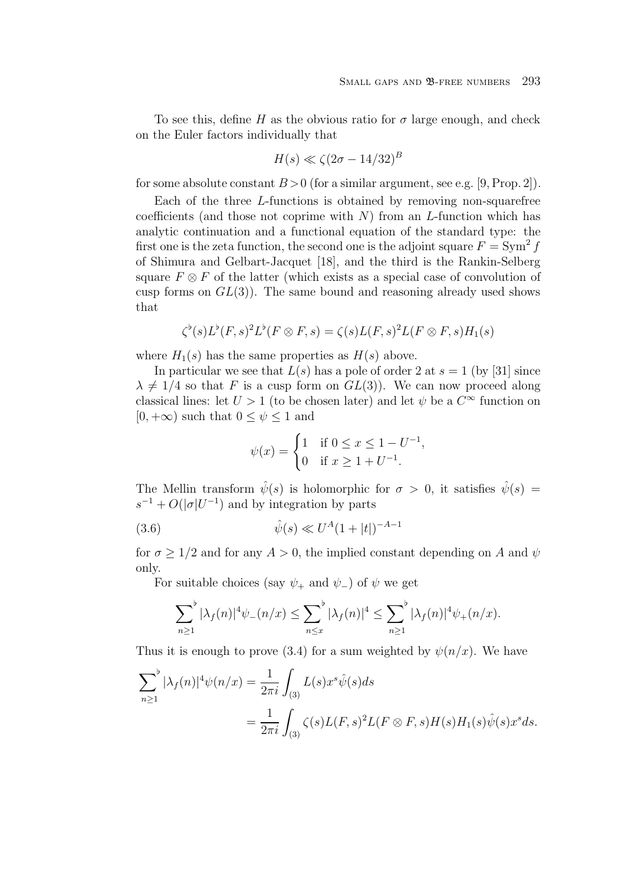To see this, define H as the obvious ratio for  $\sigma$  large enough, and check on the Euler factors individually that

$$
H(s) \ll \zeta (2\sigma - 14/32)^B
$$

for some absolute constant  $B > 0$  (for a similar argument, see e.g. [9, Prop. 2]).

Each of the three L-functions is obtained by removing non-squarefree coefficients (and those not coprime with  $N$ ) from an L-function which has analytic continuation and a functional equation of the standard type: the first one is the zeta function, the second one is the adjoint square  $F = \text{Sym}^2 f$ of Shimura and Gelbart-Jacquet [18], and the third is the Rankin-Selberg square  $F \otimes F$  of the latter (which exists as a special case of convolution of cusp forms on  $GL(3)$ ). The same bound and reasoning already used shows that

$$
\zeta^{\flat}(s)L^{\flat}(F,s)^{2}L^{\flat}(F\otimes F,s)=\zeta(s)L(F,s)^{2}L(F\otimes F,s)H_{1}(s)
$$

where  $H_1(s)$  has the same properties as  $H(s)$  above.

In particular we see that  $L(s)$  has a pole of order 2 at  $s = 1$  (by [31] since  $\lambda \neq 1/4$  so that F is a cusp form on  $GL(3)$ ). We can now proceed along classical lines: let  $U > 1$  (to be chosen later) and let  $\psi$  be a  $C^{\infty}$  function on  $[0, +\infty)$  such that  $0 \leq \psi \leq 1$  and

$$
\psi(x) = \begin{cases} 1 & \text{if } 0 \le x \le 1 - U^{-1}, \\ 0 & \text{if } x \ge 1 + U^{-1}. \end{cases}
$$

The Mellin transform  $\hat{\psi}(s)$  is holomorphic for  $\sigma > 0$ , it satisfies  $\hat{\psi}(s)$  =  $s^{-1} + O(|\sigma|U^{-1})$  and by integration by parts

(3.6) 
$$
\hat{\psi}(s) \ll U^A (1+|t|)^{-A-1}
$$

for  $\sigma > 1/2$  and for any  $A > 0$ , the implied constant depending on A and  $\psi$ only.

For suitable choices (say  $\psi_+$  and  $\psi_-$ ) of  $\psi$  we get

$$
\sum_{n\geq 1}^{b} |\lambda_f(n)|^4 \psi_-(n/x) \leq \sum_{n\leq x}^{b} |\lambda_f(n)|^4 \leq \sum_{n\geq 1}^{b} |\lambda_f(n)|^4 \psi_+(n/x).
$$

Thus it is enough to prove (3.4) for a sum weighted by  $\psi(n/x)$ . We have

$$
\sum_{n\geq 1}^{b} |\lambda_f(n)|^4 \psi(n/x) = \frac{1}{2\pi i} \int_{(3)} L(s) x^s \hat{\psi}(s) ds
$$
  
= 
$$
\frac{1}{2\pi i} \int_{(3)} \zeta(s) L(F,s)^2 L(F \otimes F, s) H(s) H_1(s) \hat{\psi}(s) x^s ds.
$$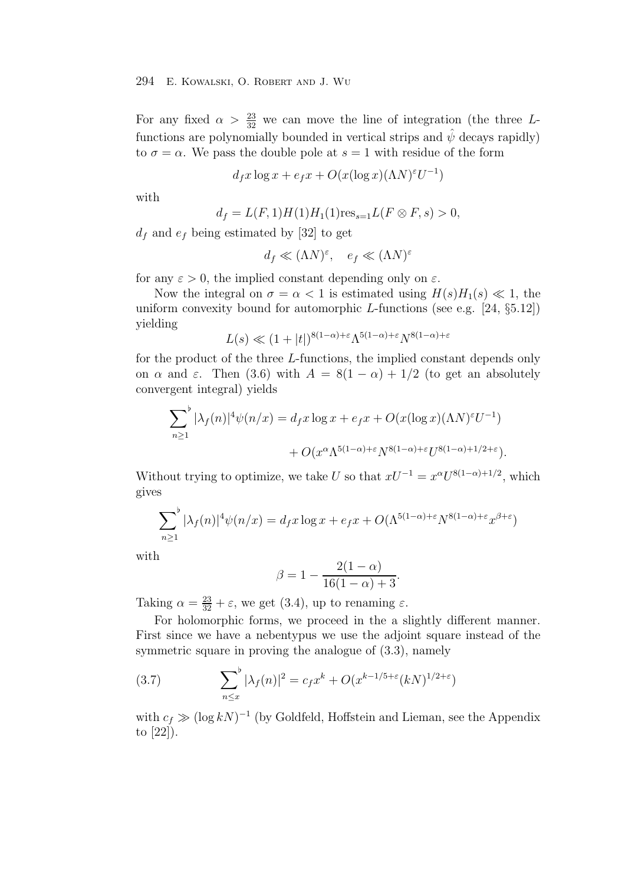For any fixed  $\alpha > \frac{23}{32}$  we can move the line of integration (the three L-<br>functions are nalunamially have ded in vertical string and  $\hat{\psi}$  decays naridly) functions are polynomially bounded in vertical strips and  $\hat{\psi}$  decays rapidly) to  $\sigma = \alpha$ . We pass the double pole at  $s = 1$  with residue of the form

$$
d_f x \log x + e_f x + O(x(\log x)(\Lambda N)^{\varepsilon} U^{-1})
$$

with

$$
d_f = L(F, 1)H(1)H_1(1)res_{s=1}L(F \otimes F, s) > 0,
$$

 $d_f$  and  $e_f$  being estimated by [32] to get

$$
d_f \ll (\Lambda N)^{\varepsilon}, \quad e_f \ll (\Lambda N)^{\varepsilon}
$$

for any  $\varepsilon > 0$ , the implied constant depending only on  $\varepsilon$ .

Now the integral on  $\sigma = \alpha < 1$  is estimated using  $H(s)H_1(s) \ll 1$ , the uniform convexity bound for automorphic L-functions (see e.g.  $[24, §5.12]$ ) yielding

$$
L(s) \ll (1+|t|)^{8(1-\alpha)+\varepsilon} \Lambda^{5(1-\alpha)+\varepsilon} N^{8(1-\alpha)+\varepsilon}
$$

for the product of the three L-functions, the implied constant depends only on  $\alpha$  and  $\varepsilon$ . Then (3.6) with  $A = 8(1 - \alpha) + 1/2$  (to get an absolutely convergent integral) yields

$$
\sum_{n\geq 1}^{b} |\lambda_f(n)|^4 \psi(n/x) = d_f x \log x + e_f x + O(x(\log x)(\Lambda N)^{\varepsilon} U^{-1})
$$
  
+ 
$$
O(x^{\alpha} \Lambda^{5(1-\alpha)+\varepsilon} N^{8(1-\alpha)+\varepsilon} U^{8(1-\alpha)+1/2+\varepsilon}).
$$

Without trying to optimize, we take U so that  $xU^{-1} = x^{\alpha}U^{8(1-\alpha)+1/2}$ , which gives

$$
\sum_{n\geq 1}^{b} |\lambda_f(n)|^4 \psi(n/x) = d_f x \log x + e_f x + O(\Lambda^{5(1-\alpha)+\varepsilon} N^{8(1-\alpha)+\varepsilon} x^{\beta+\varepsilon})
$$

with

$$
\beta = 1 - \frac{2(1 - \alpha)}{16(1 - \alpha) + 3}.
$$

Taking  $\alpha = \frac{23}{32} + \varepsilon$ , we get (3.4), up to renaming  $\varepsilon$ .

For holomorphic forms, we proceed in the a slightly different manner. First since we have a nebentypus we use the adjoint square instead of the symmetric square in proving the analogue of (3.3), namely

(3.7) 
$$
\sum_{n \le x}^{\flat} |\lambda_f(n)|^2 = c_f x^k + O(x^{k-1/5+\epsilon}(kN)^{1/2+\epsilon})
$$

with  $c_f \gg (\log kN)^{-1}$  (by Goldfeld, Hoffstein and Lieman, see the Appendix to [22]).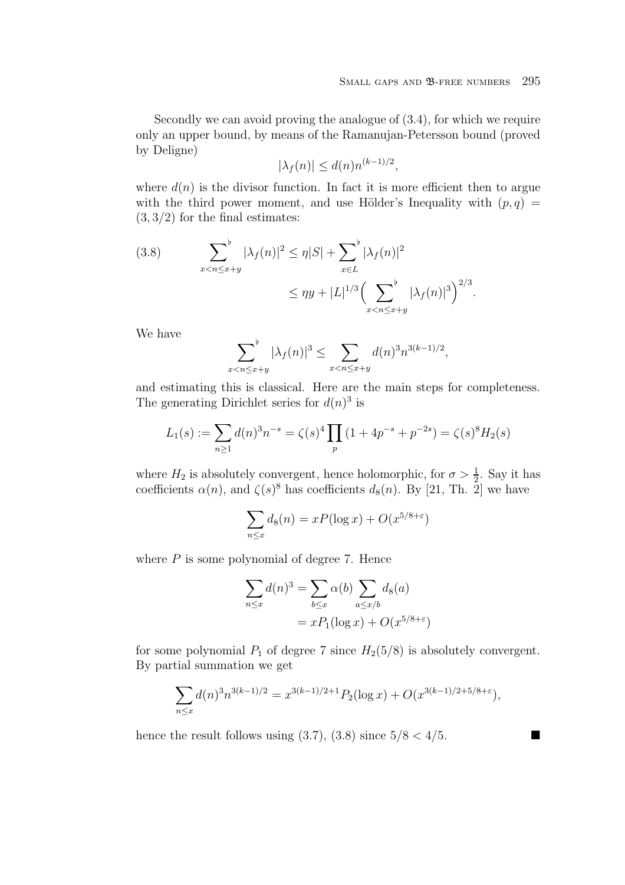Secondly we can avoid proving the analogue of (3.4), for which we require only an upper bound, by means of the Ramanujan-Petersson bound (proved by Deligne)

$$
|\lambda_f(n)| \le d(n)n^{(k-1)/2},
$$

where  $d(n)$  is the divisor function. In fact it is more efficient then to argue with the third power moment, and use Hölder's Inequality with  $(p, q)$  $(3, 3/2)$  for the final estimates:

(3.8) 
$$
\sum_{x < n \le x+y}^{\flat} |\lambda_f(n)|^2 \le \eta |S| + \sum_{x \in L}^{\flat} |\lambda_f(n)|^2
$$

$$
\le \eta y + |L|^{1/3} \Big( \sum_{x < n \le x+y}^{\flat} |\lambda_f(n)|^3 \Big)^{2/3}.
$$

We have

$$
\sum_{x < n \le x+y}^{\flat} |\lambda_f(n)|^3 \le \sum_{x < n \le x+y} d(n)^3 n^{3(k-1)/2},
$$

and estimating this is classical. Here are the main steps for completeness. The generating Dirichlet series for  $d(n)^3$  is

$$
L_1(s) := \sum_{n \ge 1} d(n)^3 n^{-s} = \zeta(s)^4 \prod_p \left(1 + 4p^{-s} + p^{-2s}\right) = \zeta(s)^8 H_2(s)
$$

where  $H_2$  is absolutely convergent, hence holomorphic, for  $\sigma > \frac{1}{2}$ . Say it has coefficients  $\alpha(n)$ , and  $\zeta(s)^8$  has coefficients  $d_8(n)$ . By [21, Th. 2] we have

$$
\sum_{n \le x} d_8(n) = xP(\log x) + O(x^{5/8 + \varepsilon})
$$

where  $P$  is some polynomial of degree 7. Hence

$$
\sum_{n \le x} d(n)^3 = \sum_{b \le x} \alpha(b) \sum_{a \le x/b} d_8(a)
$$

$$
= xP_1(\log x) + O(x^{5/8 + \varepsilon})
$$

for some polynomial  $P_1$  of degree 7 since  $H_2(5/8)$  is absolutely convergent. By partial summation we get

$$
\sum_{n \le x} d(n)^3 n^{3(k-1)/2} = x^{3(k-1)/2+1} P_2(\log x) + O(x^{3(k-1)/2+5/8+\varepsilon}),
$$

hence the result follows using (3.7), (3.8) since  $5/8 < 4/5$ .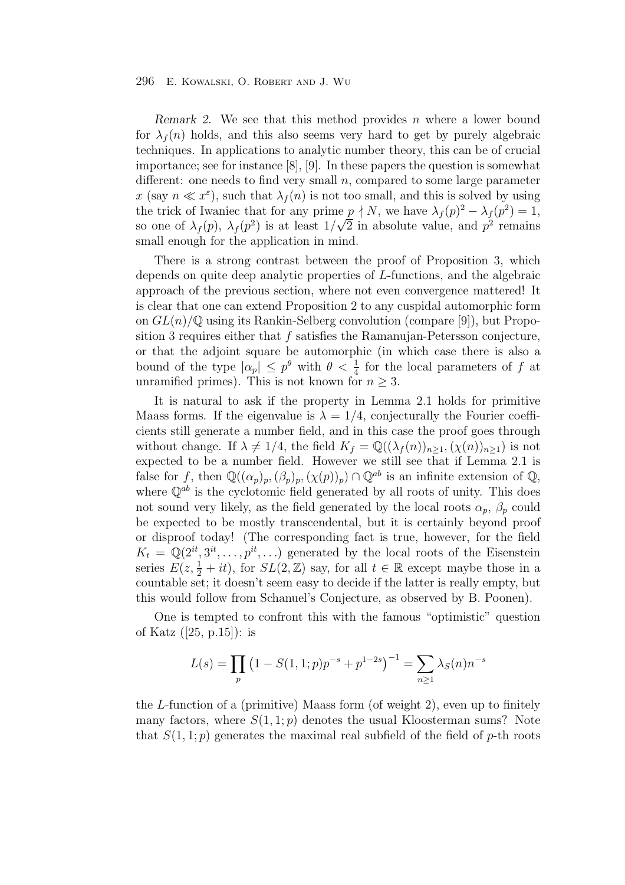*Remark 2.* We see that this method provides n where a lower bound for  $\lambda_f(n)$  holds, and this also seems very hard to get by purely algebraic techniques. In applications to analytic number theory, this can be of crucial importance; see for instance [8], [9]. In these papers the question is somewhat different: one needs to find very small  $n$ , compared to some large parameter x (say  $n \ll x^{\varepsilon}$ ), such that  $\lambda_f(n)$  is not too small, and this is solved by using the trick of Iwaniec that for any prime  $p \nmid N$ , we have  $\lambda_f(p)^2 - \lambda_f(p^2) = 1$ , so one of  $\lambda_f(p)$ ,  $\lambda_f(p^2)$  is at least  $1/\sqrt{2}$  in absolute value, and  $p^2$  remains small enough for the application in mind.

There is a strong contrast between the proof of Proposition 3, which depends on quite deep analytic properties of L-functions, and the algebraic approach of the previous section, where not even convergence mattered! It is clear that one can extend Proposition 2 to any cuspidal automorphic form on  $GL(n)/\mathbb{Q}$  using its Rankin-Selberg convolution (compare [9]), but Proposition 3 requires either that  $f$  satisfies the Ramanujan-Petersson conjecture, or that the adjoint square be automorphic (in which case there is also a bound of the type  $|\alpha_p| \leq p^{\theta}$  with  $\theta < \frac{1}{4}$  for the local parameters of f at unramified primes). This is not known for  $n > 3$ unramified primes). This is not known for  $n \geq 3$ .

It is natural to ask if the property in Lemma 2.1 holds for primitive Maass forms. If the eigenvalue is  $\lambda = 1/4$ , conjecturally the Fourier coefficients still generate a number field, and in this case the proof goes through without change. If  $\lambda \neq 1/4$ , the field  $K_f = \mathbb{Q}((\lambda_f(n))_{n \geq 1}, (\chi(n))_{n \geq 1})$  is not expected to be a number field. However we still see that if Lemma 2.1 is false for f, then  $\mathbb{Q}((\alpha_p)_p,(\beta_p)_p,(\chi(p))_p)\cap \mathbb{Q}^{ab}$  is an infinite extension of  $\mathbb{Q}$ , where  $\mathbb{O}^{ab}$  is the cyclotomic field generated by all roots of unity. This does not sound very likely, as the field generated by the local roots  $\alpha_p$ ,  $\beta_p$  could be expected to be mostly transcendental, but it is certainly beyond proof or disproof today! (The corresponding fact is true, however, for the field  $K_t = \mathbb{Q}(2^{it}, 3^{it}, \ldots, p^{it}, \ldots)$  generated by the local roots of the Eisenstein series  $E(z, \frac{1}{2} + it)$ , for  $SL(2, \mathbb{Z})$  say, for all  $t \in \mathbb{R}$  except maybe those in a<br>countable set: it doesn't seem easy to decide if the latter is really empty but countable set; it doesn't seem easy to decide if the latter is really empty, but this would follow from Schanuel's Conjecture, as observed by B. Poonen).

One is tempted to confront this with the famous "optimistic" question of Katz ([25, p.15]): is

$$
L(s) = \prod_{p} \left( 1 - S(1, 1; p) p^{-s} + p^{1-2s} \right)^{-1} = \sum_{n \ge 1} \lambda_S(n) n^{-s}
$$

the  $L$ -function of a (primitive) Maass form (of weight 2), even up to finitely many factors, where  $S(1,1;p)$  denotes the usual Kloosterman sums? Note that  $S(1,1;p)$  generates the maximal real subfield of the field of p-th roots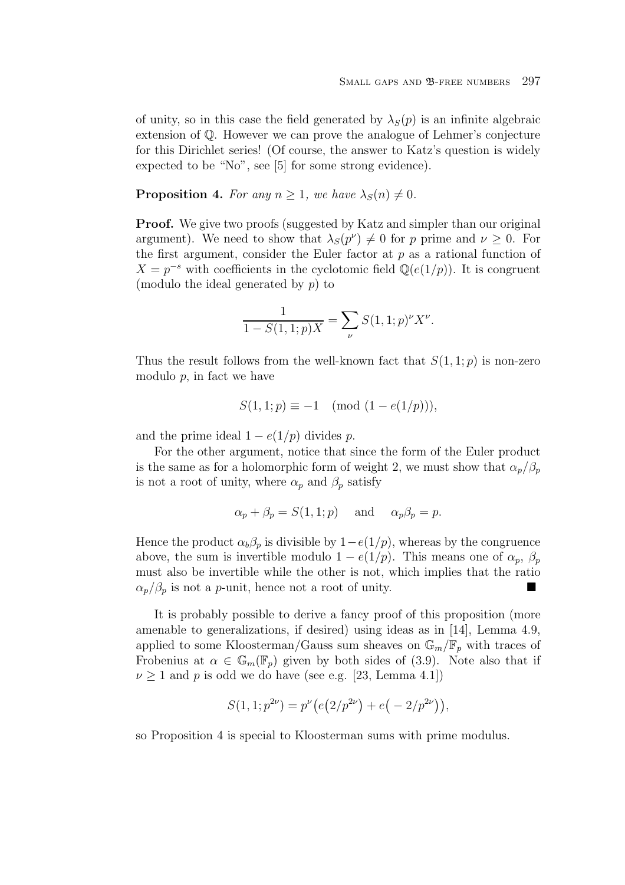of unity, so in this case the field generated by  $\lambda_S(p)$  is an infinite algebraic extension of Q. However we can prove the analogue of Lehmer's conjecture for this Dirichlet series! (Of course, the answer to Katz's question is widely expected to be "No", see [5] for some strong evidence).

**Proposition 4.** For any  $n \geq 1$ , we have  $\lambda_S(n) \neq 0$ .

**Proof.** We give two proofs (suggested by Katz and simpler than our original argument). We need to show that  $\lambda_S(p^\nu) \neq 0$  for p prime and  $\nu \geq 0$ . For the first argument, consider the Euler factor at  $p$  as a rational function of  $X = p^{-s}$  with coefficients in the cyclotomic field  $\mathbb{Q}(e(1/p))$ . It is congruent (modulo the ideal generated by  $p$ ) to

$$
\frac{1}{1 - S(1, 1; p)X} = \sum_{\nu} S(1, 1; p)^{\nu} X^{\nu}.
$$

Thus the result follows from the well-known fact that  $S(1, 1; p)$  is non-zero modulo  $p$ , in fact we have

$$
S(1, 1; p) \equiv -1 \pmod{(1 - e(1/p))},
$$

and the prime ideal  $1 - e(1/p)$  divides p.

For the other argument, notice that since the form of the Euler product is the same as for a holomorphic form of weight 2, we must show that  $\alpha_p/\beta_p$ is not a root of unity, where  $\alpha_p$  and  $\beta_p$  satisfy

$$
\alpha_p + \beta_p = S(1, 1; p)
$$
 and  $\alpha_p \beta_p = p$ .

Hence the product  $\alpha_b \beta_p$  is divisible by  $1-e(1/p)$ , whereas by the congruence above, the sum is invertible modulo  $1 - e(1/p)$ . This means one of  $\alpha_p$ ,  $\beta_p$ must also be invertible while the other is not, which implies that the ratio  $\alpha_p/\beta_p$  is not a *p*-unit, hence not a root of unity.

It is probably possible to derive a fancy proof of this proposition (more amenable to generalizations, if desired) using ideas as in [14], Lemma 4.9, applied to some Kloosterman/Gauss sum sheaves on  $\mathbb{G}_m/\mathbb{F}_p$  with traces of Frobenius at  $\alpha \in \mathbb{G}_m(\mathbb{F}_p)$  given by both sides of (3.9). Note also that if  $\nu \geq 1$  and p is odd we do have (see e.g. [23, Lemma 4.1])

$$
S(1, 1; p^{2\nu}) = p^{\nu} (e(2/p^{2\nu}) + e(-2/p^{2\nu})),
$$

so Proposition 4 is special to Kloosterman sums with prime modulus.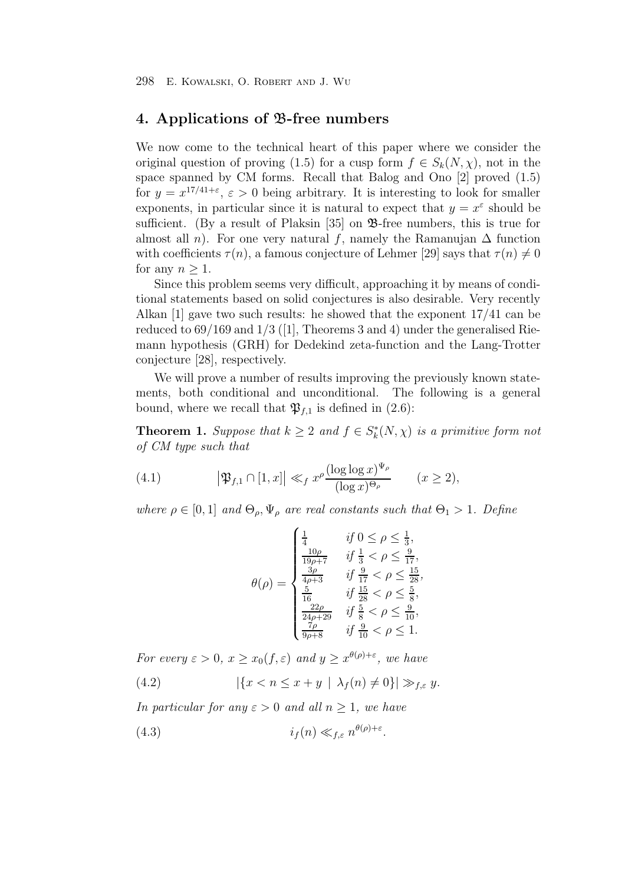## **4. Applications of** B**-free numbers**

We now come to the technical heart of this paper where we consider the original question of proving (1.5) for a cusp form  $f \in S_k(N,\chi)$ , not in the space spanned by CM forms. Recall that Balog and Ono [2] proved (1.5) for  $y = x^{17/41+\epsilon}$ ,  $\epsilon > 0$  being arbitrary. It is interesting to look for smaller exponents, in particular since it is natural to expect that  $y = x^{\varepsilon}$  should be sufficient. (By a result of Plaksin  $[35]$  on  $\mathcal{B}$ -free numbers, this is true for almost all *n*). For one very natural f, namely the Ramanujan  $\Delta$  function with coefficients  $\tau(n)$ , a famous conjecture of Lehmer [29] says that  $\tau(n) \neq 0$ for any  $n > 1$ .

Since this problem seems very difficult, approaching it by means of conditional statements based on solid conjectures is also desirable. Very recently Alkan [1] gave two such results: he showed that the exponent 17/41 can be reduced to  $69/169$  and  $1/3$  ([1], Theorems 3 and 4) under the generalised Riemann hypothesis (GRH) for Dedekind zeta-function and the Lang-Trotter conjecture [28], respectively.

We will prove a number of results improving the previously known statements, both conditional and unconditional. The following is a general bound, where we recall that  $\mathfrak{P}_{f,1}$  is defined in (2.6):

**Theorem 1.** Suppose that  $k \geq 2$  and  $f \in S_k^*(N, \chi)$  is a primitive form not of CM type such that

(4.1) 
$$
\left|\mathfrak{P}_{f,1}\cap[1,x]\right| \ll_f x^{\rho} \frac{(\log\log x)^{\Psi_{\rho}}}{(\log x)^{\Theta_{\rho}}} \qquad (x \geq 2),
$$

where  $\rho \in [0,1]$  and  $\Theta_{\rho}, \Psi_{\rho}$  are real constants such that  $\Theta_1 > 1$ . Define

$$
\theta(\rho) = \begin{cases}\n\frac{1}{4} & \text{if } 0 \le \rho \le \frac{1}{3}, \\
\frac{10\rho}{19\rho + 7} & \text{if } \frac{1}{3} < \rho \le \frac{9}{17}, \\
\frac{3\rho}{4\rho + 3} & \text{if } \frac{19}{17} < \rho \le \frac{15}{28}, \\
\frac{5}{16} & \text{if } \frac{15}{28} < \rho \le \frac{5}{8}, \\
\frac{22\rho}{24\rho + 29} & \text{if } \frac{5}{8} < \rho \le \frac{9}{10}, \\
\frac{7\rho}{9\rho + 8} & \text{if } \frac{9}{10} < \rho \le 1.\n\end{cases}
$$

For every  $\varepsilon > 0$ ,  $x \ge x_0(f, \varepsilon)$  and  $y \ge x^{\theta(\rho)+\varepsilon}$ , we have

(4.2) 
$$
|\{x < n \le x + y \mid \lambda_f(n) \neq 0\}| \gg_{f,\varepsilon} y.
$$

In particular for any  $\varepsilon > 0$  and all  $n > 1$ , we have

$$
(4.3) \t\t if(n) \ll_{f,\varepsilon} n^{\theta(\rho)+\varepsilon}.
$$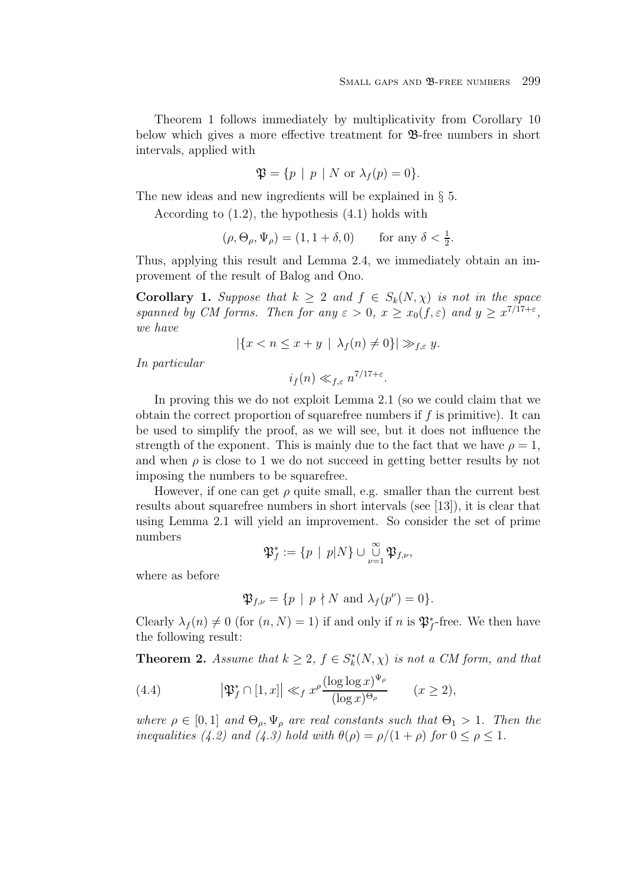Theorem 1 follows immediately by multiplicativity from Corollary 10 below which gives a more effective treatment for B-free numbers in short intervals, applied with

$$
\mathfrak{P} = \{ p \mid p \mid N \text{ or } \lambda_f(p) = 0 \}.
$$

The new ideas and new ingredients will be explained in  $\S$  5.

According to (1.2), the hypothesis (4.1) holds with

$$
(\rho, \Theta_{\rho}, \Psi_{\rho}) = (1, 1 + \delta, 0) \quad \text{for any } \delta < \frac{1}{2}.
$$

Thus, applying this result and Lemma 2.4, we immediately obtain an improvement of the result of Balog and Ono.

**Corollary 1.** Suppose that  $k \geq 2$  and  $f \in S_k(N, \chi)$  is not in the space spanned by CM forms. Then for any  $\varepsilon > 0$ ,  $x \ge x_0(f, \varepsilon)$  and  $y \ge x^{7/17+\varepsilon}$ , we have

$$
|\{x < n \le x + y \mid \lambda_f(n) \ne 0\}| \gg_{f,\varepsilon} y.
$$

In particular

 $i_f(n) \ll_{f,\varepsilon} n^{7/17+\varepsilon}.$ 

In proving this we do not exploit Lemma 2.1 (so we could claim that we obtain the correct proportion of squarefree numbers if  $f$  is primitive). It can be used to simplify the proof, as we will see, but it does not influence the strength of the exponent. This is mainly due to the fact that we have  $\rho = 1$ , and when  $\rho$  is close to 1 we do not succeed in getting better results by not imposing the numbers to be squarefree.

However, if one can get  $\rho$  quite small, e.g. smaller than the current best results about squarefree numbers in short intervals (see [13]), it is clear that using Lemma 2.1 will yield an improvement. So consider the set of prime numbers

$$
\mathfrak{P}_f^* := \{ p \mid p | N \} \cup \bigcup_{\nu=1}^{\infty} \mathfrak{P}_{f,\nu},
$$

where as before

$$
\mathfrak{P}_{f,\nu} = \{ p \mid p \nmid N \text{ and } \lambda_f(p^{\nu}) = 0 \}.
$$

Clearly  $\lambda_f(n) \neq 0$  (for  $(n, N) = 1$ ) if and only if n is  $\mathfrak{P}_f^*$ -free. We then have the following result:

**Theorem 2.** Assume that  $k \geq 2$ ,  $f \in S_k^*(N, \chi)$  is not a CM form, and that

(4.4) 
$$
\left|\mathfrak{P}_f^*\cap[1,x]\right| \ll_f x^{\rho} \frac{(\log\log x)^{\Psi_{\rho}}}{(\log x)^{\Theta_{\rho}}} \qquad (x \geq 2),
$$

where  $\rho \in [0,1]$  and  $\Theta_{\rho}, \Psi_{\rho}$  are real constants such that  $\Theta_1 > 1$ . Then the inequalities (4.2) and (4.3) hold with  $\theta(\rho) = \rho/(1+\rho)$  for  $0 \le \rho \le 1$ .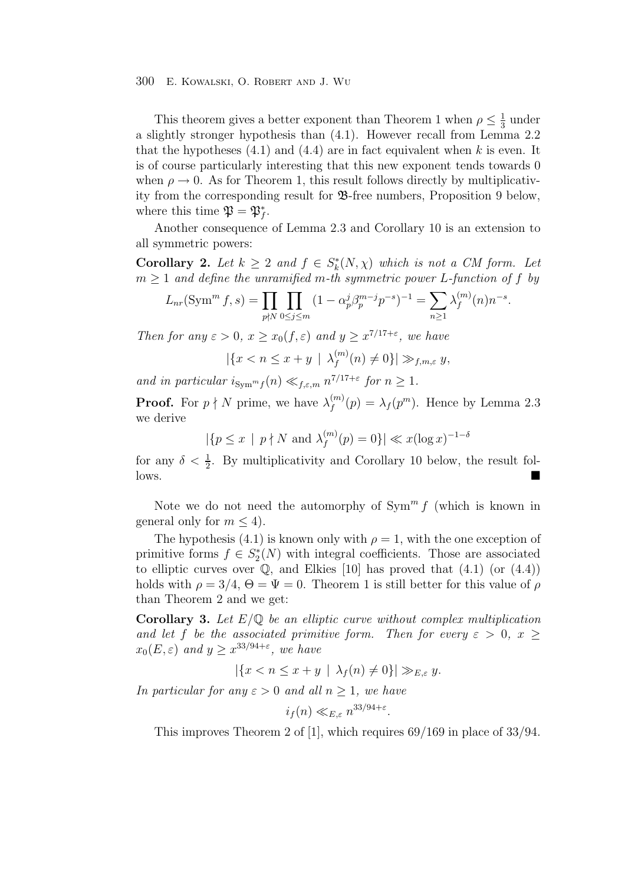This theorem gives a better exponent than Theorem 1 when  $\rho \leq \frac{1}{3}$  under<br>ightly stronger hypothesis than (4.1). However recall from Lemma 2.2 a slightly stronger hypothesis than (4.1). However recall from Lemma 2.2 that the hypotheses  $(4.1)$  and  $(4.4)$  are in fact equivalent when k is even. It is of course particularly interesting that this new exponent tends towards 0 when  $\rho \rightarrow 0$ . As for Theorem 1, this result follows directly by multiplicativity from the corresponding result for B-free numbers, Proposition 9 below, where this time  $\mathfrak{P} = \mathfrak{P}_f^*$ .

Another consequence of Lemma 2.3 and Corollary 10 is an extension to all symmetric powers:

**Corollary 2.** Let  $k \geq 2$  and  $f \in S_k^*(N, \chi)$  which is not a CM form. Let  $m \geq 1$  and define the unramified m-th symmetric power L-function of f by

$$
L_{nr}(\text{Sym}^m f, s) = \prod_{p \nmid N} \prod_{0 \le j \le m} (1 - \alpha_p^j \beta_p^{m-j} p^{-s})^{-1} = \sum_{n \ge 1} \lambda_f^{(m)}(n) n^{-s}.
$$

Then for any  $\varepsilon > 0$ ,  $x \ge x_0(f, \varepsilon)$  and  $y > x^{7/17+\varepsilon}$ , we have

$$
|\{x < n \le x + y \mid \lambda_f^{(m)}(n) \ne 0\}| \gg_{f,m,\varepsilon} y,
$$

and in particular  $i_{\text{Sym}^m f}(n) \ll_{f,\varepsilon,m} n^{7/17+\varepsilon}$  for  $n \geq 1$ .

**Proof.** For  $p \nmid N$  prime, we have  $\lambda_f^{(m)}(p) = \lambda_f(p^m)$ . Hence by Lemma 2.3 we derive

 $|\{p \le x \mid p \nmid N \text{ and } \lambda_f^{(m)}(p) = 0\}| \ll x(\log x)^{-1-\delta}$ 

for any  $\delta < \frac{1}{2}$ . By multiplicativity and Corollary 10 below, the result follows.

Note we do not need the automorphy of  $\text{Sym}^m f$  (which is known in general only for  $m \leq 4$ .

The hypothesis (4.1) is known only with  $\rho = 1$ , with the one exception of primitive forms  $f \in S_2^*(N)$  with integral coefficients. Those are associated<br>to elliptic gurus over  $\mathbb{R}$  and Ellips [10] has proved that (4.1) (or (4.4)) to elliptic curves over  $\mathbb{Q}$ , and Elkies [10] has proved that (4.1) (or (4.4)) holds with  $\rho = 3/4$ ,  $\Theta = \Psi = 0$ . Theorem 1 is still better for this value of  $\rho$ than Theorem 2 and we get:

**Corollary 3.** Let  $E/\mathbb{Q}$  be an elliptic curve without complex multiplication and let f be the associated primitive form. Then for every  $\varepsilon > 0$ ,  $x \geq$  $x_0(E,\varepsilon)$  and  $y \geq x^{33/94+\varepsilon}$ , we have

$$
|\{x < n \le x + y \mid \lambda_f(n) \ne 0\}| \gg_{E,\varepsilon} y.
$$

In particular for any  $\varepsilon > 0$  and all  $n \geq 1$ , we have

 $i_f(n) \ll_{E,\varepsilon} n^{33/94+\varepsilon}.$ 

This improves Theorem 2 of [1], which requires 69/169 in place of 33/94.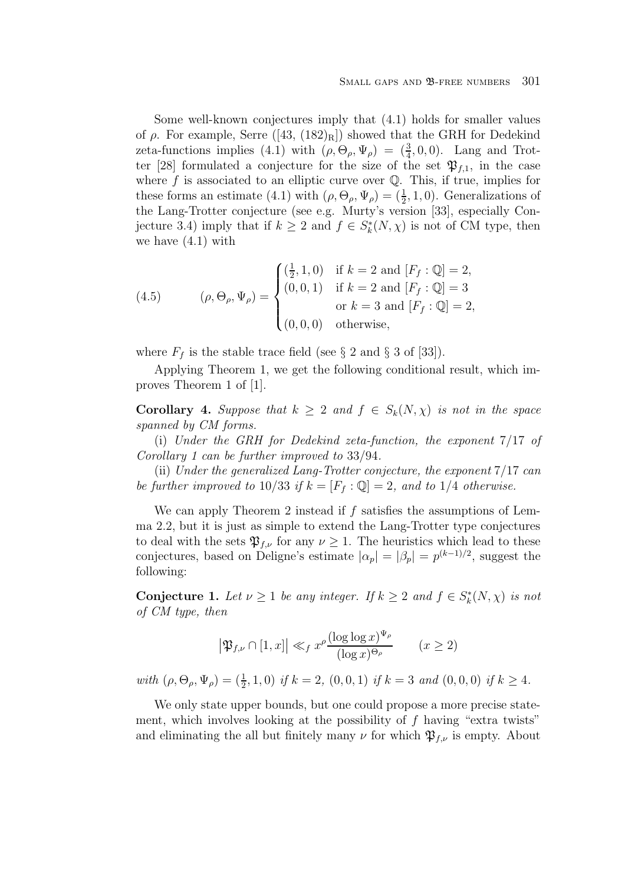Some well-known conjectures imply that (4.1) holds for smaller values of  $\rho$ . For example, Serre ([43, (182)<sub>R</sub>]) showed that the GRH for Dedekind zeta-functions implies (4.1) with  $(\rho, \Theta_{\rho}, \Psi_{\rho}) = (\frac{3}{4}, 0, 0)$ . Lang and Trot-<br>ter [28] formulated a conjecture for the size of the set  $\mathfrak{R}_{\varepsilon}$  in the case ter [28] formulated a conjecture for the size of the set  $\mathfrak{P}_{f,1}$ , in the case where  $f$  is associated to an elliptic curve over  $\mathbb Q$ . This, if true, implies for these forms an estimate (4.1) with  $(\rho, \Theta_{\rho}, \Psi_{\rho}) = (\frac{1}{2}, 1, 0)$ . Generalizations of<br>the Lang-Trotter conjecture (see e.g. Murty's version [33], especially Conthe Lang-Trotter conjecture (see e.g. Murty's version [33], especially Conjecture 3.4) imply that if  $k \geq 2$  and  $f \in S_k^*(N, \chi)$  is not of CM type, then we have (4.1) with

(4.5) 
$$
(\rho, \Theta_{\rho}, \Psi_{\rho}) = \begin{cases} (\frac{1}{2}, 1, 0) & \text{if } k = 2 \text{ and } [F_f : \mathbb{Q}] = 2, \\ (0, 0, 1) & \text{if } k = 2 \text{ and } [F_f : \mathbb{Q}] = 3 \\ & \text{or } k = 3 \text{ and } [F_f : \mathbb{Q}] = 2, \\ (0, 0, 0) & \text{otherwise,} \end{cases}
$$

where  $F_f$  is the stable trace field (see § 2 and § 3 of [33]).

Applying Theorem 1, we get the following conditional result, which improves Theorem 1 of [1].

**Corollary 4.** Suppose that  $k \geq 2$  and  $f \in S_k(N, \chi)$  is not in the space spanned by CM forms.

(i) Under the GRH for Dedekind zeta-function, the exponent 7/17 of Corollary 1 can be further improved to 33/94.

(ii) Under the generalized Lang-Trotter conjecture, the exponent 7/17 can be further improved to 10/33 if  $k = [F_f : \mathbb{Q}] = 2$ , and to 1/4 otherwise.

We can apply Theorem 2 instead if  $f$  satisfies the assumptions of Lemma 2.2, but it is just as simple to extend the Lang-Trotter type conjectures to deal with the sets  $\mathfrak{P}_{f,\nu}$  for any  $\nu \geq 1$ . The heuristics which lead to these conjectures, based on Deligne's estimate  $|\alpha_p| = |\beta_p| = p^{(k-1)/2}$ , suggest the following:

**Conjecture 1.** Let  $\nu \geq 1$  be any integer. If  $k \geq 2$  and  $f \in S_k^*(N, \chi)$  is not of CM type, then

$$
\left|\mathfrak{P}_{f,\nu}\cap [1,x]\right|\ll_f x^\rho\frac{(\log\log x)^{\Psi_\rho}}{(\log x)^{\Theta_\rho}}\qquad (x\geq 2)
$$

with  $(\rho, \Theta_{\rho}, \Psi_{\rho}) = (\frac{1}{2}, 1, 0)$  if  $k = 2$ ,  $(0, 0, 1)$  if  $k = 3$  and  $(0, 0, 0)$  if  $k \ge 4$ .

We only state upper bounds, but one could propose a more precise statement, which involves looking at the possibility of  $f$  having "extra twists" and eliminating the all but finitely many  $\nu$  for which  $\mathfrak{P}_{f,\nu}$  is empty. About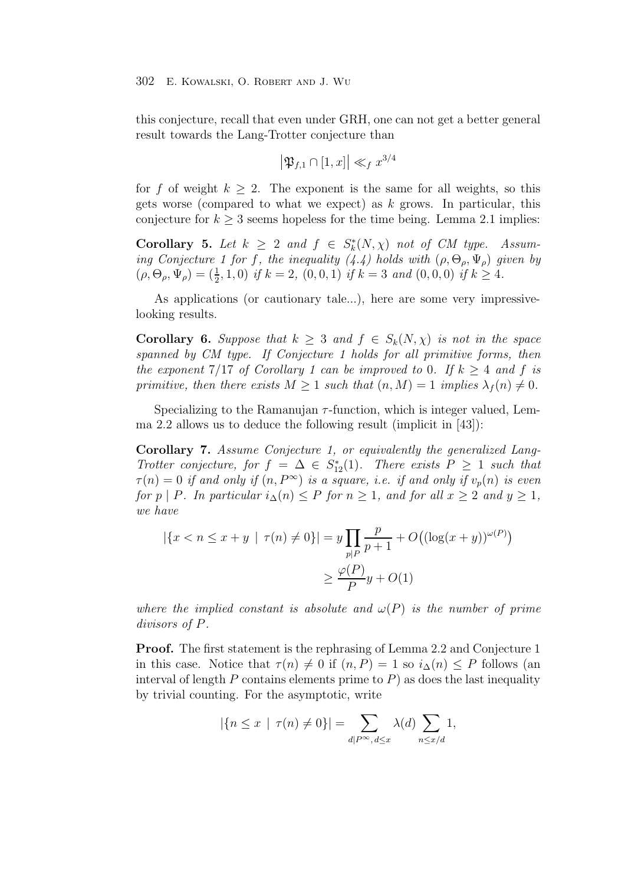this conjecture, recall that even under GRH, one can not get a better general result towards the Lang-Trotter conjecture than

$$
\left|\mathfrak{P}_{f,1}\cap[1,x]\right|\ll_f x^{3/4}
$$

for f of weight  $k \geq 2$ . The exponent is the same for all weights, so this gets worse (compared to what we expect) as  $k$  grows. In particular, this conjecture for  $k \geq 3$  seems hopeless for the time being. Lemma 2.1 implies:

**Corollary 5.** Let  $k \geq 2$  and  $f \in S_k^*(N, \chi)$  not of CM type. Assuming Conjecture 1 for f, the inequality  $(4.4)$  holds with  $(\rho, \Theta_{\rho}, \Psi_{\rho})$  given by  $(\rho, \Theta_{\rho}, \Psi_{\rho}) = (\frac{1}{2}, 1, 0)$  if  $k = 2$ ,  $(0, 0, 1)$  if  $k = 3$  and  $(0, 0, 0)$  if  $k \ge 4$ .

As applications (or cautionary tale...), here are some very impressivelooking results.

**Corollary 6.** Suppose that  $k \geq 3$  and  $f \in S_k(N, \chi)$  is not in the space spanned by CM type. If Conjecture 1 holds for all primitive forms, then the exponent 7/17 of Corollary 1 can be improved to 0. If  $k \geq 4$  and f is primitive, then there exists  $M > 1$  such that  $(n, M) = 1$  implies  $\lambda_f(n) \neq 0$ .

Specializing to the Ramanujan  $\tau$ -function, which is integer valued, Lemma 2.2 allows us to deduce the following result (implicit in [43]):

**Corollary 7.** Assume Conjecture 1, or equivalently the generalized Lang-Trotter conjecture, for  $f = \Delta \in S_{12}^{*}(1)$ . There exists  $P \ge 1$  such that  $\tau(x) = 0$  if and only if  $(x, \Delta x)$  is a square i.e. if and only if  $x(x)$  is even  $\tau(n)=0$  if and only if  $(n, P^{\infty})$  is a square, i.e. if and only if  $v_p(n)$  is even for p | P. In particular  $i_{\Delta}(n) \leq P$  for  $n \geq 1$ , and for all  $x \geq 2$  and  $y \geq 1$ , we have

$$
|\{x < n \le x + y \mid \tau(n) \ne 0\}| = y \prod_{p|P} \frac{p}{p+1} + O\left((\log(x+y))^{\omega(P)}\right)
$$
\n
$$
\ge \frac{\varphi(P)}{P}y + O(1)
$$

where the implied constant is absolute and  $\omega(P)$  is the number of prime divisors of P.

**Proof.** The first statement is the rephrasing of Lemma 2.2 and Conjecture 1 in this case. Notice that  $\tau(n) \neq 0$  if  $(n, P) = 1$  so  $i_{\Delta}(n) \leq P$  follows (an interval of length P contains elements prime to  $P$ ) as does the last inequality by trivial counting. For the asymptotic, write

$$
|\{n \le x \mid \tau(n) \ne 0\}| = \sum_{d|P^{\infty}, d \le x} \lambda(d) \sum_{n \le x/d} 1,
$$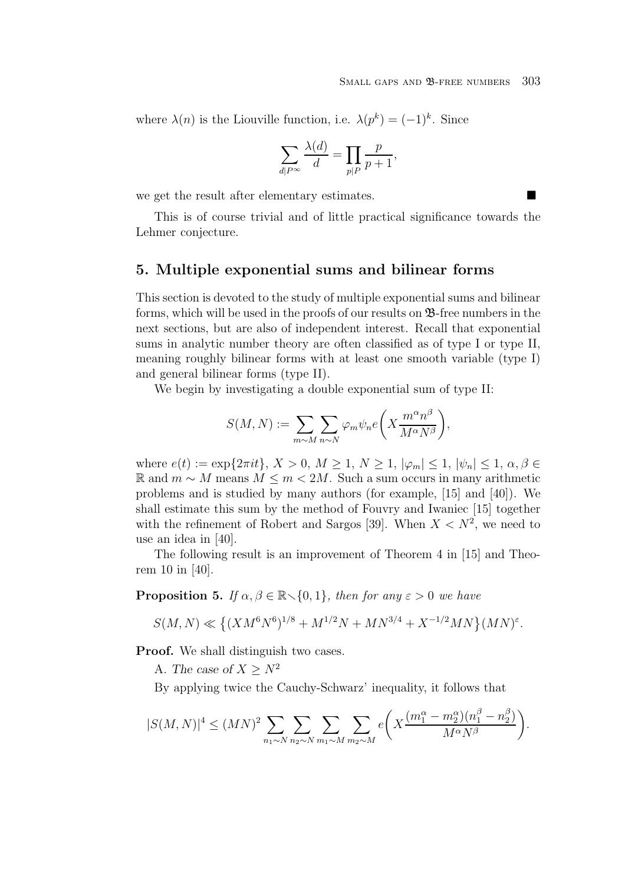where  $\lambda(n)$  is the Liouville function, i.e.  $\lambda(p^k)=(-1)^k$ . Since

$$
\sum_{d|P^{\infty}}\frac{\lambda(d)}{d}=\prod_{p|P}\frac{p}{p+1},
$$

we get the result after elementary estimates.

This is of course trivial and of little practical significance towards the Lehmer conjecture.

## **5. Multiple exponential sums and bilinear forms**

This section is devoted to the study of multiple exponential sums and bilinear forms, which will be used in the proofs of our results on B-free numbers in the next sections, but are also of independent interest. Recall that exponential sums in analytic number theory are often classified as of type I or type II, meaning roughly bilinear forms with at least one smooth variable (type I) and general bilinear forms (type II).

We begin by investigating a double exponential sum of type II:

$$
S(M, N) := \sum_{m \sim M} \sum_{n \sim N} \varphi_m \psi_n e\left(X \frac{m^{\alpha} n^{\beta}}{M^{\alpha} N^{\beta}}\right),
$$

where  $e(t) := \exp\{2\pi i t\}, X > 0, M \ge 1, N \ge 1, |\varphi_m| \le 1, |\psi_n| \le 1, \alpha, \beta \in$ R and  $m ∼ M$  means  $M ≤ m < 2M$ . Such a sum occurs in many arithmetic problems and is studied by many authors (for example, [15] and [40]). We shall estimate this sum by the method of Fouvry and Iwaniec [15] together with the refinement of Robert and Sargos [39]. When  $X < N^2$ , we need to use an idea in [40].

The following result is an improvement of Theorem 4 in [15] and Theorem 10 in [40].

**Proposition 5.** If  $\alpha, \beta \in \mathbb{R} \setminus \{0, 1\}$ , then for any  $\varepsilon > 0$  we have

$$
S(M, N) \ll \left\{ (XM^6N^6)^{1/8} + M^{1/2}N + MN^{3/4} + X^{-1/2}MN \right\} (MN)^{\varepsilon}.
$$

**Proof.** We shall distinguish two cases.

A. *The case of*  $X \geq N^2$ 

By applying twice the Cauchy-Schwarz' inequality, it follows that

$$
|S(M, N)|^4 \le (MN)^2 \sum_{n_1 \sim N} \sum_{n_2 \sim N} \sum_{m_1 \sim M} \sum_{m_2 \sim M} e\left(X \frac{(m_1^{\alpha} - m_2^{\alpha})(n_1^{\beta} - n_2^{\beta})}{M^{\alpha} N^{\beta}}\right).
$$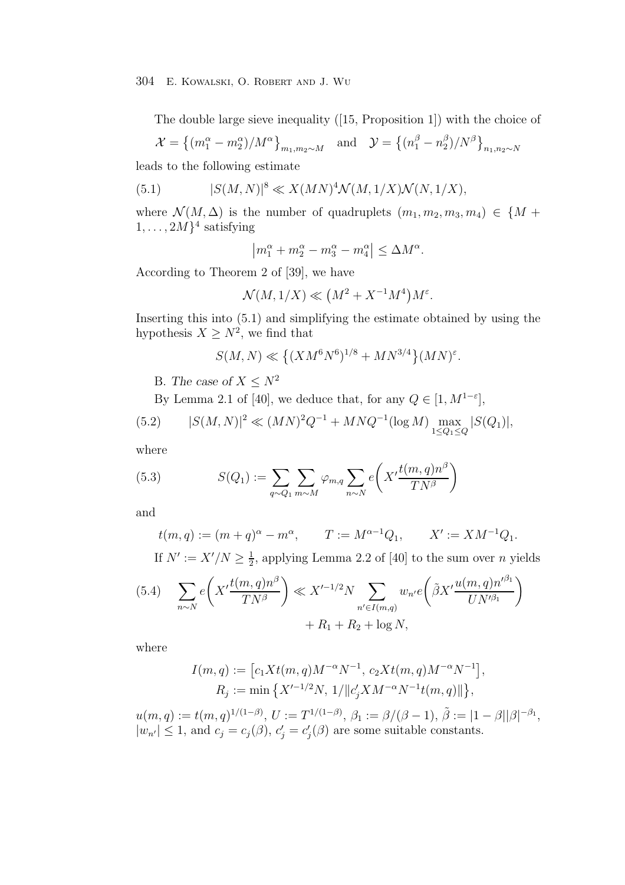The double large sieve inequality ([15, Proposition 1]) with the choice of

$$
\mathcal{X} = \left\{ (m_1^{\alpha} - m_2^{\alpha})/M^{\alpha} \right\}_{m_1, m_2 \sim M} \quad \text{and} \quad \mathcal{Y} = \left\{ (n_1^{\beta} - n_2^{\beta})/N^{\beta} \right\}_{n_1, n_2 \sim N}
$$

leads to the following estimate

(5.1) 
$$
|S(M, N)|^{8} \ll X(MN)^{4} \mathcal{N}(M, 1/X) \mathcal{N}(N, 1/X),
$$

where  $\mathcal{N}(M, \Delta)$  is the number of quadruplets  $(m_1, m_2, m_3, m_4) \in \{M +$  $1,\ldots, 2M$ <sup>4</sup> satisfying

$$
\left| m_1^{\alpha} + m_2^{\alpha} - m_3^{\alpha} - m_4^{\alpha} \right| \le \Delta M^{\alpha}.
$$

According to Theorem 2 of [39], we have

$$
\mathcal{N}(M,1/X) \ll \left(M^2+X^{-1}M^4\right)M^{\varepsilon}.
$$

Inserting this into (5.1) and simplifying the estimate obtained by using the hypothesis  $X \geq N^2$ , we find that

$$
S(M,N) \ll \left\{(XM^6N^6)^{1/8} + MN^{3/4}\right\}(MN)^{\varepsilon}.
$$

B. *The case of*  $X \leq N^2$ 

By Lemma 2.1 of [40], we deduce that, for any  $Q \in [1, M^{1-\varepsilon}]$ ,

(5.2) 
$$
|S(M, N)|^2 \ll (MN)^2 Q^{-1} + MNQ^{-1} (\log M) \max_{1 \le Q_1 \le Q} |S(Q_1)|,
$$

where

(5.3) 
$$
S(Q_1) := \sum_{q \sim Q_1} \sum_{m \sim M} \varphi_{m,q} \sum_{n \sim N} e\left(X' \frac{t(m,q)n^{\beta}}{TN^{\beta}}\right)
$$

and

$$
t(m, q) := (m + q)^{\alpha} - m^{\alpha},
$$
  $T := M^{\alpha - 1}Q_1,$   $X' := XM^{-1}Q_1.$ 

If  $N' := X'/N \ge \frac{1}{2}$ , applying Lemma 2.2 of [40] to the sum over *n* yields

$$
(5.4) \quad \sum_{n\sim N} e\left(X'\frac{t(m,q)n^{\beta}}{TN^{\beta}}\right) \ll X'^{-1/2}N \sum_{n'\in I(m,q)} w_{n'} e\left(\tilde{\beta}X'\frac{u(m,q)n'^{\beta_1}}{UN'^{\beta_1}}\right) + R_1 + R_2 + \log N,
$$

where

$$
\begin{split} I(m,q) &:= \big[c_1Xt(m,q)M^{-\alpha}N^{-1},\,c_2Xt(m,q)M^{-\alpha}N^{-1}\big],\\ R_j &:= \min\big\{X'^{-1/2}N,\,1/\|c_j'XM^{-\alpha}N^{-1}t(m,q)\|\big\}, \end{split}
$$

 $u(m, q) := t(m, q)^{1/(1-\beta)}, \ U := T^{1/(1-\beta)}, \ \beta_1 := \beta/(\beta - 1), \ \tilde{\beta} := |1 - \beta||\beta|^{-\beta_1},$  $|w_{n'}| \leq 1$ , and  $c_j = c_j(\beta)$ ,  $c'_j = c'_j(\beta)$  are some suitable constants.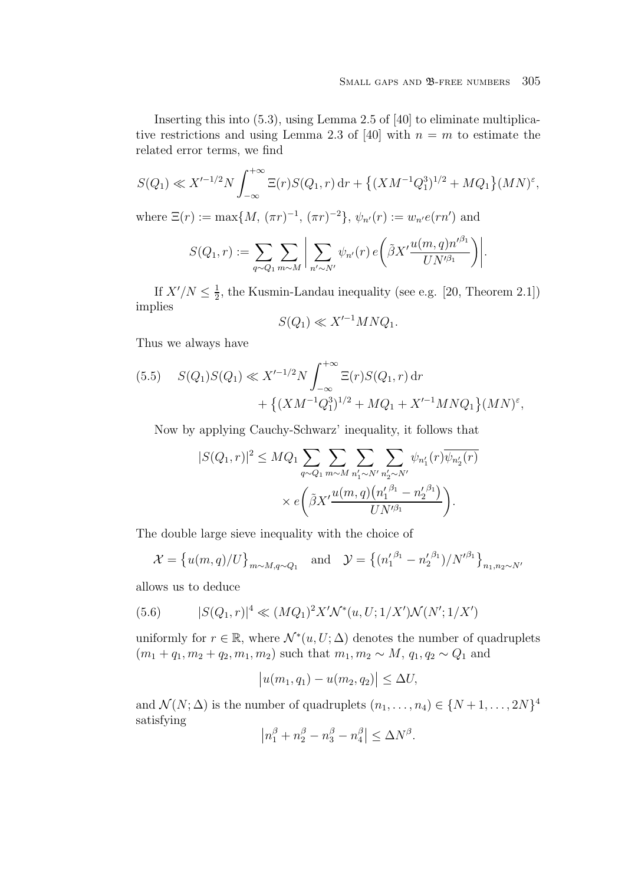Inserting this into (5.3), using Lemma 2.5 of [40] to eliminate multiplicative restrictions and using Lemma 2.3 of [40] with  $n = m$  to estimate the related error terms, we find

$$
S(Q_1) \ll X'^{-1/2} N \int_{-\infty}^{+\infty} \Xi(r) S(Q_1, r) \, dr + \left\{ (XM^{-1}Q_1^3)^{1/2} + MQ_1 \right\} (MN)^{\varepsilon},
$$

where  $\Xi(r) := \max\{M, (\pi r)^{-1}, (\pi r)^{-2}\}, \psi_{n'}(r) := w_{n'}e(rn')$  and

$$
S(Q_1,r):=\sum_{q\sim Q_1}\sum_{m\sim M}\bigg|\sum_{n'\sim N'}\psi_{n'}(r)\,e\bigg(\tilde{\beta}X'\frac{u(m,q)n'^{\beta_1}}{UN'^{\beta_1}}\bigg)\bigg|.
$$

If  $X'/N \leq \frac{1}{2}$ , the Kusmin-Landau inequality (see e.g. [20, Theorem 2.1]) implies

$$
S(Q_1) \ll X'^{-1} M N Q_1.
$$

Thus we always have

$$
(5.5) \quad S(Q_1)S(Q_1) \ll X'^{-1/2}N \int_{-\infty}^{+\infty} \Xi(r)S(Q_1, r) dr + \left\{ (XM^{-1}Q_1^3)^{1/2} + MQ_1 + X'^{-1}MNQ_1 \right\} (MN)^{\varepsilon},
$$

Now by applying Cauchy-Schwarz' inequality, it follows that

$$
|S(Q_1, r)|^2 \leq MQ_1 \sum_{q \sim Q_1} \sum_{m \sim M} \sum_{n'_1 \sim N'} \sum_{n'_2 \sim N'} \psi_{n'_1}(r) \overline{\psi_{n'_2}(r)}
$$

$$
\times e\left(\tilde{\beta}X'\frac{u(m, q)(n'_1 \beta_1 - n'_2 \beta_1)}{UN'^{\beta_1}}\right).
$$

The double large sieve inequality with the choice of

$$
\mathcal{X} = \{u(m,q)/U\}_{m \sim M, q \sim Q_1} \text{ and } \mathcal{Y} = \{(n_1'^{\beta_1} - n_2'^{\beta_1})/N'^{\beta_1}\}_{n_1, n_2 \sim N'}
$$

allows us to deduce

(5.6) 
$$
|S(Q_1,r)|^4 \ll (MQ_1)^2 X' \mathcal{N}^*(u,U;1/X') \mathcal{N}(N';1/X')
$$

uniformly for  $r \in \mathbb{R}$ , where  $\mathcal{N}^*(u, U; \Delta)$  denotes the number of quadruplets  $(m_1 + q_1, m_2 + q_2, m_1, m_2)$  such that  $m_1, m_2 \sim M$ ,  $q_1, q_2 \sim Q_1$  and

$$
|u(m_1, q_1) - u(m_2, q_2)| \le \Delta U,
$$

and  $\mathcal{N}(N; \Delta)$  is the number of quadruplets  $(n_1, \ldots, n_4) \in \{N+1, \ldots, 2N\}^4$ satisfying

$$
\left| n_1^{\beta} + n_2^{\beta} - n_3^{\beta} - n_4^{\beta} \right| \le \Delta N^{\beta}.
$$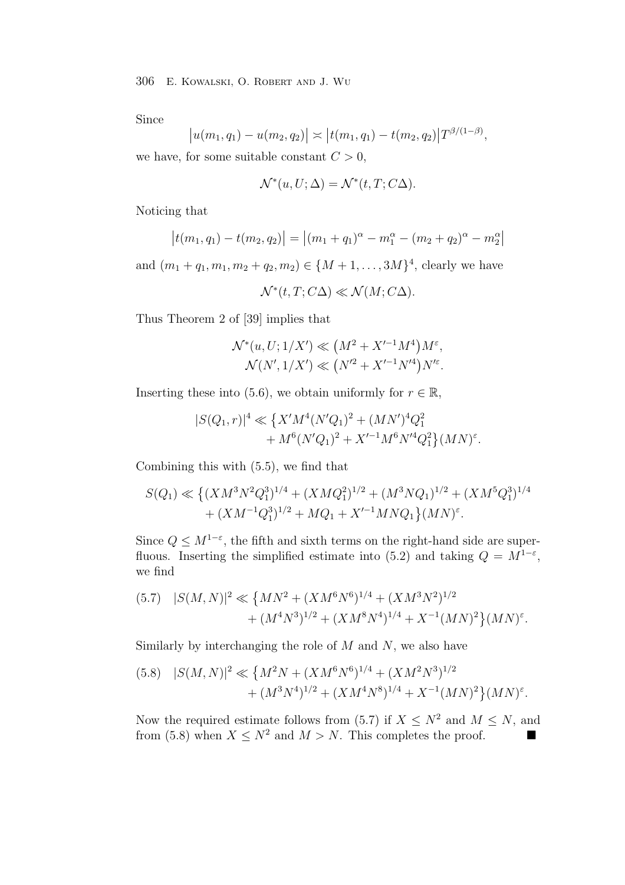Since

$$
|u(m_1,q_1)-u(m_2,q_2)| \asymp |t(m_1,q_1)-t(m_2,q_2)|T^{\beta/(1-\beta)},
$$

we have, for some suitable constant  $C > 0$ ,

$$
\mathcal{N}^*(u, U; \Delta) = \mathcal{N}^*(t, T; C\Delta).
$$

Noticing that

$$
|t(m_1, q_1) - t(m_2, q_2)| = |(m_1 + q_1)^{\alpha} - m_1^{\alpha} - (m_2 + q_2)^{\alpha} - m_2^{\alpha}|
$$

and  $(m_1 + q_1, m_1, m_2 + q_2, m_2) \in \{M + 1, \ldots, 3M\}^4$ , clearly we have

 $\mathcal{N}^*(t, T; C\Delta) \ll \mathcal{N}(M; C\Delta).$ 

Thus Theorem 2 of [39] implies that

$$
\mathcal{N}^*(u, U; 1/X') \ll (M^2 + X'^{-1}M^4)M^{\varepsilon}, \mathcal{N}(N', 1/X') \ll (N'^2 + X'^{-1}N'^4)N'^{\varepsilon}.
$$

Inserting these into (5.6), we obtain uniformly for  $r \in \mathbb{R}$ ,

$$
|S(Q_1,r)|^4 \ll \left\{ X'M^4(N'Q_1)^2 + (MN')^4 Q_1^2 + M^6(N'Q_1)^2 + X'^{-1}M^6N'^4Q_1^2 \right\} (MN)^{\varepsilon}.
$$

Combining this with (5.5), we find that

$$
S(Q_1) \ll \left\{ (XM^3N^2Q_1^3)^{1/4} + (XMQ_1^2)^{1/2} + (M^3NQ_1)^{1/2} + (XM^5Q_1^3)^{1/4} + (XM^{-1}Q_1^3)^{1/2} + MQ_1 + X'^{-1}MNQ_1\right\}(MN)^{\varepsilon}.
$$

Since  $Q \leq M^{1-\epsilon}$ , the fifth and sixth terms on the right-hand side are superfluous. Inserting the simplified estimate into (5.2) and taking  $Q = M^{1-\epsilon}$ , we find

$$
(5.7) \quad |S(M,N)|^2 \ll \left\{ MN^2 + (XM^6N^6)^{1/4} + (XM^3N^2)^{1/2} + (M^4N^3)^{1/2} + (XM^8N^4)^{1/4} + X^{-1}(MN)^2 \right\} (MN)^{\varepsilon}.
$$

Similarly by interchanging the role of  $M$  and  $N$ , we also have

$$
(5.8) \quad |S(M,N)|^2 \ll \left\{ M^2N + (XM^6N^6)^{1/4} + (XM^2N^3)^{1/2} + (M^3N^4)^{1/2} + (XM^4N^8)^{1/4} + X^{-1}(MN)^2 \right\} (MN)^{\varepsilon}.
$$

Now the required estimate follows from (5.7) if  $X \leq N^2$  and  $M \leq N$ , and from (5.8) when  $X \leq N^2$  and  $M > N$ . This completes the proof.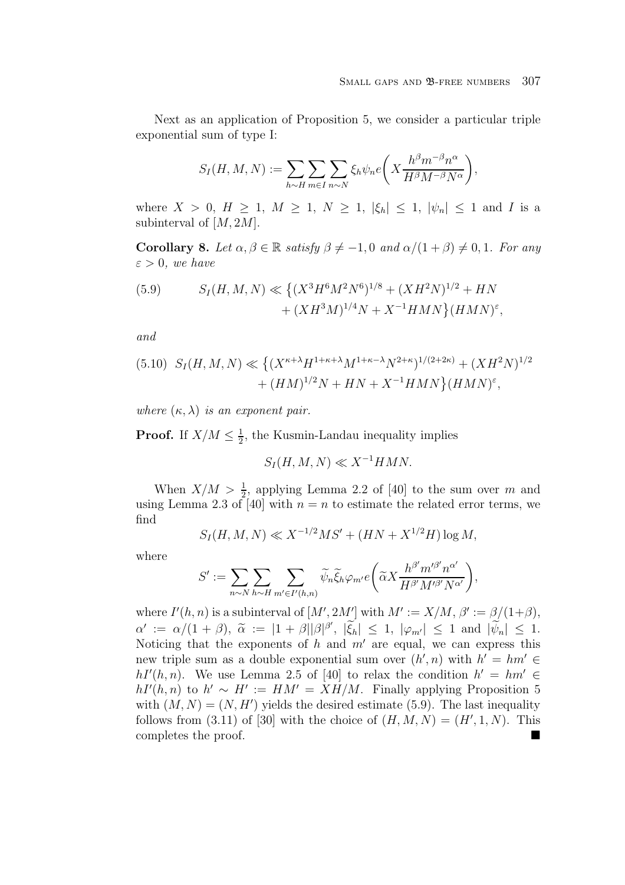Next as an application of Proposition 5, we consider a particular triple exponential sum of type I:

$$
S_I(H, M, N) := \sum_{h \sim H} \sum_{m \in I} \sum_{n \sim N} \xi_h \psi_n e\left(X \frac{h^{\beta} m^{-\beta} n^{\alpha}}{H^{\beta} M^{-\beta} N^{\alpha}}\right),
$$

where  $X > 0$ ,  $H \ge 1$ ,  $M \ge 1$ ,  $N \ge 1$ ,  $|\xi_h| \le 1$ ,  $|\psi_n| \le 1$  and I is a subinterval of  $[M, 2M]$ .

**Corollary 8.** Let  $\alpha, \beta \in \mathbb{R}$  satisfy  $\beta \neq -1, 0$  and  $\alpha/(1+\beta) \neq 0, 1$ . For any  $\varepsilon > 0$ , we have

(5.9) 
$$
S_I(H, M, N) \ll \left\{ (X^3 H^6 M^2 N^6)^{1/8} + (X H^2 N)^{1/2} + H N + (X H^3 M)^{1/4} N + X^{-1} H M N \right\} (H M N)^{\epsilon},
$$

and

$$
(5.10) S_I(H, M, N) \ll \left\{ (X^{\kappa+\lambda} H^{1+\kappa+\lambda} M^{1+\kappa-\lambda} N^{2+\kappa})^{1/(2+2\kappa)} + (X H^2 N)^{1/2} + (H M)^{1/2} N + H N + X^{-1} H M N \right\} (H M N)^{\varepsilon},
$$

where  $(\kappa, \lambda)$  is an exponent pair.

**Proof.** If  $X/M \leq \frac{1}{2}$ , the Kusmin-Landau inequality implies

$$
S_I(H, M, N) \ll X^{-1}HMN.
$$

When  $X/M > \frac{1}{2}$ , applying Lemma 2.2 of [40] to the sum over m and<br>as Lemma 2.3 of [40] with  $n = n$  to estimate the related error terms we using Lemma 2.3 of [40] with  $n = n$  to estimate the related error terms, we find

$$
S_I(H, M, N) \ll X^{-1/2}MS' + (HN + X^{1/2}H) \log M,
$$

where

$$
S' := \sum_{n \sim N} \sum_{h \sim H} \sum_{m' \in I'(h,n)} \widetilde{\psi}_n \widetilde{\xi}_h \varphi_{m'} e\left(\widetilde{\alpha} X \frac{h^{\beta'} m'^{\beta'} n^{\alpha'}}{H^{\beta'} M'^{\beta'} N^{\alpha'}}\right),
$$

where  $I'(h, n)$  is a subinterval of  $[M', 2M']$  with  $M' := X/M$ ,  $\beta' := \beta/(1+\beta)$ ,  $\alpha' := \alpha/(1+\beta), \ \tilde{\alpha} := |1+\beta||\beta|^{\beta'}, \ |\xi_h| \leq 1, \ |\varphi_{m'}| \leq 1 \text{ and } |\psi_n| \leq 1.$ <br>Noticing that the components of heard and any one samely are some summers this Noticing that the exponents of h and  $m'$  are equal, we can express this new triple sum as a double exponential sum over  $(h', n)$  with  $h' = hm' \in$  $hI'(h, n)$ . We use Lemma 2.5 of [40] to relax the condition  $h' = hm' \in$  $hI'(h, n)$  to  $h' \sim H' := HM' = XH/M$ . Finally applying Proposition 5 with  $(M, N) = (N, H')$  yields the desired estimate (5.9). The last inequality follows from  $(3.11)$  of [30] with the choice of  $(H, M, N) = (H', 1, N)$ . This completes the proof.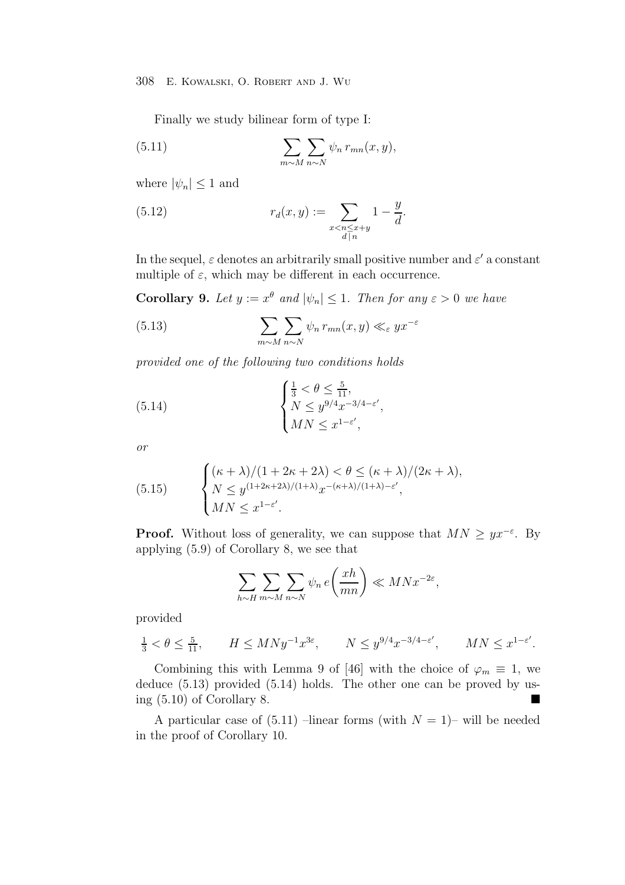Finally we study bilinear form of type I:

(5.11) 
$$
\sum_{m \sim M} \sum_{n \sim N} \psi_n r_{mn}(x, y),
$$

where  $|\psi_n| \leq 1$  and

(5.12) 
$$
r_d(x,y) := \sum_{\substack{x < n \le x+y \\ d \mid n}} 1 - \frac{y}{d}.
$$

In the sequel,  $\varepsilon$  denotes an arbitrarily small positive number and  $\varepsilon'$  a constant multiple of  $\varepsilon$ , which may be different in each occurrence.

**Corollary 9.** Let  $y := x^{\theta}$  and  $|\psi_n| \leq 1$ . Then for any  $\varepsilon > 0$  we have

(5.13) 
$$
\sum_{m \sim M} \sum_{n \sim N} \psi_n \, r_{mn}(x, y) \ll_{\varepsilon} yx^{-\varepsilon}
$$

provided one of the following two conditions holds

(5.14) 
$$
\begin{cases} \frac{1}{3} < \theta \leq \frac{5}{11}, \\ N \leq y^{9/4} x^{-3/4 - \varepsilon'}, \\ MN \leq x^{1 - \varepsilon'}, \end{cases}
$$

or

(5.15) 
$$
\begin{cases} (\kappa + \lambda)/(1 + 2\kappa + 2\lambda) < \theta \le (\kappa + \lambda)/(2\kappa + \lambda), \\ N \le y^{(1 + 2\kappa + 2\lambda)/(1 + \lambda)} x^{-(\kappa + \lambda)/(1 + \lambda) - \varepsilon'}, \\ MN \le x^{1 - \varepsilon'}.\end{cases}
$$

**Proof.** Without loss of generality, we can suppose that  $MN \geq yx^{-\epsilon}$ . By applying (5.9) of Corollary 8, we see that

$$
\sum_{h\sim H}\sum_{m\sim M}\sum_{n\sim N}\psi_n\,e\bigg(\frac{xh}{mn}\bigg)\ll MNx^{-2\varepsilon},
$$

provided

$$
\frac{1}{3} < \theta \le \frac{5}{11}, \qquad H \le MNy^{-1}x^{3\varepsilon}, \qquad N \le y^{9/4}x^{-3/4-\varepsilon'}, \qquad MN \le x^{1-\varepsilon'}.
$$

Combining this with Lemma 9 of [46] with the choice of  $\varphi_m \equiv 1$ , we deduce (5.13) provided (5.14) holds. The other one can be proved by using (5.10) of Corollary 8.

A particular case of  $(5.11)$  –linear forms (with  $N = 1$ )– will be needed in the proof of Corollary 10.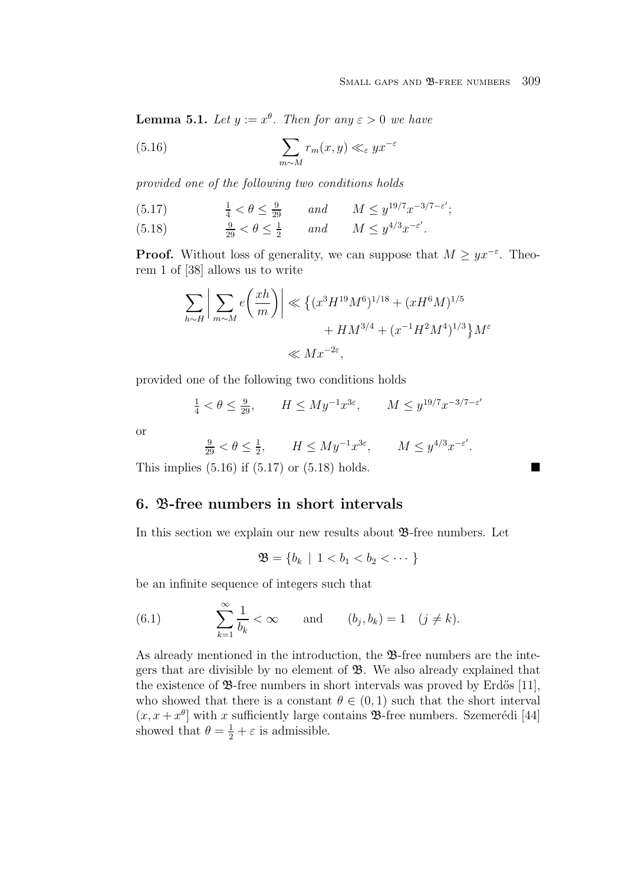**Lemma 5.1.** Let  $y := x^{\theta}$ . Then for any  $\varepsilon > 0$  we have

(5.16) 
$$
\sum_{m \sim M} r_m(x, y) \ll_{\varepsilon} yx^{-\varepsilon}
$$

provided one of the following two conditions holds

(5.17)  $\frac{1}{4} < \theta \leq \frac{9}{29}$  and  $M \leq y^{19/7} x^{-3/7 - \varepsilon'};$ (5.18)  $\frac{9}{29} < \theta \le \frac{1}{2}$  and  $M \le y^{4/3} x^{-\epsilon'}$ .

**Proof.** Without loss of generality, we can suppose that  $M \geq yx^{-\varepsilon}$ . Theorem 1 of [38] allows us to write

$$
\sum_{h \sim H} \left| \sum_{m \sim M} e\left(\frac{xh}{m}\right) \right| \ll \left\{ (x^3 H^{19} M^6)^{1/18} + (xH^6 M)^{1/5} + HM^{3/4} + (x^{-1} H^2 M^4)^{1/3} \right\} M^{\varepsilon}
$$
  

$$
\ll M x^{-2\varepsilon},
$$

provided one of the following two conditions holds

$$
\frac{1}{4} < \theta \le \frac{9}{29}, \qquad H \le My^{-1}x^{3\varepsilon}, \qquad M \le y^{19/7}x^{-3/7 - \varepsilon'}
$$

or

$$
\frac{9}{29} < \theta \le \frac{1}{2}, \qquad H \le My^{-1}x^{3\varepsilon}, \qquad M \le y^{4/3}x^{-\varepsilon'}.
$$

This implies  $(5.16)$  if  $(5.17)$  or  $(5.18)$  holds.

## **6.** B**-free numbers in short intervals**

In this section we explain our new results about  $\mathcal{B}$ -free numbers. Let

$$
\mathfrak{B} = \{b_k \mid 1 < b_1 < b_2 < \cdots \}
$$

be an infinite sequence of integers such that

(6.1) 
$$
\sum_{k=1}^{\infty} \frac{1}{b_k} < \infty \quad \text{and} \quad (b_j, b_k) = 1 \quad (j \neq k).
$$

As already mentioned in the introduction, the  $\mathfrak{B}$ -free numbers are the integers that are divisible by no element of  $\mathfrak{B}$ . We also already explained that the existence of  $\mathfrak{B}$ -free numbers in short intervals was proved by Erdős [11], who showed that there is a constant  $\theta \in (0,1)$  such that the short interval  $(x, x + x^{\theta})$  with x sufficiently large contains **B**-free numbers. Szemerédi [44] showed that  $\theta = \frac{1}{2} + \varepsilon$  is admissible.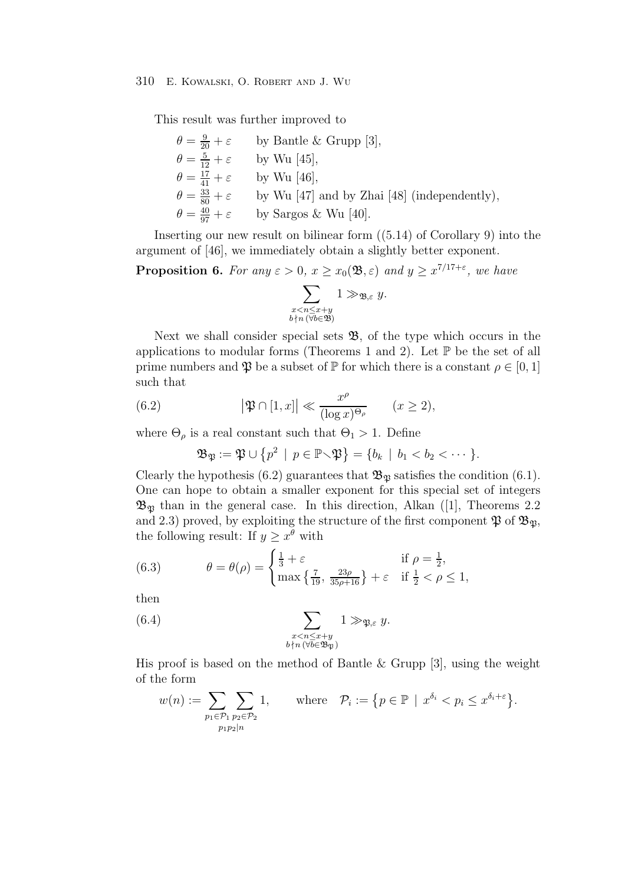This result was further improved to

$$
\theta = \frac{9}{20} + \varepsilon \qquad \text{by Bantle & Grupp [3],}
$$
\n
$$
\theta = \frac{5}{12} + \varepsilon \qquad \text{by Wu [45],}
$$
\n
$$
\theta = \frac{17}{41} + \varepsilon \qquad \text{by Wu [46],}
$$
\n
$$
\theta = \frac{33}{80} + \varepsilon \qquad \text{by Wu [47] and by Zhai [48] (independently),}
$$
\n
$$
\theta = \frac{40}{97} + \varepsilon \qquad \text{by Sargos & Wu [40].}
$$

Inserting our new result on bilinear form ((5.14) of Corollary 9) into the argument of [46], we immediately obtain a slightly better exponent.

**Proposition 6.** For any  $\varepsilon > 0$ ,  $x \ge x_0(\mathfrak{B}, \varepsilon)$  and  $y \ge x^{7/17+\varepsilon}$ , we have

$$
\sum_{\substack{x < n \leq x+y \\ b \nmid n \ (\forall b \in \mathfrak{B})}} 1 \gg_{\mathfrak{B}, \varepsilon} y.
$$

Next we shall consider special sets  $\mathfrak{B}$ , of the type which occurs in the applications to modular forms (Theorems 1 and 2). Let  $\mathbb P$  be the set of all prime numbers and  $\mathfrak P$  be a subset of  $\mathbb P$  for which there is a constant  $\rho \in [0,1]$ such that

(6.2) 
$$
\left|\mathfrak{P}\cap[1,x]\right|\ll \frac{x^{\rho}}{(\log x)^{\Theta_{\rho}}}\qquad(x\geq 2),
$$

where  $\Theta_{\rho}$  is a real constant such that  $\Theta_1 > 1$ . Define<br>  $\mathfrak{B}_{\mathfrak{m}} := \mathfrak{N} \cup \{n^2 \mid n \in \mathbb{P} \setminus \mathfrak{N}\} = \{b_1 \mid b_1 \leq \rho\}$ 

$$
\mathfrak{B}_{\mathfrak{P}} := \mathfrak{P} \cup \{p^2 \mid p \in \mathbb{P} \setminus \mathfrak{P}\} = \{b_k \mid b_1 < b_2 < \cdots\}.
$$

Clearly the hypothesis (6.2) guarantees that  $\mathfrak{B}_{\mathfrak{P}}$  satisfies the condition (6.1). One can hope to obtain a smaller exponent for this special set of integers  $\mathfrak{B}_{\mathfrak{B}}$  than in the general case. In this direction, Alkan ([1], Theorems 2.2 and 2.3) proved, by exploiting the structure of the first component  $\mathfrak{P}$  of  $\mathfrak{B}_{\mathfrak{P}},$ the following result: If  $y \geq x^{\tilde{\theta}}$  with

(6.3) 
$$
\theta = \theta(\rho) = \begin{cases} \frac{1}{3} + \varepsilon & \text{if } \rho = \frac{1}{2}, \\ \max \{ \frac{7}{19}, \frac{23\rho}{35\rho + 16} \} + \varepsilon & \text{if } \frac{1}{2} < \rho \le 1, \end{cases}
$$

then

(6.4) 
$$
\sum_{\substack{x < n \leq x+y \\ b \nmid n \ (\forall b \in \mathfrak{B}_{\mathfrak{P}})}} 1 \gg_{\mathfrak{P}, \varepsilon} y.
$$

His proof is based on the method of Bantle  $\&$  Grupp [3], using the weight of the form

$$
w(n) := \sum_{p_1 \in \mathcal{P}_1} \sum_{p_2 \in \mathcal{P}_2} 1, \quad \text{where} \quad \mathcal{P}_i := \{ p \in \mathbb{P} \mid x^{\delta_i} < p_i \leq x^{\delta_i + \varepsilon} \}.
$$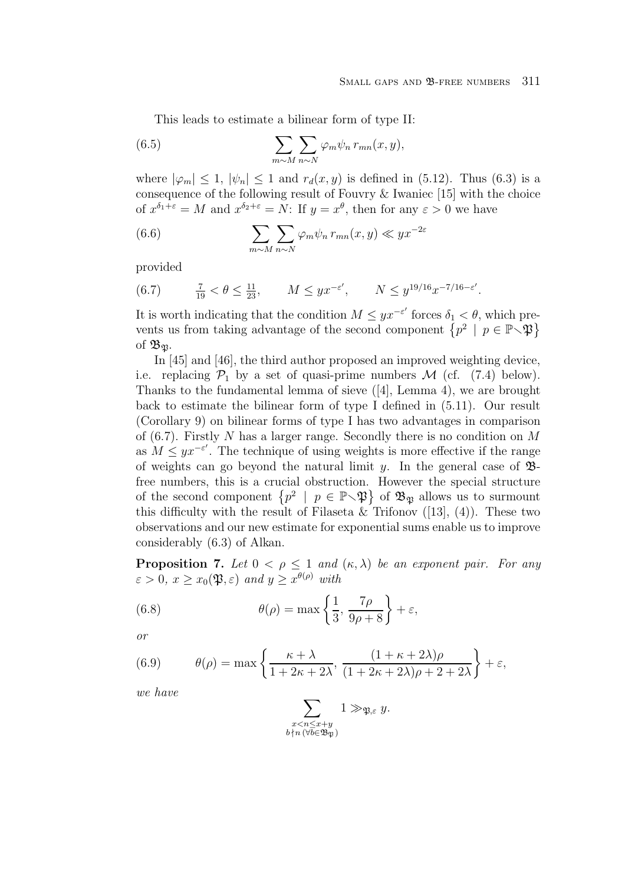This leads to estimate a bilinear form of type II:

(6.5) 
$$
\sum_{m \sim M} \sum_{n \sim N} \varphi_m \psi_n \, r_{mn}(x, y),
$$

where  $|\varphi_m| \leq 1$ ,  $|\psi_n| \leq 1$  and  $r_d(x, y)$  is defined in (5.12). Thus (6.3) is a consequence of the following result of Fouvry & Iwaniec [15] with the choice of  $x^{\delta_1+\varepsilon} = M$  and  $x^{\delta_2+\varepsilon} = N$ : If  $y = x^{\theta}$ , then for any  $\varepsilon > 0$  we have

(6.6) 
$$
\sum_{m \sim M} \sum_{n \sim N} \varphi_m \psi_n \, r_{mn}(x, y) \ll yx^{-2\varepsilon}
$$

provided

(6.7) 
$$
\frac{7}{19} < \theta \le \frac{11}{23}
$$
,  $M \le yx^{-\varepsilon'}$ ,  $N \le y^{19/16}x^{-7/16-\varepsilon'}$ .

It is worth indicating that the condition  $M \leq yx^{-\epsilon'}$  forces  $\delta_1 < \theta$ , which pre-<br>presents us from taking a distribution of the appeared accumulation of  $\mathbb{R}^3$ ,  $y \in \mathbb{R}^3$ ,  $\mathbb{R}^3$ vents us from taking advantage of the second component  $\{p^2 \mid p \in \mathbb{P} \setminus \mathfrak{P}\}\$ of  $\mathfrak{B}_{\mathfrak{B}}$ .

In [45] and [46], the third author proposed an improved weighting device, i.e. replacing  $\mathcal{P}_1$  by a set of quasi-prime numbers M (cf. (7.4) below). Thanks to the fundamental lemma of sieve ([4], Lemma 4), we are brought back to estimate the bilinear form of type I defined in (5.11). Our result (Corollary 9) on bilinear forms of type I has two advantages in comparison of  $(6.7)$ . Firstly N has a larger range. Secondly there is no condition on M as  $M \leq yx^{-\varepsilon'}$ . The technique of using weights is more effective if the range of weights can go beyond the natural limit y. In the general case of  $\mathfrak{B}$ free numbers, this is a crucial obstruction. However the special structure of the second component  $\{p^2 \mid p \in \mathbb{P}\setminus \mathfrak{P}\}\$  of  $\mathfrak{B}_{\mathfrak{P}}$  allows us to surmount this difficulty with the result of Filaseta & Trifonov  $(13)$ ,  $(4)$ ). These two observations and our new estimate for exponential sums enable us to improve considerably (6.3) of Alkan.

**Proposition 7.** Let  $0 < \rho \leq 1$  and  $(\kappa, \lambda)$  be an exponent pair. For any  $\varepsilon > 0$ ,  $x \geq x_0(\mathfrak{P}, \varepsilon)$  and  $y \geq x^{\theta(\rho)}$  with

(6.8) 
$$
\theta(\rho) = \max\left\{\frac{1}{3}, \frac{7\rho}{9\rho + 8}\right\} + \varepsilon,
$$

or

(6.9) 
$$
\theta(\rho) = \max \left\{ \frac{\kappa + \lambda}{1 + 2\kappa + 2\lambda}, \frac{(1 + \kappa + 2\lambda)\rho}{(1 + 2\kappa + 2\lambda)\rho + 2 + 2\lambda} \right\} + \varepsilon,
$$

we have

$$
\sum_{\substack{x < n \leq x+y \\ b \nmid n \, (\forall b \in \mathfrak{B}_{\mathfrak{P}})}} 1 \gg_{\mathfrak{P}, \varepsilon} y.
$$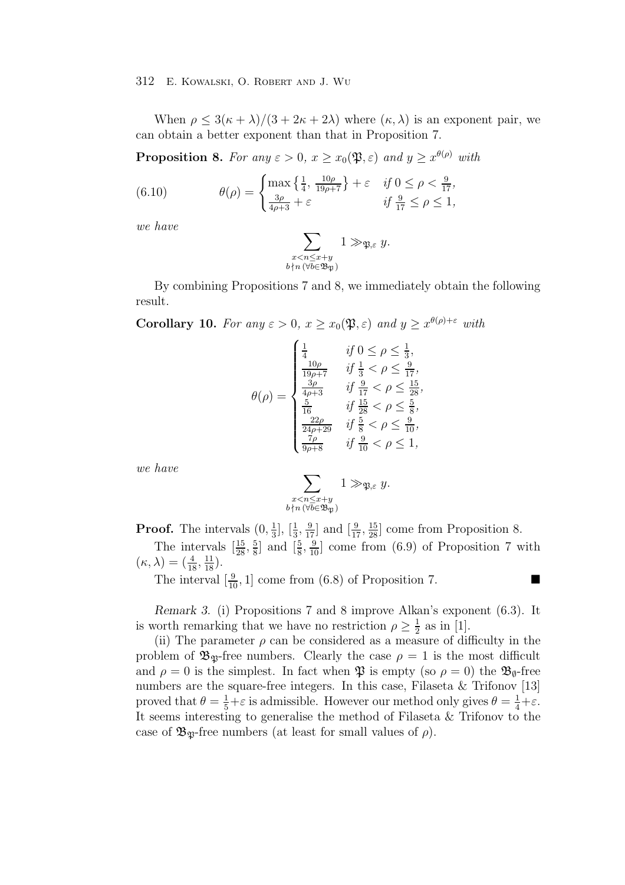When  $\rho \leq 3(\kappa + \lambda)/(3 + 2\kappa + 2\lambda)$  where  $(\kappa, \lambda)$  is an exponent pair, we can obtain a better exponent than that in Proposition 7.

**Proposition 8.** For any  $\varepsilon > 0$ ,  $x \ge x_0(\mathfrak{P}, \varepsilon)$  and  $y \ge x^{\theta(\rho)}$  with

(6.10) 
$$
\theta(\rho) = \begin{cases} \max \left\{ \frac{1}{4}, \frac{10\rho}{19\rho + 7} \right\} + \varepsilon & \text{if } 0 \le \rho < \frac{9}{17}, \\ \frac{3\rho}{4\rho + 3} + \varepsilon & \text{if } \frac{9}{17} \le \rho \le 1, \end{cases}
$$

we have

$$
\sum_{\substack{x < n \leq x+y \\ b \nmid n \, (\forall b \in \mathfrak{B}_{\mathfrak{P}})}} 1 \gg_{\mathfrak{P}, \varepsilon} y.
$$

By combining Propositions 7 and 8, we immediately obtain the following result.

**Corollary 10.** For any  $\varepsilon > 0$ ,  $x \geq x_0(\mathfrak{P}, \varepsilon)$  and  $y \geq x^{\theta(\rho)+\varepsilon}$  with

$$
\theta(\rho) = \begin{cases} \frac{1}{4} & \text{if } 0 \le \rho \le \frac{1}{3}, \\ \frac{10\rho}{19\rho + 7} & \text{if } \frac{1}{3} < \rho \le \frac{9}{17}, \\ \frac{3\rho}{4\rho + 3} & \text{if } \frac{19}{17} < \rho \le \frac{15}{28}, \\ \frac{5}{16} & \text{if } \frac{15}{28} < \rho \le \frac{5}{8}, \\ \frac{22\rho}{24\rho + 29} & \text{if } \frac{5}{8} < \rho \le \frac{9}{10}, \\ \frac{7\rho}{9\rho + 8} & \text{if } \frac{9}{10} < \rho \le 1, \end{cases}
$$

we have

$$
\sum_{\substack{x < n \leq x+y \\ b \nmid n \ (\forall b \in \mathfrak{B}_{\mathfrak{P}})}} 1 \gg_{\mathfrak{P}, \varepsilon} y.
$$

**Proof.** The intervals  $(0, \frac{1}{3}]$ ,  $[\frac{1}{3}, \frac{9}{17}]$  and  $[\frac{9}{17}, \frac{15}{28}]$  come from Proposition 8.

The intervals  $\left[\frac{15}{28}, \frac{5}{8}\right]$  and  $\left[\frac{5}{8}, \frac{9}{10}\right]$  come from (6.9) of Proposition 7 with  $(\kappa, \lambda) = \left(\frac{4}{18}, \frac{11}{18}\right)$ .

The interval  $\left[\frac{9}{10}, 1\right]$  come from (6.8) of Proposition 7.

*Remark 3.* (i) Propositions 7 and 8 improve Alkan's exponent (6.3). It is worth remarking that we have no restriction  $\rho \geq \frac{1}{2}$  as in [1].<br>(ii) The parameter *e* can be considered as a measure of dif-

(ii) The parameter  $\rho$  can be considered as a measure of difficulty in the problem of  $\mathfrak{B}_{\mathfrak{P}}$ -free numbers. Clearly the case  $\rho = 1$  is the most difficult and  $\rho = 0$  is the simplest. In fact when  $\mathfrak P$  is empty (so  $\rho = 0$ ) the  $\mathfrak B_{\emptyset}$ -free numbers are the square-free integers. In this case, Filaseta & Trifonov [13] proved that  $\theta = \frac{1}{5} + \varepsilon$  is admissible. However our method only gives  $\theta = \frac{1}{4} + \varepsilon$ .<br>It seems interesting to generalise the method of Filasota & Trifonov to the It seems interesting to generalise the method of Filaseta & Trifonov to the case of  $\mathfrak{B}_{\mathfrak{B}}$ -free numbers (at least for small values of  $\rho$ ).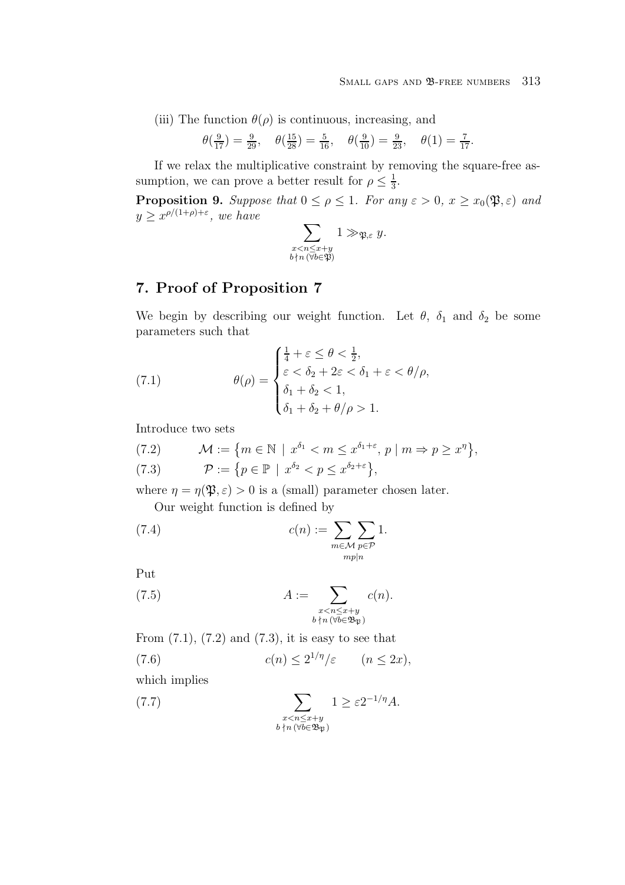(iii) The function  $\theta(\rho)$  is continuous, increasing, and

$$
\theta(\frac{9}{17}) = \frac{9}{29}, \quad \theta(\frac{15}{28}) = \frac{5}{16}, \quad \theta(\frac{9}{10}) = \frac{9}{23}, \quad \theta(1) = \frac{7}{17}.
$$

If we relax the multiplicative constraint by removing the square-free assumption, we can prove a better result for  $\rho \leq \frac{1}{3}$ .

**Proposition 9.** Suppose that  $0 \le \rho \le 1$ . For any  $\varepsilon > 0$ ,  $x \ge x_0(\mathfrak{P}, \varepsilon)$  and  $y \geq x^{\rho/(1+\rho)+\varepsilon}$ , we have

$$
\sum_{\substack{x < n \leq x+y \\ b \nmid n \ (\forall b \in \mathfrak{P})}} 1 \gg_{\mathfrak{P}, \varepsilon} y.
$$

# **7. Proof of Proposition 7**

We begin by describing our weight function. Let  $\theta$ ,  $\delta_1$  and  $\delta_2$  be some parameters such that

(7.1) 
$$
\theta(\rho) = \begin{cases} \frac{1}{4} + \varepsilon \leq \theta < \frac{1}{2}, \\ \varepsilon < \delta_2 + 2\varepsilon < \delta_1 + \varepsilon < \theta/\rho, \\ \delta_1 + \delta_2 < 1, \\ \delta_1 + \delta_2 + \theta/\rho > 1. \end{cases}
$$

Introduce two sets

(7.2) 
$$
\mathcal{M} := \{ m \in \mathbb{N} \mid x^{\delta_1} < m \leq x^{\delta_1 + \varepsilon}, p \mid m \Rightarrow p \geq x^{\eta} \},
$$
\n
$$
\mathcal{P} := \{ p \in \mathbb{P} \mid x^{\delta_2} < p \leq x^{\delta_2 + \varepsilon} \},
$$

where  $\eta = \eta(\mathfrak{P}, \varepsilon) > 0$  is a (small) parameter chosen later.

Our weight function is defined by

(7.4) 
$$
c(n) := \sum_{m \in \mathcal{M}} \sum_{p \in \mathcal{P}} 1.
$$

Put

(7.5) 
$$
A := \sum_{\substack{x < n \leq x+y \\ b \nmid n \ (\forall b \in \mathfrak{B}_{\mathfrak{P}})}} c(n).
$$

From  $(7.1)$ ,  $(7.2)$  and  $(7.3)$ , it is easy to see that

(7.6) 
$$
c(n) \le 2^{1/\eta}/\varepsilon \qquad (n \le 2x),
$$

which implies

(7.7) 
$$
\sum_{\substack{x < n \leq x+y \\ b \nmid n \ (\forall b \in \mathfrak{B}_{\mathfrak{P}})}} 1 \geq \varepsilon 2^{-1/\eta} A.
$$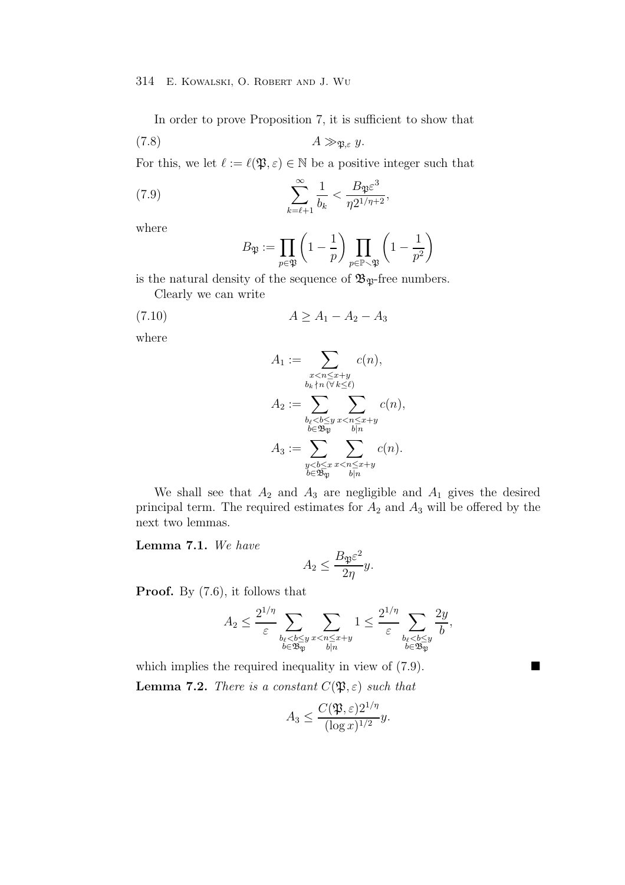In order to prove Proposition 7, it is sufficient to show that

$$
(7.8) \t\t A \gg_{\mathfrak{P},\varepsilon} y.
$$

For this, we let  $\ell := \ell(\mathfrak{P}, \varepsilon) \in \mathbb{N}$  be a positive integer such that

(7.9) 
$$
\sum_{k=\ell+1}^{\infty} \frac{1}{b_k} < \frac{B_{\mathfrak{P}} \varepsilon^3}{\eta 2^{1/\eta+2}},
$$

where

$$
B_{\mathfrak{P}}:=\prod_{p\in \mathfrak{P}}\left(1-\frac{1}{p}\right)\prod_{p\in \mathbb{P}\smallsetminus \mathfrak{P}}\left(1-\frac{1}{p^2}\right)
$$

is the natural density of the sequence of  $\mathfrak{B}_{\mathfrak{P}}$ -free numbers.

Clearly we can write

$$
(7.10) \t\t A \ge A_1 - A_2 - A_3
$$

where

$$
A_1 := \sum_{\substack{x < n \leq x+y \\ b_k \nmid n \, (\forall k \leq \ell)}} c(n),
$$
\n
$$
A_2 := \sum_{\substack{b_\ell < b \leq y \\ b \in \mathfrak{B}_p}} \sum_{\substack{x < n \leq x+y \\ b|n}} c(n),
$$
\n
$$
A_3 := \sum_{\substack{y < b \leq x \\ b \in \mathfrak{B}_p}} \sum_{\substack{x < n \leq x+y \\ b|n}} c(n).
$$

We shall see that  $A_2$  and  $A_3$  are negligible and  $A_1$  gives the desired principal term. The required estimates for  $A_2$  and  $A_3$  will be offered by the next two lemmas.

**Lemma 7.1.** We have

$$
A_2 \le \frac{B_{\mathfrak{P}} \varepsilon^2}{2\eta} y.
$$

**Proof.** By (7.6), it follows that

$$
A_2 \leq \frac{2^{1/\eta}}{\varepsilon} \sum_{\substack{b_\ell < b \leq y \\ b \in \mathfrak{B}_{\mathfrak{P}}} } \sum_{\substack{x < n \leq x+y \\ b \mid n}} 1 \leq \frac{2^{1/\eta}}{\varepsilon} \sum_{\substack{b_\ell < b \leq y \\ b \in \mathfrak{B}_{\mathfrak{P}}}} \frac{2y}{b},
$$

which implies the required inequality in view of  $(7.9)$ . **Lemma 7.2.** There is a constant  $C(\mathfrak{P}, \varepsilon)$  such that

$$
A_3 \le \frac{C(\mathfrak{P}, \varepsilon)2^{1/\eta}}{(\log x)^{1/2}}y.
$$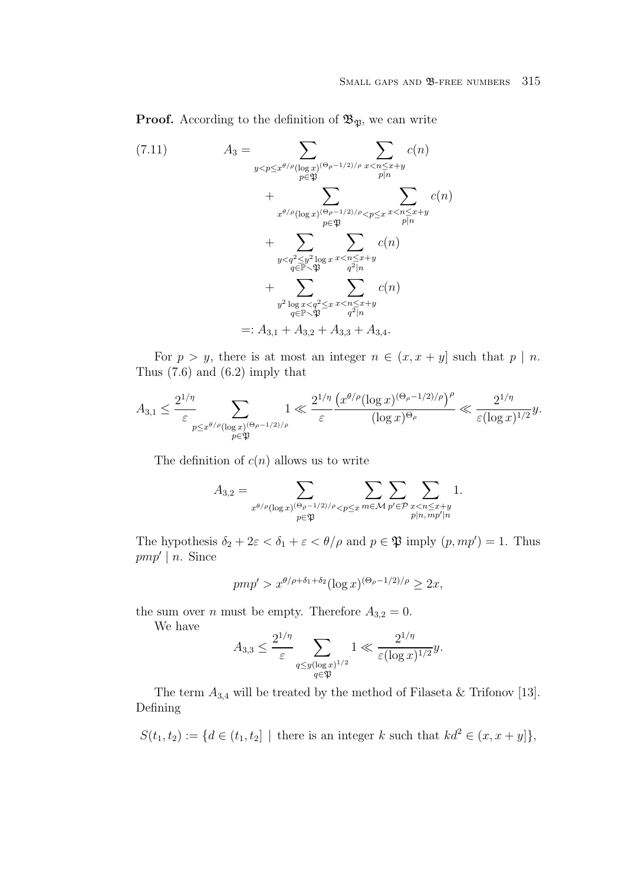**Proof.** According to the definition of  $\mathfrak{B}_{\mathfrak{P}}$ , we can write

$$
(7.11) \tA_3 = \sum_{y < p \leq x^{\theta/\rho}(\log x)^{(\Theta_{\rho}-1/2)/\rho}} \sum_{x < n \leq x+y} c(n)
$$
  
+ 
$$
\sum_{x^{\theta/\rho}(\log x)^{(\Theta_{\rho}-1/2)/\rho} < p \leq x} \sum_{x < n \leq x+y} c(n)
$$
  
+ 
$$
\sum_{y < q^2 \leq y^2 \log x} \sum_{x < n \leq x+y} c(n)
$$
  
+ 
$$
\sum_{y^2 \log x < q^2 \leq x} \sum_{\substack{a \leq x+y \ a^2 \log x \\ a^2 \log x}} c(n)
$$
  
+ 
$$
\sum_{y^2 \log x < q^2 \leq x} \sum_{x < n \leq x+y} c(n)
$$
  
=: 
$$
A_{3,1} + A_{3,2} + A_{3,3} + A_{3,4}.
$$

For  $p > y$ , there is at most an integer  $n \in (x, x + y]$  such that  $p | n$ . Thus (7.6) and (6.2) imply that

$$
A_{3,1} \leq \frac{2^{1/\eta}}{\varepsilon} \sum_{\substack{p \leq x^{\theta/\rho}(\log x)^{(\Theta_{\rho}-1/2)/\rho} \\ p \in \mathfrak{P}}} 1 \ll \frac{2^{1/\eta}}{\varepsilon} \frac{\left(x^{\theta/\rho}(\log x)^{(\Theta_{\rho}-1/2)/\rho}\right)^{\rho}}{(\log x)^{\Theta_{\rho}}} \ll \frac{2^{1/\eta}}{\varepsilon (\log x)^{1/2}} y.
$$

The definition of  $c(n)$  allows us to write

$$
A_{3,2} = \sum_{x^{\theta/\rho}(\log x)^{(\Theta_{\rho}-1/2)/\rho}} \sum_{p \in \mathfrak{P}} \sum_{m \in \mathcal{M}} \sum_{p' \in \mathcal{P}} \sum_{\substack{x < n \leq x+y \\ p|n, \, mp'|n}} 1.
$$

The hypothesis  $\delta_2 + 2\varepsilon < \delta_1 + \varepsilon < \theta/\rho$  and  $p \in \mathfrak{P}$  imply  $(p, mp') = 1$ . Thus  $pmp' | n$ . Since

$$
pmp' > x^{\theta/\rho + \delta_1 + \delta_2} (\log x)^{(\Theta_\rho - 1/2)/\rho} \ge 2x,
$$

the sum over *n* must be empty. Therefore  $A_{3,2} = 0$ .

We have

$$
A_{3,3} \le \frac{2^{1/\eta}}{\varepsilon} \sum_{\substack{q \le y(\log x)^{1/2} \\ q \in \mathfrak{P}}} 1 \ll \frac{2^{1/\eta}}{\varepsilon (\log x)^{1/2}} y.
$$

The term  $A_{3,4}$  will be treated by the method of Filaseta & Trifonov [13]. Defining

 $S(t_1, t_2) := \{ d \in (t_1, t_2] \mid \text{there is an integer } k \text{ such that } k d^2 \in (x, x + y] \},$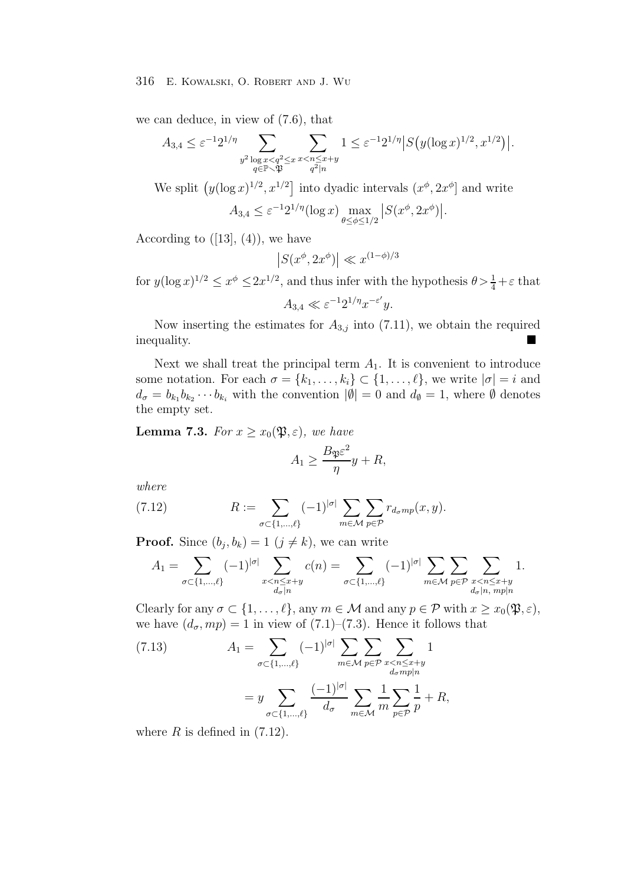we can deduce, in view of (7.6), that

$$
A_{3,4} \le \varepsilon^{-1} 2^{1/\eta} \sum_{\substack{y^2 \log x < q^2 \le x \\ q \in \mathbb{P} \smallsetminus \mathfrak{P}}} \sum_{\substack{x < n \le x+y \\ q^2 \mid n}} 1 \le \varepsilon^{-1} 2^{1/\eta} |S\big(y (\log x)^{1/2}, x^{1/2}\big)|.
$$

We split  $(y(\log x)^{1/2}, x^{1/2}]$  into dyadic intervals  $(x^{\phi}, 2x^{\phi}]$  and write

$$
A_{3,4} \le \varepsilon^{-1} 2^{1/\eta} (\log x) \max_{\theta \le \phi \le 1/2} |S(x^{\phi}, 2x^{\phi})|.
$$

According to  $([13], (4))$ , we have

$$
\left|S(x^\phi, 2x^\phi)\right| \ll x^{(1-\phi)/3}
$$

for  $y(\log x)^{1/2} \le x^{\phi} \le 2x^{1/2}$ , and thus infer with the hypothesis  $\theta > \frac{1}{4} + \varepsilon$  that

$$
A_{3,4} \ll \varepsilon^{-1} 2^{1/\eta} x^{-\varepsilon'} y.
$$

Now inserting the estimates for  $A_{3,j}$  into (7.11), we obtain the required quality. inequality.

Next we shall treat the principal term  $A_1$ . It is convenient to introduce some notation. For each  $\sigma = \{k_1, \ldots, k_i\} \subset \{1, \ldots, \ell\}$ , we write  $|\sigma| = i$  and  $d_{\sigma} = b_{k_1} b_{k_2} \cdots b_{k_i}$  with the convention  $|\emptyset| = 0$  and  $d_{\emptyset} = 1$ , where  $\emptyset$  denotes the empty set.

**Lemma 7.3.** For  $x \geq x_0(\mathfrak{P}, \varepsilon)$ , we have

$$
A_1 \ge \frac{B_{\mathfrak{P}} \varepsilon^2}{\eta} y + R,
$$

where

(7.12) 
$$
R := \sum_{\sigma \subset \{1,\dots,\ell\}} (-1)^{|\sigma|} \sum_{m \in \mathcal{M}} \sum_{p \in \mathcal{P}} r_{d_{\sigma}mp}(x,y).
$$

**Proof.** Since  $(b_j, b_k)=1$   $(j \neq k)$ , we can write

$$
A_1=\sum_{\sigma\subset \{1,\ldots,\ell\}}(-1)^{|\sigma|}\sum_{\substack{x
$$

Clearly for any  $\sigma \subset \{1,\ldots,\ell\}$ , any  $m \in \mathcal{M}$  and any  $p \in \mathcal{P}$  with  $x \geq x_0(\mathfrak{P}, \varepsilon)$ , we have  $(d_{\sigma}, mp) = 1$  in view of  $(7.1)$ – $(7.3)$ . Hence it follows that

(7.13) 
$$
A_1 = \sum_{\sigma \subset \{1, \dots, \ell\}} (-1)^{|\sigma|} \sum_{m \in \mathcal{M}} \sum_{p \in \mathcal{P}} \sum_{\substack{x < n \leq x+y \\ d_{\sigma}mp|n}} 1
$$

$$
= y \sum_{\sigma \subset \{1, \dots, \ell\}} \frac{(-1)^{|\sigma|}}{d_{\sigma}} \sum_{m \in \mathcal{M}} \frac{1}{m} \sum_{p \in \mathcal{P}} \frac{1}{p} + R,
$$

where  $R$  is defined in  $(7.12)$ .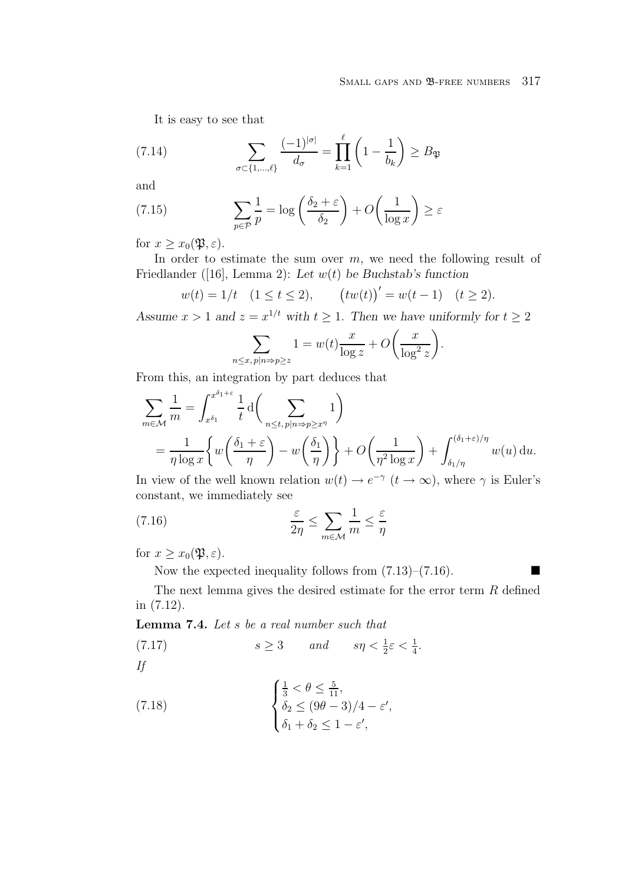## SMALL GAPS AND **B-FREE NUMBERS** 317

It is easy to see that

(7.14) 
$$
\sum_{\sigma \subset \{1,\ldots,\ell\}} \frac{(-1)^{|\sigma|}}{d_{\sigma}} = \prod_{k=1}^{\ell} \left(1 - \frac{1}{b_k}\right) \ge B_{\mathfrak{P}}
$$

and

(7.15) 
$$
\sum_{p \in \mathcal{P}} \frac{1}{p} = \log \left( \frac{\delta_2 + \varepsilon}{\delta_2} \right) + O\left( \frac{1}{\log x} \right) \ge \varepsilon
$$

for  $x \geq x_0(\mathfrak{P}, \varepsilon)$ .

In order to estimate the sum over  $m$ , we need the following result of Friedlander ([16], Lemma 2): *Let* w(t) *be Buchstab's function*

$$
w(t) = 1/t \quad (1 \le t \le 2), \qquad (tw(t))' = w(t-1) \quad (t \ge 2).
$$

*Assume*  $x > 1$  *and*  $z = x^{1/t}$  *with*  $t \ge 1$ *. Then we have uniformly for*  $t \ge 2$ 

$$
\sum_{n \le x, p|n \Rightarrow p \ge z} 1 = w(t) \frac{x}{\log z} + O\left(\frac{x}{\log^2 z}\right).
$$

From this, an integration by part deduces that

$$
\sum_{m \in \mathcal{M}} \frac{1}{m} = \int_{x^{\delta_1}}^{x^{\delta_1 + \varepsilon}} \frac{1}{t} d\left(\sum_{n \le t, p | n \Rightarrow p \ge x^{\eta}} 1\right)
$$
  
= 
$$
\frac{1}{\eta \log x} \left\{ w\left(\frac{\delta_1 + \varepsilon}{\eta}\right) - w\left(\frac{\delta_1}{\eta}\right) \right\} + O\left(\frac{1}{\eta^2 \log x}\right) + \int_{\delta_1/\eta}^{(\delta_1 + \varepsilon)/\eta} w(u) du.
$$

In view of the well known relation  $w(t) \to e^{-\gamma}$   $(t \to \infty)$ , where  $\gamma$  is Euler's constant, we immediately see

(7.16) 
$$
\frac{\varepsilon}{2\eta} \le \sum_{m \in \mathcal{M}} \frac{1}{m} \le \frac{\varepsilon}{\eta}
$$

for  $x \geq x_0(\mathfrak{P}, \varepsilon)$ .

Now the expected inequality follows from  $(7.13)$ – $(7.16)$ .

The next lemma gives the desired estimate for the error term R defined in (7.12).

**Lemma 7.4.** Let s be a real number such that

(7.17) 
$$
s \ge 3 \qquad and \qquad s\eta < \frac{1}{2}\varepsilon < \frac{1}{4}.
$$
 If

(7.18) 
$$
\begin{cases} \frac{1}{3} < \theta \leq \frac{5}{11}, \\ \delta_2 \leq (9\theta - 3)/4 - \varepsilon', \\ \delta_1 + \delta_2 \leq 1 - \varepsilon', \end{cases}
$$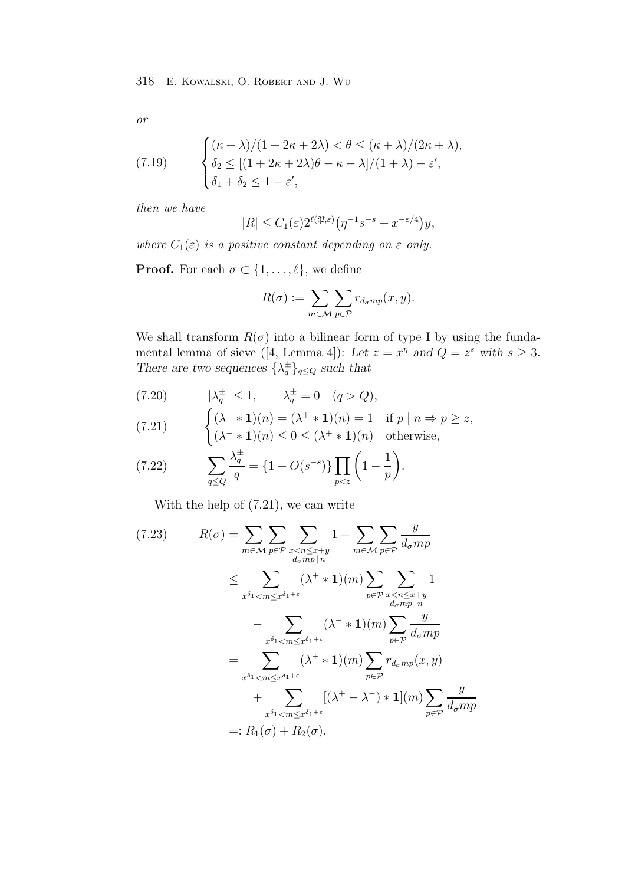or

(7.19) 
$$
\begin{cases} (\kappa + \lambda)/(1 + 2\kappa + 2\lambda) < \theta \le (\kappa + \lambda)/(2\kappa + \lambda), \\ \delta_2 \le [(1 + 2\kappa + 2\lambda)\theta - \kappa - \lambda]/(1 + \lambda) - \varepsilon', \\ \delta_1 + \delta_2 \le 1 - \varepsilon', \end{cases}
$$

then we have

$$
|R| \le C_1(\varepsilon) 2^{\ell(\mathfrak{P}, \varepsilon)} \big( \eta^{-1} s^{-s} + x^{-\varepsilon/4} \big) y,
$$

where  $C_1(\varepsilon)$  is a positive constant depending on  $\varepsilon$  only.

**Proof.** For each  $\sigma \subset \{1, \ldots, \ell\}$ , we define

$$
R(\sigma) := \sum_{m \in \mathcal{M}} \sum_{p \in \mathcal{P}} r_{d_{\sigma}mp}(x, y).
$$

We shall transform  $R(\sigma)$  into a bilinear form of type I by using the fundamental lemma of sieve ([4, Lemma 4]): Let  $z = x^{\eta}$  and  $Q = z^s$  with  $s \geq 3$ . *There are two sequences*  $\{\lambda_q^{\pm}\}_{q \leq Q}$  *such that* 

$$
(7.20) \qquad |\lambda_q^{\pm}| \le 1, \qquad \lambda_q^{\pm} = 0 \quad (q > Q),
$$

(7.21) 
$$
\begin{cases} (\lambda^- * 1)(n) = (\lambda^+ * 1)(n) = 1 & \text{if } p | n \Rightarrow p \ge z, \\ (\lambda^- * 1)(n) \le 0 \le (\lambda^+ * 1)(n) & \text{otherwise,} \end{cases}
$$

(7.22) 
$$
\sum_{q \le Q} \frac{\lambda_q^{\pm}}{q} = \{1 + O(s^{-s})\} \prod_{p < z} \left(1 - \frac{1}{p}\right).
$$

With the help of (7.21), we can write

$$
(7.23) \t R(\sigma) = \sum_{m \in \mathcal{M}} \sum_{p \in \mathcal{P}} \sum_{\substack{x < n \leq x+y \\ d_{\sigma}mp \mid n}} 1 - \sum_{m \in \mathcal{M}} \sum_{p \in \mathcal{P}} \frac{y}{d_{\sigma}mp}} \frac{y}{d_{\sigma}mp}
$$
\n
$$
\leq \sum_{x^{\delta_1} < m \leq x^{\delta_1 + \varepsilon}} (\lambda^+ * 1)(m) \sum_{p \in \mathcal{P}} \sum_{\substack{x < n \leq x+y \\ d_{\sigma}mp \mid n}} 1 - \sum_{\substack{x^{\delta_1} < m \leq x^{\delta_1 + \varepsilon}}} (\lambda^+ * 1)(m) \sum_{p \in \mathcal{P}} \frac{y}{d_{\sigma}mp}
$$
\n
$$
= \sum_{x^{\delta_1} < m \leq x^{\delta_1 + \varepsilon}} (\lambda^+ * 1)(m) \sum_{p \in \mathcal{P}} r_{d_{\sigma}mp}(x, y)
$$
\n
$$
+ \sum_{x^{\delta_1} < m \leq x^{\delta_1 + \varepsilon}} [(\lambda^+ - \lambda^-) * 1](m) \sum_{p \in \mathcal{P}} \frac{y}{d_{\sigma}mp}
$$
\n
$$
=: R_1(\sigma) + R_2(\sigma).
$$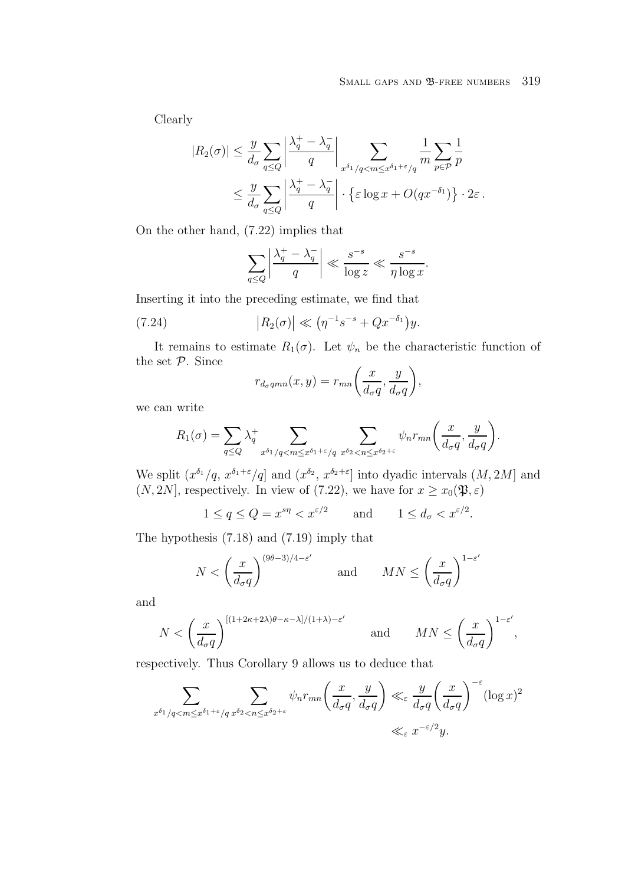.

Clearly

$$
|R_2(\sigma)| \le \frac{y}{d_{\sigma}} \sum_{q \le Q} \left| \frac{\lambda_q^+ - \lambda_q^-}{q} \right| \sum_{x^{\delta_1}/q < m \le x^{\delta_1 + \varepsilon}/q} \frac{1}{m} \sum_{p \in \mathcal{P}} \frac{1}{p}
$$
  

$$
\le \frac{y}{d_{\sigma}} \sum_{q \le Q} \left| \frac{\lambda_q^+ - \lambda_q^-}{q} \right| \cdot \left\{ \varepsilon \log x + O(q x^{-\delta_1}) \right\} \cdot 2\varepsilon.
$$

On the other hand, (7.22) implies that

$$
\sum_{q \le Q} \left| \frac{\lambda_q^+ - \lambda_q^-}{q} \right| \ll \frac{s^{-s}}{\log z} \ll \frac{s^{-s}}{\eta \log x}
$$

Inserting it into the preceding estimate, we find that

(7.24) 
$$
|R_2(\sigma)| \ll (\eta^{-1} s^{-s} + Q x^{-\delta_1}) y.
$$

It remains to estimate  $R_1(\sigma)$ . Let  $\psi_n$  be the characteristic function of the set P. Since

$$
r_{d_{\sigma}qmn}(x,y) = r_{mn}\bigg(\frac{x}{d_{\sigma}q},\frac{y}{d_{\sigma}q}\bigg),
$$

we can write

$$
R_1(\sigma) = \sum_{q \leq Q} \lambda_q^+ \sum_{x^{\delta_1}/q < m \leq x^{\delta_1 + \varepsilon}/q} \sum_{x^{\delta_2} < n \leq x^{\delta_2 + \varepsilon}} \psi_n r_{mn} \left( \frac{x}{d_{\sigma}q}, \frac{y}{d_{\sigma}q} \right).
$$

We split  $(x^{\delta_1}/q, x^{\delta_1+\varepsilon}/q]$  and  $(x^{\delta_2}, x^{\delta_2+\varepsilon}]$  into dyadic intervals  $(M, 2M]$  and  $(N, 2N]$ , respectively. In view of (7.22), we have for  $x \ge x_0(\mathfrak{P}, \varepsilon)$ 

$$
1 \le q \le Q = x^{s\eta} < x^{\varepsilon/2}
$$
 and  $1 \le d_{\sigma} < x^{\varepsilon/2}$ .

The hypothesis (7.18) and (7.19) imply that

$$
N < \left(\frac{x}{d_{\sigma}q}\right)^{(9\theta-3)/4-\varepsilon'} \qquad \text{and} \qquad MN \leq \left(\frac{x}{d_{\sigma}q}\right)^{1-\varepsilon'}
$$

and

$$
N < \left(\frac{x}{d_{\sigma}q}\right)^{\left[(1+2\kappa+2\lambda)\theta-\kappa-\lambda\right]/(1+\lambda)-\varepsilon'} \quad \text{and} \quad MN \le \left(\frac{x}{d_{\sigma}q}\right)^{1-\varepsilon'},
$$

respectively. Thus Corollary 9 allows us to deduce that

$$
\sum_{x^{\delta_1}/q < m \le x^{\delta_1 + \varepsilon}/q} \sum_{x^{\delta_2} < n \le x^{\delta_2 + \varepsilon}} \psi_n r_{mn} \left( \frac{x}{d_\sigma q}, \frac{y}{d_\sigma q} \right) \ll_{\varepsilon} \frac{y}{d_\sigma q} \left( \frac{x}{d_\sigma q} \right)^{-\varepsilon} (\log x)^2
$$
\n
$$
\ll_{\varepsilon} x^{-\varepsilon/2} y.
$$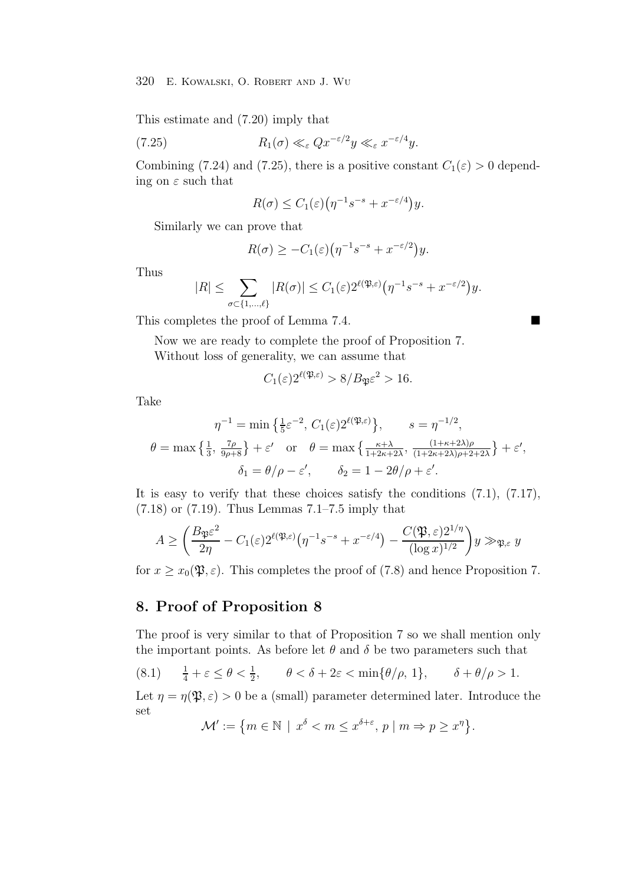This estimate and (7.20) imply that

(7.25) 
$$
R_1(\sigma) \ll_{\varepsilon} Qx^{-\varepsilon/2}y \ll_{\varepsilon} x^{-\varepsilon/4}y.
$$

Combining (7.24) and (7.25), there is a positive constant  $C_1(\varepsilon) > 0$  depending on  $\varepsilon$  such that

$$
R(\sigma) \le C_1(\varepsilon) \left( \eta^{-1} s^{-s} + x^{-\varepsilon/4} \right) y.
$$

Similarly we can prove that

$$
R(\sigma) \geq -C_1(\varepsilon) \big(\eta^{-1} s^{-s} + x^{-\varepsilon/2}\big) y.
$$

Thus

$$
|R| \leq \sum_{\sigma \subset \{1,\ldots,\ell\}} |R(\sigma)| \leq C_1(\varepsilon) 2^{\ell(\mathfrak{P},\varepsilon)} \big(\eta^{-1} s^{-s} + x^{-\varepsilon/2}\big) y.
$$

This completes the proof of Lemma 7.4.

Now we are ready to complete the proof of Proposition 7. Without loss of generality, we can assume that

$$
C_1(\varepsilon)2^{\ell(\mathfrak{P},\varepsilon)} > 8/B_{\mathfrak{P}\varepsilon}^2 > 16.
$$

Take

$$
\eta^{-1} = \min\left\{\frac{1}{5}\varepsilon^{-2}, C_1(\varepsilon)2^{\ell(\mathfrak{P}, \varepsilon)}\right\}, \qquad s = \eta^{-1/2},
$$

$$
\theta = \max\left\{\frac{1}{3}, \frac{7\rho}{9\rho + 8}\right\} + \varepsilon' \quad \text{or} \quad \theta = \max\left\{\frac{\kappa + \lambda}{1 + 2\kappa + 2\lambda}, \frac{(1 + \kappa + 2\lambda)\rho}{(1 + 2\kappa + 2\lambda)\rho + 2 + 2\lambda}\right\} + \varepsilon',
$$

$$
\delta_1 = \theta/\rho - \varepsilon', \qquad \delta_2 = 1 - 2\theta/\rho + \varepsilon'.
$$

It is easy to verify that these choices satisfy the conditions (7.1), (7.17), (7.18) or (7.19). Thus Lemmas 7.1–7.5 imply that

$$
A \ge \left(\frac{B_\mathfrak{P} \varepsilon^2}{2\eta} - C_1(\varepsilon) 2^{\ell(\mathfrak{P}, \varepsilon)} \left( \eta^{-1} s^{-s} + x^{-\varepsilon/4} \right) - \frac{C(\mathfrak{P}, \varepsilon) 2^{1/\eta}}{(\log x)^{1/2}} \right) y \gg_{\mathfrak{P}, \varepsilon} y
$$

for  $x \geq x_0(\mathfrak{P}, \varepsilon)$ . This completes the proof of (7.8) and hence Proposition 7.

# **8. Proof of Proposition 8**

The proof is very similar to that of Proposition 7 so we shall mention only the important points. As before let  $\theta$  and  $\delta$  be two parameters such that

(8.1) 
$$
\frac{1}{4} + \varepsilon \le \theta < \frac{1}{2}, \qquad \theta < \delta + 2\varepsilon < \min\{\theta/\rho, 1\}, \qquad \delta + \theta/\rho > 1.
$$

Let  $\eta = \eta(\mathfrak{P}, \varepsilon) > 0$  be a (small) parameter determined later. Introduce the set

$$
\mathcal{M}' := \{ m \in \mathbb{N} \mid x^{\delta} < m \leq x^{\delta + \varepsilon}, \, p \mid m \Rightarrow p \geq x^{\eta} \}.
$$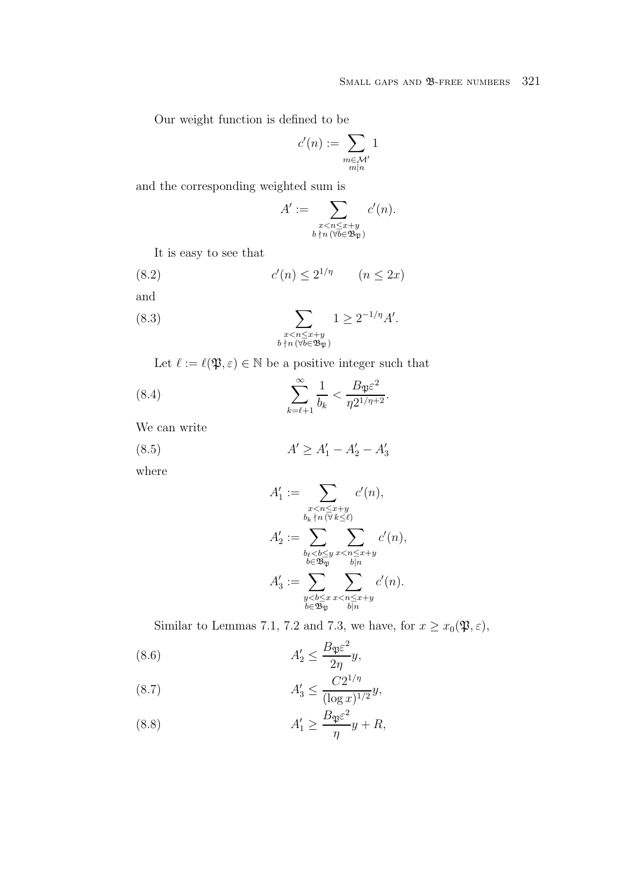Our weight function is defined to be

$$
c'(n):=\sum_{\substack{m\in\mathcal{M}'\\ m|n}}1
$$

and the corresponding weighted sum is

$$
A' := \sum_{\substack{x < n \le x+y \\ b \nmid n \, (\forall b \in \mathfrak{B}_{\mathfrak{P}})}} c'(n).
$$

It is easy to see that

$$
(8.2) \t\t c'(n) \le 2^{1/\eta} \t (n \le 2x)
$$

and

(8.3) 
$$
\sum_{\substack{x < n \leq x+y \\ b \nmid n \ (\forall b \in \mathfrak{B}_{\mathfrak{P}})}} 1 \geq 2^{-1/\eta} A'.
$$

Let  $\ell := \ell(\mathfrak{P}, \varepsilon) \in \mathbb{N}$  be a positive integer such that

(8.4) 
$$
\sum_{k=\ell+1}^{\infty} \frac{1}{b_k} < \frac{B_{\mathfrak{P}} \varepsilon^2}{\eta 2^{1/\eta+2}}.
$$

We can write

(8.5) 
$$
A' \ge A'_1 - A'_2 - A'_3
$$

where

$$
A'_1 := \sum_{\substack{x < n \leq x+y \\ b_k \nmid n \, (\forall k \leq \ell) \\ A'_2 := \sum_{\substack{b_\ell < b \leq y \\ b \in \mathfrak{B}_\mathfrak{P}}} \sum_{\substack{x < n \leq x+y \\ b|n}} c'(n),
$$
\n
$$
A'_3 := \sum_{\substack{y < b \leq x \\ b \in \mathfrak{B}_\mathfrak{P}}} \sum_{\substack{x < n \leq x+y \\ b|n}} c'(n).
$$

Similar to Lemmas 7.1, 7.2 and 7.3, we have, for  $x \ge x_0(\mathfrak{P}, \varepsilon)$ ,

(8.6) 
$$
A'_2 \leq \frac{B_{\mathfrak{P} \varepsilon}^2}{2\eta} y,
$$

(8.7) 
$$
A'_3 \leq \frac{C2^{1/\eta}}{(\log x)^{1/2}}y,
$$

(8.8) 
$$
A'_1 \ge \frac{B_{\mathfrak{P} \varepsilon}^2}{\eta} y + R,
$$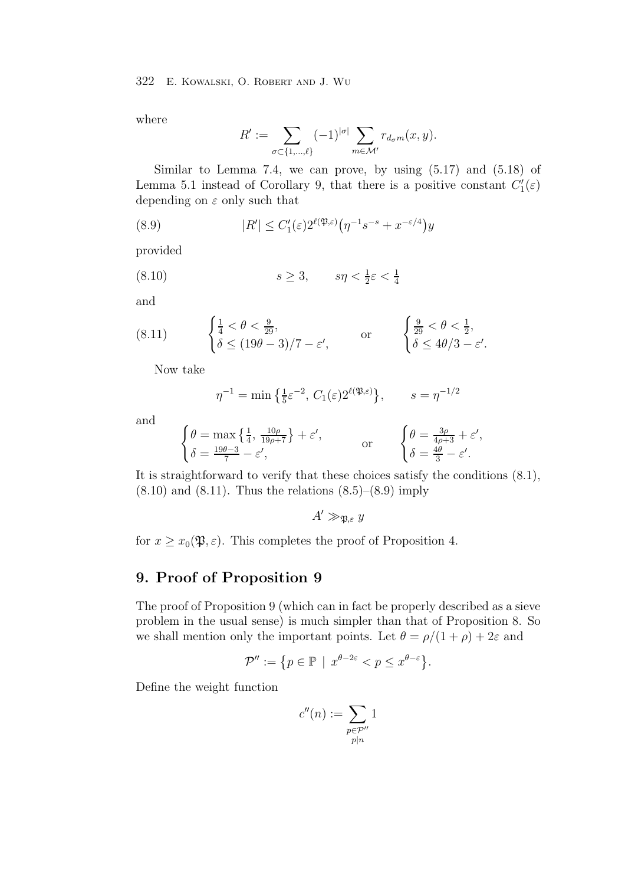where

$$
R' := \sum_{\sigma \subset \{1,\dots,\ell\}} (-1)^{|\sigma|} \sum_{m \in \mathcal{M}'} r_{d_{\sigma}m}(x,y).
$$

Similar to Lemma 7.4, we can prove, by using  $(5.17)$  and  $(5.18)$  of Lemma 5.1 instead of Corollary 9, that there is a positive constant  $C'_{1}(\varepsilon)$ depending on  $\varepsilon$  only such that

(8.9) 
$$
|R'| \leq C_1'(\varepsilon) 2^{\ell(\mathfrak{P}, \varepsilon)} \left( \eta^{-1} s^{-s} + x^{-\varepsilon/4} \right) y
$$

provided

(8.10) 
$$
s \ge 3, \qquad s\eta < \frac{1}{2}\varepsilon < \frac{1}{4}
$$

and

(8.11) 
$$
\begin{cases} \frac{1}{4} < \theta < \frac{9}{29}, \\ \delta \le (19\theta - 3)/7 - \varepsilon', \end{cases}
$$
 or 
$$
\begin{cases} \frac{9}{29} < \theta < \frac{1}{2}, \\ \delta \le 4\theta/3 - \varepsilon'. \end{cases}
$$

Now take

$$
\eta^{-1} = \min\left\{\frac{1}{5}\varepsilon^{-2}, C_1(\varepsilon)2^{\ell(\mathfrak{P}, \varepsilon)}\right\}, \qquad s = \eta^{-1/2}
$$

and

$$
\begin{cases}\n\theta = \max\left\{\frac{1}{4}, \frac{10\rho}{19\rho + 7}\right\} + \varepsilon', & \text{or} \\
\delta = \frac{19\theta - 3}{7} - \varepsilon', & \text{or} \\
\delta = \frac{4\theta}{3} - \varepsilon'.\n\end{cases}
$$

It is straightforward to verify that these choices satisfy the conditions (8.1),  $(8.10)$  and  $(8.11)$ . Thus the relations  $(8.5)$ – $(8.9)$  imply

$$
A' \gg_{\mathfrak{P},\varepsilon} y
$$

for  $x \geq x_0(\mathfrak{P}, \varepsilon)$ . This completes the proof of Proposition 4.

## **9. Proof of Proposition 9**

The proof of Proposition 9 (which can in fact be properly described as a sieve problem in the usual sense) is much simpler than that of Proposition 8. So we shall mention only the important points. Let  $\theta = \rho/(1+\rho) + 2\varepsilon$  and

$$
\mathcal{P}'' := \{ p \in \mathbb{P} \mid x^{\theta - 2\varepsilon} < p \leq x^{\theta - \varepsilon} \}.
$$

Define the weight function

$$
c''(n) := \sum_{\substack{p \in \mathcal{P}''\\p|n}} 1
$$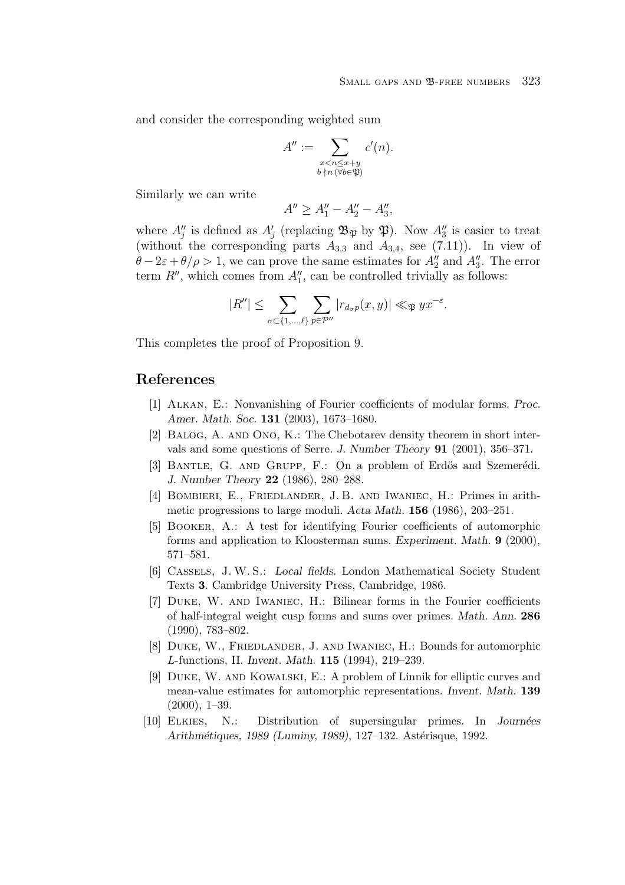and consider the corresponding weighted sum

$$
A'' := \sum_{\substack{x < n \le x+y \\ b \nmid n \ (\forall b \in \mathfrak{P})}} c'(n).
$$

Similarly we can write

$$
A'' \ge A_1'' - A_2'' - A_3'',
$$

where  $A''_j$  is defined as  $A'_j$  (replacing  $\mathfrak{B}_{\mathfrak{P}}$  by  $\mathfrak{P}$ ). Now  $A''_3$  is easier to treat (without the corresponding parts  $A$  and  $A$  and  $(7,11)$ ). In view of (without the corresponding parts  $A_{3,3}$  and  $A_{3,4}$ , see (7.11)). In view of  $\theta - 2\varepsilon + \theta/\rho > 1$ , we can prove the same estimates for  $A_2''$  and  $A_3''$ . The error term  $P''$  which comes from  $A''$  can be controlled trivially as follows: term  $R''$ , which comes from  $A''_1$ , can be controlled trivially as follows:

$$
|R''| \leq \sum_{\sigma \subset \{1,\ldots,\ell\}} \sum_{p \in \mathcal{P}''} |r_{d_{\sigma}p}(x,y)| \ll_{\mathfrak{P}} yx^{-\varepsilon}.
$$

This completes the proof of Proposition 9.

## **References**

- [1] Alkan, E.: Nonvanishing of Fourier coefficients of modular forms. *Proc. Amer. Math. Soc.* **131** (2003), 1673–1680.
- [2] Balog, A. and Ono, K.: The Chebotarev density theorem in short intervals and some questions of Serre. *J. Number Theory* **91** (2001), 356–371.
- [3] BANTLE, G. AND GRUPP, F.: On a problem of Erdös and Szemerédi. *J. Number Theory* **22** (1986), 280–288.
- [4] Bombieri, E., Friedlander, J. B. and Iwaniec, H.: Primes in arithmetic progressions to large moduli. *Acta Math.* **156** (1986), 203–251.
- [5] Booker, A.: A test for identifying Fourier coefficients of automorphic forms and application to Kloosterman sums. *Experiment. Math.* **9** (2000), 571–581.
- [6] Cassels, J. W. S.: *Local fields*. London Mathematical Society Student Texts **3**. Cambridge University Press, Cambridge, 1986.
- [7] Duke, W. and Iwaniec, H.: Bilinear forms in the Fourier coefficients of half-integral weight cusp forms and sums over primes. *Math. Ann.* **286** (1990), 783–802.
- [8] Duke, W., Friedlander, J. and Iwaniec, H.: Bounds for automorphic L-functions, II. *Invent. Math.* **115** (1994), 219–239.
- [9] Duke, W. and Kowalski, E.: A problem of Linnik for elliptic curves and mean-value estimates for automorphic representations. *Invent. Math.* **139** (2000), 1–39.
- [10] Elkies, N.: Distribution of supersingular primes. In *Journ´ees Arithmétiques, 1989 (Luminy, 1989), 127–132. Astérisque, 1992.*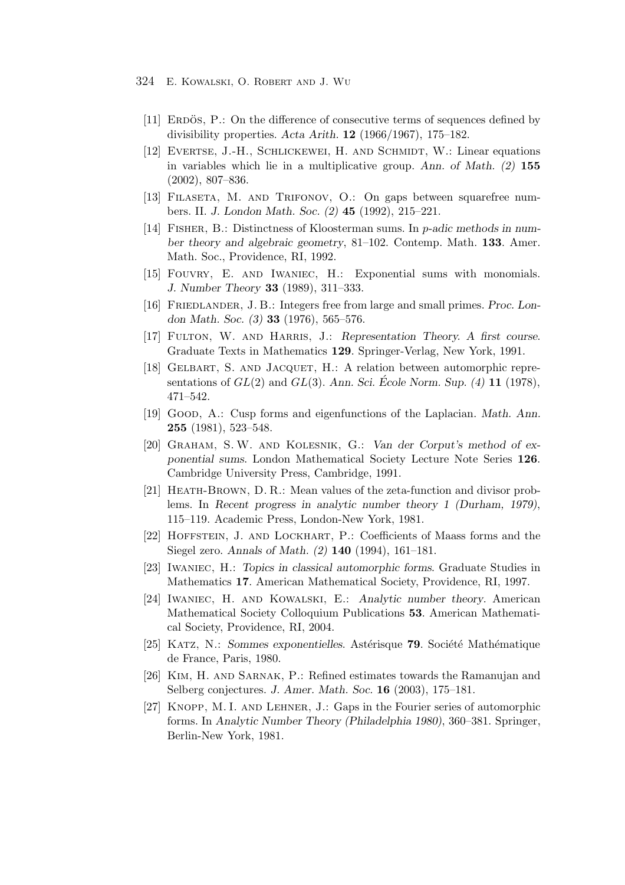- 324 E. Kowalski, O. Robert and J. Wu
	- [11] ERDOS, P.: On the difference of consecutive terms of sequences defined by divisibility properties. *Acta Arith.* **12** (1966/1967), 175–182.
	- [12] Evertse, J.-H., Schlickewei, H. and Schmidt, W.: Linear equations in variables which lie in a multiplicative group. *Ann. of Math. (2)* **155** (2002), 807–836.
	- [13] Filaseta, M. and Trifonov, O.: On gaps between squarefree numbers. II. *J. London Math. Soc. (2)* **45** (1992), 215–221.
	- [14] Fisher, B.: Distinctness of Kloosterman sums. In p*-adic methods in number theory and algebraic geometry*, 81–102. Contemp. Math. **133**. Amer. Math. Soc., Providence, RI, 1992.
	- [15] Fouvry, E. and Iwaniec, H.: Exponential sums with monomials. *J. Number Theory* **33** (1989), 311–333.
	- [16] Friedlander, J. B.: Integers free from large and small primes. *Proc. London Math. Soc. (3)* **33** (1976), 565–576.
	- [17] Fulton, W. and Harris, J.: *Representation Theory. A first course*. Graduate Texts in Mathematics **129**. Springer-Verlag, New York, 1991.
	- [18] Gelbart, S. and Jacquet, H.: A relation between automorphic representations of  $GL(2)$  and  $GL(3)$ . *Ann. Sci. Ecole Norm. Sup.* (4) **11** (1978), 471–542.
	- [19] Good, A.: Cusp forms and eigenfunctions of the Laplacian. *Math. Ann.* **255** (1981), 523–548.
	- [20] Graham, S. W. and Kolesnik, G.: *Van der Corput's method of exponential sums*. London Mathematical Society Lecture Note Series **126**. Cambridge University Press, Cambridge, 1991.
	- [21] HEATH-BROWN, D. R.: Mean values of the zeta-function and divisor problems. In *Recent progress in analytic number theory 1 (Durham, 1979)*, 115–119. Academic Press, London-New York, 1981.
	- [22] Hoffstein, J. and Lockhart, P.: Coefficients of Maass forms and the Siegel zero. *Annals of Math. (2)* **140** (1994), 161–181.
	- [23] Iwaniec, H.: *Topics in classical automorphic forms*. Graduate Studies in Mathematics **17**. American Mathematical Society, Providence, RI, 1997.
	- [24] Iwaniec, H. and Kowalski, E.: *Analytic number theory*. American Mathematical Society Colloquium Publications **53**. American Mathematical Society, Providence, RI, 2004.
	- [25] KATZ, N.: *Sommes exponentielles*. Astérisque **79**. Société Mathématique de France, Paris, 1980.
	- [26] Kim, H. and Sarnak, P.: Refined estimates towards the Ramanujan and Selberg conjectures. *J. Amer. Math. Soc.* **16** (2003), 175–181.
	- [27] Knopp, M. I. and Lehner, J.: Gaps in the Fourier series of automorphic forms. In *Analytic Number Theory (Philadelphia 1980)*, 360–381. Springer, Berlin-New York, 1981.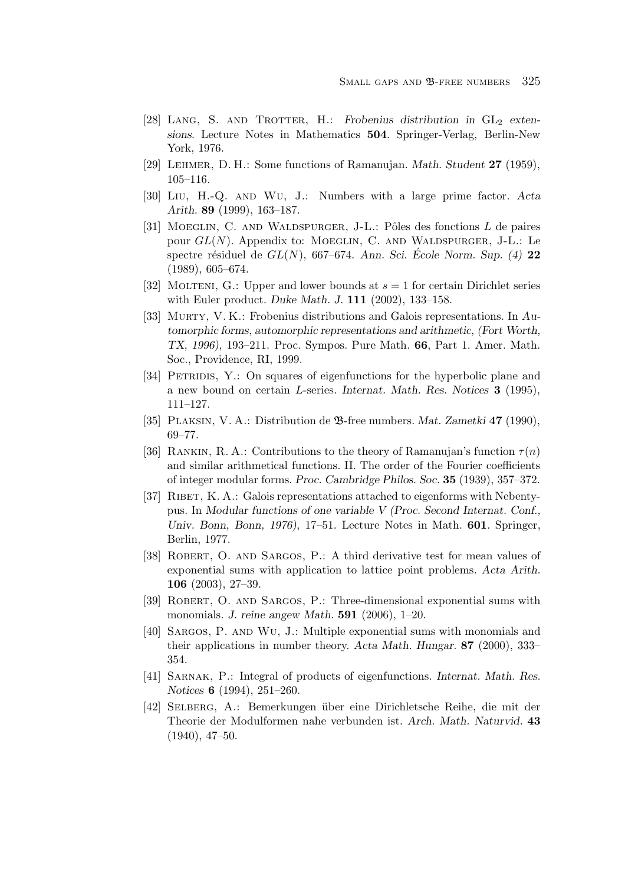- [28] LANG, S. AND TROTTER, H.: *Frobenius distribution in* GL<sub>2</sub> exten*sions*. Lecture Notes in Mathematics **504**. Springer-Verlag, Berlin-New York, 1976.
- [29] Lehmer, D. H.: Some functions of Ramanujan. *Math. Student* **27** (1959), 105–116.
- [30] Liu, H.-Q. and Wu, J.: Numbers with a large prime factor. *Acta Arith.* **89** (1999), 163–187.
- [31] MOEGLIN, C. AND WALDSPURGER, J-L.: Pôles des fonctions  $L$  de paires pour  $GL(N)$ . Appendix to: MOEGLIN, C. AND WALDSPURGER, J-L.: Le spectre résiduel de  $GL(N)$ , 667–674. *Ann. Sci.* École Norm. Sup. (4) **22** (1989), 605–674.
- [32] MOLTENI, G.: Upper and lower bounds at  $s = 1$  for certain Dirichlet series with Euler product. *Duke Math. J.* **111** (2002), 133–158.
- [33] Murty, V. K.: Frobenius distributions and Galois representations. In *Automorphic forms, automorphic representations and arithmetic, (Fort Worth, TX, 1996)*, 193–211. Proc. Sympos. Pure Math. **66**, Part 1. Amer. Math. Soc., Providence, RI, 1999.
- [34] PETRIDIS, Y.: On squares of eigenfunctions for the hyperbolic plane and a new bound on certain L-series. *Internat. Math. Res. Notices* **3** (1995), 111–127.
- [35] Plaksin, V. A.: Distribution de B-free numbers. *Mat. Zametki* **47** (1990), 69–77.
- [36] RANKIN, R. A.: Contributions to the theory of Ramanujan's function  $\tau(n)$ and similar arithmetical functions. II. The order of the Fourier coefficients of integer modular forms. *Proc. Cambridge Philos. Soc.* **35** (1939), 357–372.
- [37] RIBET, K. A.: Galois representations attached to eigenforms with Nebentypus. In *Modular functions of one variable V (Proc. Second Internat. Conf., Univ. Bonn, Bonn, 1976)*, 17–51. Lecture Notes in Math. **601**. Springer, Berlin, 1977.
- [38] Robert, O. and Sargos, P.: A third derivative test for mean values of exponential sums with application to lattice point problems. *Acta Arith.* **106** (2003), 27–39.
- [39] Robert, O. and Sargos, P.: Three-dimensional exponential sums with monomials. *J. reine angew Math.* **591** (2006), 1–20.
- [40] Sargos, P. and Wu, J.: Multiple exponential sums with monomials and their applications in number theory. *Acta Math. Hungar.* **87** (2000), 333– 354.
- [41] Sarnak, P.: Integral of products of eigenfunctions. *Internat. Math. Res. Notices* **6** (1994), 251–260.
- [42] Selberg, A.: Bemerkungen ¨uber eine Dirichletsche Reihe, die mit der Theorie der Modulformen nahe verbunden ist. *Arch. Math. Naturvid.* **43** (1940), 47–50.